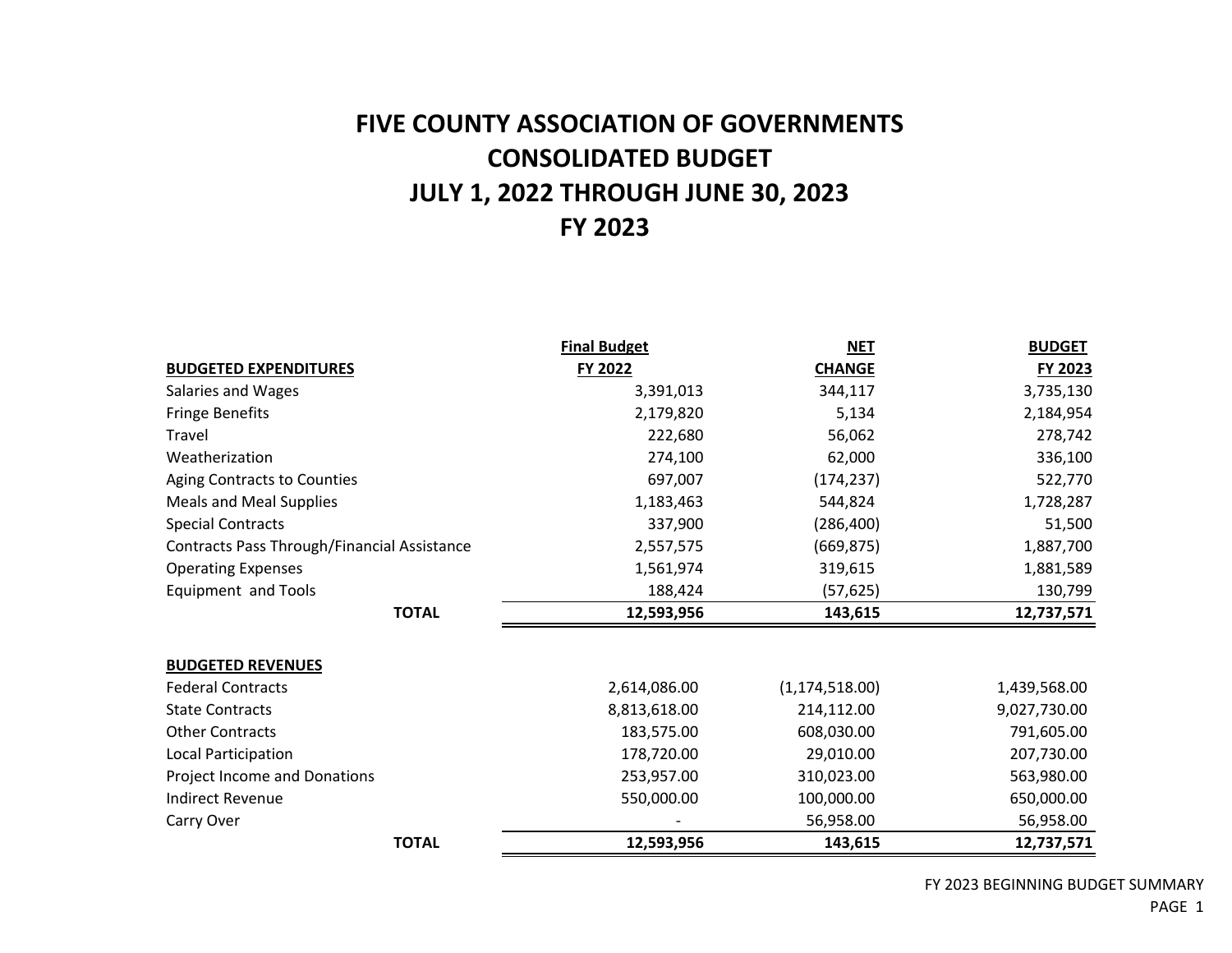# **FY 2023 FIVE COUNTY ASSOCIATION OF GOVERNMENTS CONSOLIDATED BUDGET JULY 1, 2022 THROUGH JUNE 30, 2023**

|                                             | <b>Final Budget</b> | <b>NET</b>       | <b>BUDGET</b> |
|---------------------------------------------|---------------------|------------------|---------------|
| <b>BUDGETED EXPENDITURES</b>                | FY 2022             | <b>CHANGE</b>    | FY 2023       |
| Salaries and Wages                          | 3,391,013           | 344,117          | 3,735,130     |
| <b>Fringe Benefits</b>                      | 2,179,820           | 5,134            | 2,184,954     |
| Travel                                      | 222,680             | 56,062           | 278,742       |
| Weatherization                              | 274,100             | 62,000           | 336,100       |
| Aging Contracts to Counties                 | 697,007             | (174, 237)       | 522,770       |
| Meals and Meal Supplies                     | 1,183,463           | 544,824          | 1,728,287     |
| <b>Special Contracts</b>                    | 337,900             | (286, 400)       | 51,500        |
| Contracts Pass Through/Financial Assistance | 2,557,575           | (669, 875)       | 1,887,700     |
| <b>Operating Expenses</b>                   | 1,561,974           | 319,615          | 1,881,589     |
| Equipment and Tools                         | 188,424             | (57, 625)        | 130,799       |
| <b>TOTAL</b>                                | 12,593,956          | 143,615          | 12,737,571    |
|                                             |                     |                  |               |
| <b>BUDGETED REVENUES</b>                    |                     |                  |               |
| <b>Federal Contracts</b>                    | 2,614,086.00        | (1, 174, 518.00) | 1,439,568.00  |
| <b>State Contracts</b>                      | 8,813,618.00        | 214,112.00       | 9,027,730.00  |
| <b>Other Contracts</b>                      | 183,575.00          | 608,030.00       | 791,605.00    |
| Local Participation                         | 178,720.00          | 29,010.00        | 207,730.00    |
| Project Income and Donations                | 253,957.00          | 310,023.00       | 563,980.00    |
| <b>Indirect Revenue</b>                     | 550,000.00          | 100,000.00       | 650,000.00    |
| Carry Over                                  |                     | 56,958.00        | 56,958.00     |
| <b>TOTAL</b>                                | 12,593,956          | 143,615          | 12,737,571    |

FY 2023 BEGINNING BUDGET SUMMARY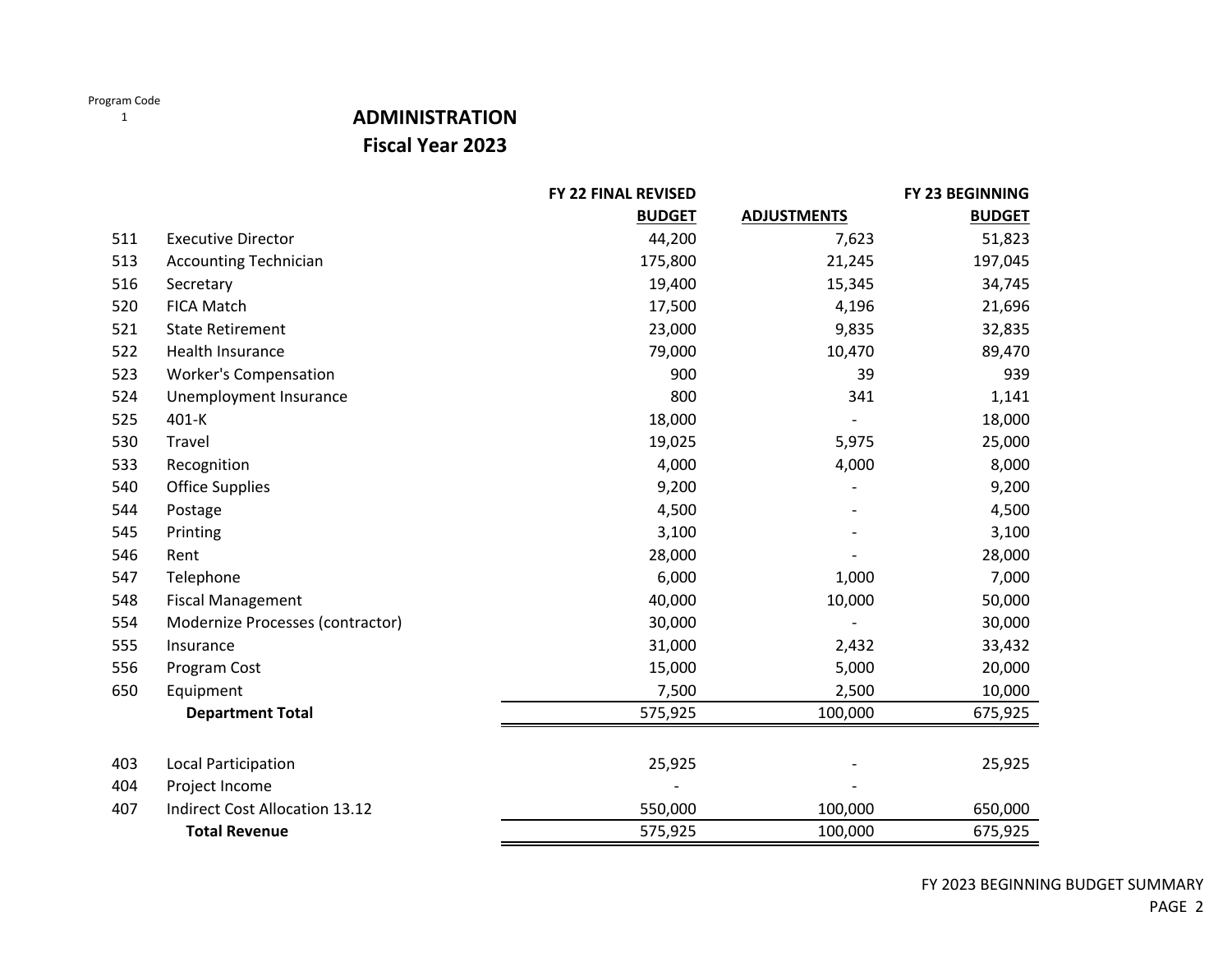### **ADMINISTRATION**

**Fiscal Year 2023**

|     |                                       | <b>FY 22 FINAL REVISED</b> |                    | FY 23 BEGINNING |
|-----|---------------------------------------|----------------------------|--------------------|-----------------|
|     |                                       | <b>BUDGET</b>              | <b>ADJUSTMENTS</b> | <b>BUDGET</b>   |
| 511 | <b>Executive Director</b>             | 44,200                     | 7,623              | 51,823          |
| 513 | <b>Accounting Technician</b>          | 175,800                    | 21,245             | 197,045         |
| 516 | Secretary                             | 19,400                     | 15,345             | 34,745          |
| 520 | <b>FICA Match</b>                     | 17,500                     | 4,196              | 21,696          |
| 521 | <b>State Retirement</b>               | 23,000                     | 9,835              | 32,835          |
| 522 | Health Insurance                      | 79,000                     | 10,470             | 89,470          |
| 523 | <b>Worker's Compensation</b>          | 900                        | 39                 | 939             |
| 524 | Unemployment Insurance                | 800                        | 341                | 1,141           |
| 525 | 401-K                                 | 18,000                     |                    | 18,000          |
| 530 | Travel                                | 19,025                     | 5,975              | 25,000          |
| 533 | Recognition                           | 4,000                      | 4,000              | 8,000           |
| 540 | <b>Office Supplies</b>                | 9,200                      |                    | 9,200           |
| 544 | Postage                               | 4,500                      |                    | 4,500           |
| 545 | Printing                              | 3,100                      |                    | 3,100           |
| 546 | Rent                                  | 28,000                     |                    | 28,000          |
| 547 | Telephone                             | 6,000                      | 1,000              | 7,000           |
| 548 | <b>Fiscal Management</b>              | 40,000                     | 10,000             | 50,000          |
| 554 | Modernize Processes (contractor)      | 30,000                     |                    | 30,000          |
| 555 | Insurance                             | 31,000                     | 2,432              | 33,432          |
| 556 | Program Cost                          | 15,000                     | 5,000              | 20,000          |
| 650 | Equipment                             | 7,500                      | 2,500              | 10,000          |
|     | <b>Department Total</b>               | 575,925                    | 100,000            | 675,925         |
|     |                                       |                            |                    |                 |
| 403 | Local Participation                   | 25,925                     |                    | 25,925          |
| 404 | Project Income                        |                            |                    |                 |
| 407 | <b>Indirect Cost Allocation 13.12</b> | 550,000                    | 100,000            | 650,000         |
|     | <b>Total Revenue</b>                  | 575,925                    | 100,000            | 675,925         |

FY 2023 BEGINNING BUDGET SUMMARY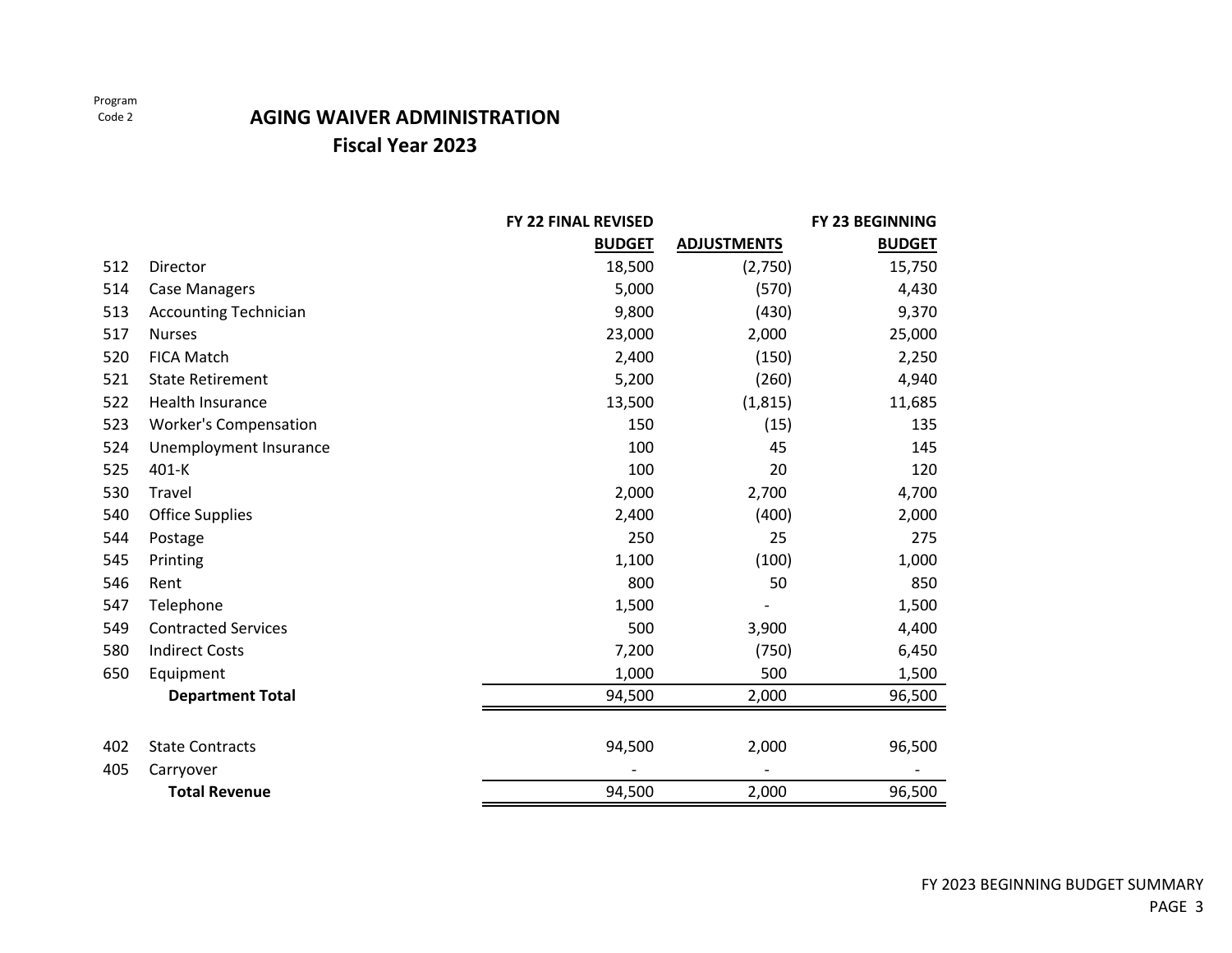### **AGING WAIVER ADMINISTRATIONFiscal Year 2023**

|     |                              | FY 22 FINAL REVISED |                    | <b>FY 23 BEGINNING</b> |
|-----|------------------------------|---------------------|--------------------|------------------------|
|     |                              | <b>BUDGET</b>       | <b>ADJUSTMENTS</b> | <b>BUDGET</b>          |
| 512 | Director                     | 18,500              | (2,750)            | 15,750                 |
| 514 | <b>Case Managers</b>         | 5,000               | (570)              | 4,430                  |
| 513 | <b>Accounting Technician</b> | 9,800               | (430)              | 9,370                  |
| 517 | <b>Nurses</b>                | 23,000              | 2,000              | 25,000                 |
| 520 | <b>FICA Match</b>            | 2,400               | (150)              | 2,250                  |
| 521 | <b>State Retirement</b>      | 5,200               | (260)              | 4,940                  |
| 522 | Health Insurance             | 13,500              | (1, 815)           | 11,685                 |
| 523 | <b>Worker's Compensation</b> | 150                 | (15)               | 135                    |
| 524 | Unemployment Insurance       | 100                 | 45                 | 145                    |
| 525 | 401-K                        | 100                 | 20                 | 120                    |
| 530 | Travel                       | 2,000               | 2,700              | 4,700                  |
| 540 | <b>Office Supplies</b>       | 2,400               | (400)              | 2,000                  |
| 544 | Postage                      | 250                 | 25                 | 275                    |
| 545 | Printing                     | 1,100               | (100)              | 1,000                  |
| 546 | Rent                         | 800                 | 50                 | 850                    |
| 547 | Telephone                    | 1,500               |                    | 1,500                  |
| 549 | <b>Contracted Services</b>   | 500                 | 3,900              | 4,400                  |
| 580 | <b>Indirect Costs</b>        | 7,200               | (750)              | 6,450                  |
| 650 | Equipment                    | 1,000               | 500                | 1,500                  |
|     | <b>Department Total</b>      | 94,500              | 2,000              | 96,500                 |
|     |                              |                     |                    |                        |
| 402 | <b>State Contracts</b>       | 94,500              | 2,000              | 96,500                 |
| 405 | Carryover                    |                     |                    |                        |
|     | <b>Total Revenue</b>         | 94,500              | 2,000              | 96,500                 |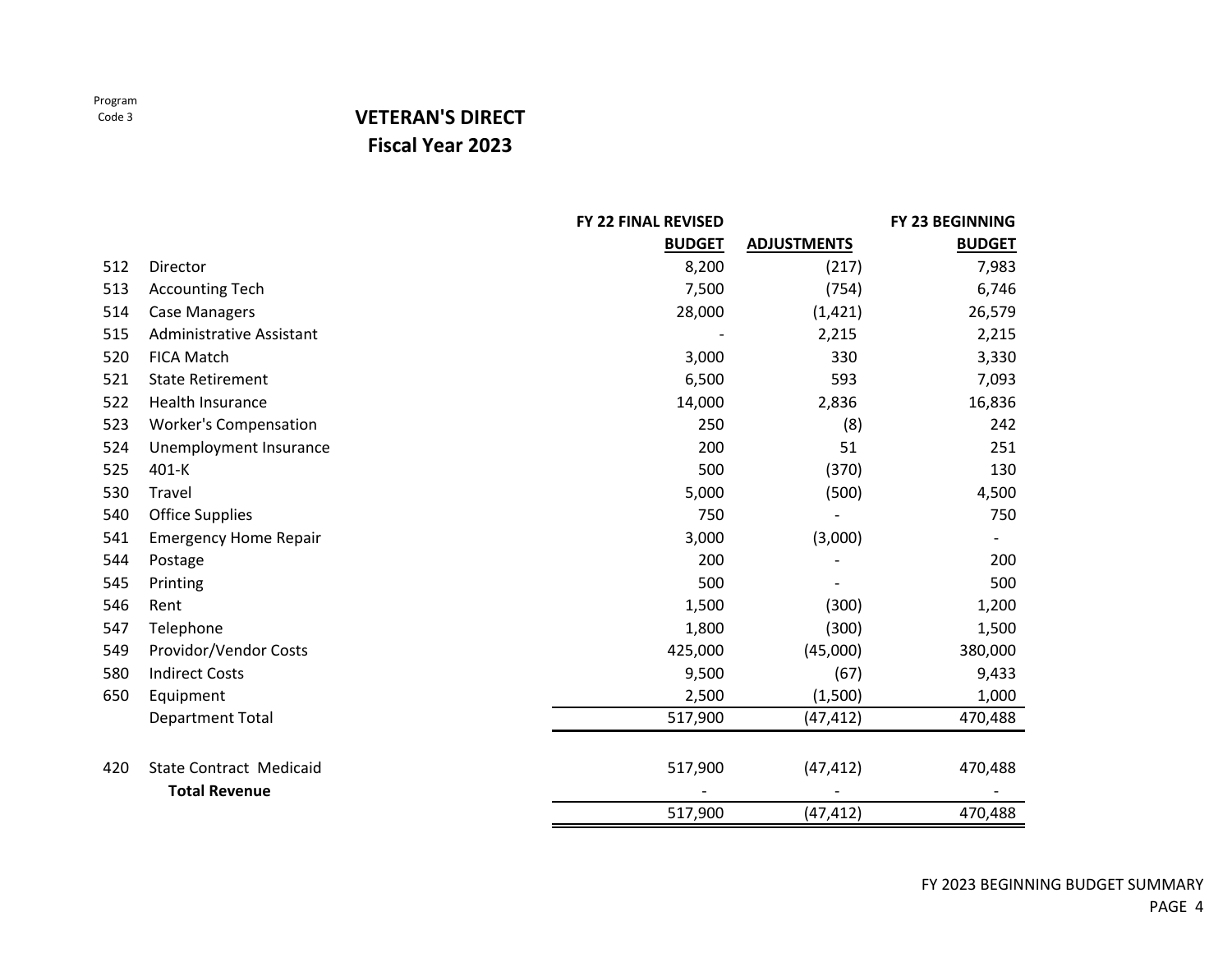### **VETERAN'S DIRECTFiscal Year 2023**

|     |                                 | <b>FY 22 FINAL REVISED</b> |                    | FY 23 BEGINNING |
|-----|---------------------------------|----------------------------|--------------------|-----------------|
|     |                                 | <b>BUDGET</b>              | <b>ADJUSTMENTS</b> | <b>BUDGET</b>   |
| 512 | Director                        | 8,200                      | (217)              | 7,983           |
| 513 | <b>Accounting Tech</b>          | 7,500                      | (754)              | 6,746           |
| 514 | <b>Case Managers</b>            | 28,000                     | (1, 421)           | 26,579          |
| 515 | <b>Administrative Assistant</b> |                            | 2,215              | 2,215           |
| 520 | FICA Match                      | 3,000                      | 330                | 3,330           |
| 521 | <b>State Retirement</b>         | 6,500                      | 593                | 7,093           |
| 522 | Health Insurance                | 14,000                     | 2,836              | 16,836          |
| 523 | <b>Worker's Compensation</b>    | 250                        | (8)                | 242             |
| 524 | Unemployment Insurance          | 200                        | 51                 | 251             |
| 525 | 401-K                           | 500                        | (370)              | 130             |
| 530 | Travel                          | 5,000                      | (500)              | 4,500           |
| 540 | <b>Office Supplies</b>          | 750                        |                    | 750             |
| 541 | <b>Emergency Home Repair</b>    | 3,000                      | (3,000)            |                 |
| 544 | Postage                         | 200                        |                    | 200             |
| 545 | Printing                        | 500                        |                    | 500             |
| 546 | Rent                            | 1,500                      | (300)              | 1,200           |
| 547 | Telephone                       | 1,800                      | (300)              | 1,500           |
| 549 | Providor/Vendor Costs           | 425,000                    | (45,000)           | 380,000         |
| 580 | <b>Indirect Costs</b>           | 9,500                      | (67)               | 9,433           |
| 650 | Equipment                       | 2,500                      | (1,500)            | 1,000           |
|     | <b>Department Total</b>         | 517,900                    | (47, 412)          | 470,488         |
|     |                                 |                            |                    |                 |
| 420 | <b>State Contract Medicaid</b>  | 517,900                    | (47, 412)          | 470,488         |
|     | <b>Total Revenue</b>            |                            |                    |                 |
|     |                                 | 517,900                    | (47, 412)          | 470,488         |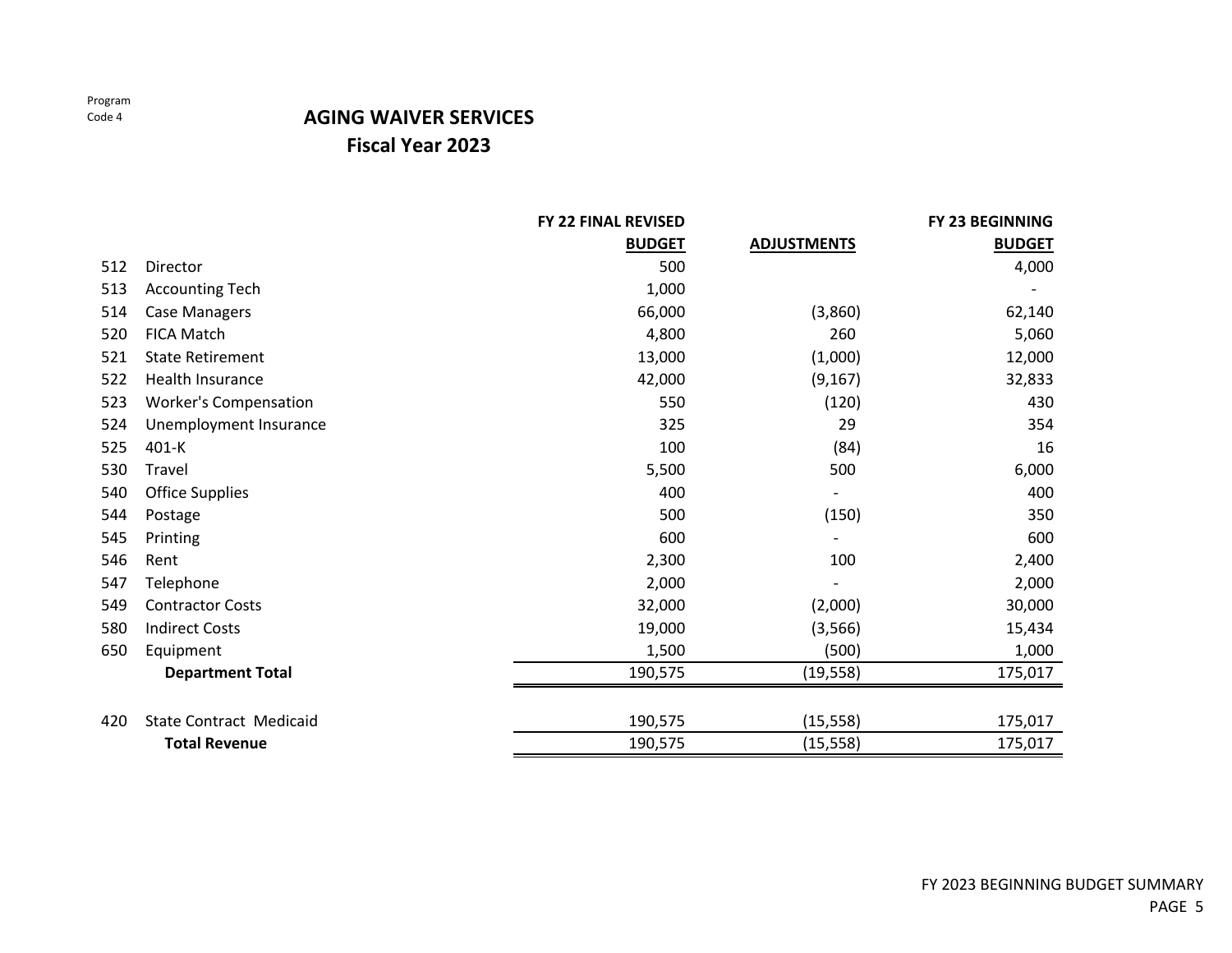### **AGING WAIVER SERVICES Fiscal Year 2023**

|     |                                | <b>FY 22 FINAL REVISED</b> |                    | <b>FY 23 BEGINNING</b> |
|-----|--------------------------------|----------------------------|--------------------|------------------------|
|     |                                | <b>BUDGET</b>              | <b>ADJUSTMENTS</b> | <b>BUDGET</b>          |
| 512 | Director                       | 500                        |                    | 4,000                  |
| 513 | <b>Accounting Tech</b>         | 1,000                      |                    |                        |
| 514 | <b>Case Managers</b>           | 66,000                     | (3,860)            | 62,140                 |
| 520 | <b>FICA Match</b>              | 4,800                      | 260                | 5,060                  |
| 521 | <b>State Retirement</b>        | 13,000                     | (1,000)            | 12,000                 |
| 522 | Health Insurance               | 42,000                     | (9, 167)           | 32,833                 |
| 523 | <b>Worker's Compensation</b>   | 550                        | (120)              | 430                    |
| 524 | Unemployment Insurance         | 325                        | 29                 | 354                    |
| 525 | 401-K                          | 100                        | (84)               | 16                     |
| 530 | Travel                         | 5,500                      | 500                | 6,000                  |
| 540 | <b>Office Supplies</b>         | 400                        |                    | 400                    |
| 544 | Postage                        | 500                        | (150)              | 350                    |
| 545 | Printing                       | 600                        |                    | 600                    |
| 546 | Rent                           | 2,300                      | 100                | 2,400                  |
| 547 | Telephone                      | 2,000                      |                    | 2,000                  |
| 549 | <b>Contractor Costs</b>        | 32,000                     | (2,000)            | 30,000                 |
| 580 | <b>Indirect Costs</b>          | 19,000                     | (3, 566)           | 15,434                 |
| 650 | Equipment                      | 1,500                      | (500)              | 1,000                  |
|     | <b>Department Total</b>        | 190,575                    | (19, 558)          | 175,017                |
| 420 | <b>State Contract Medicaid</b> | 190,575                    | (15, 558)          | 175,017                |
|     | <b>Total Revenue</b>           | 190,575                    | (15, 558)          | 175,017                |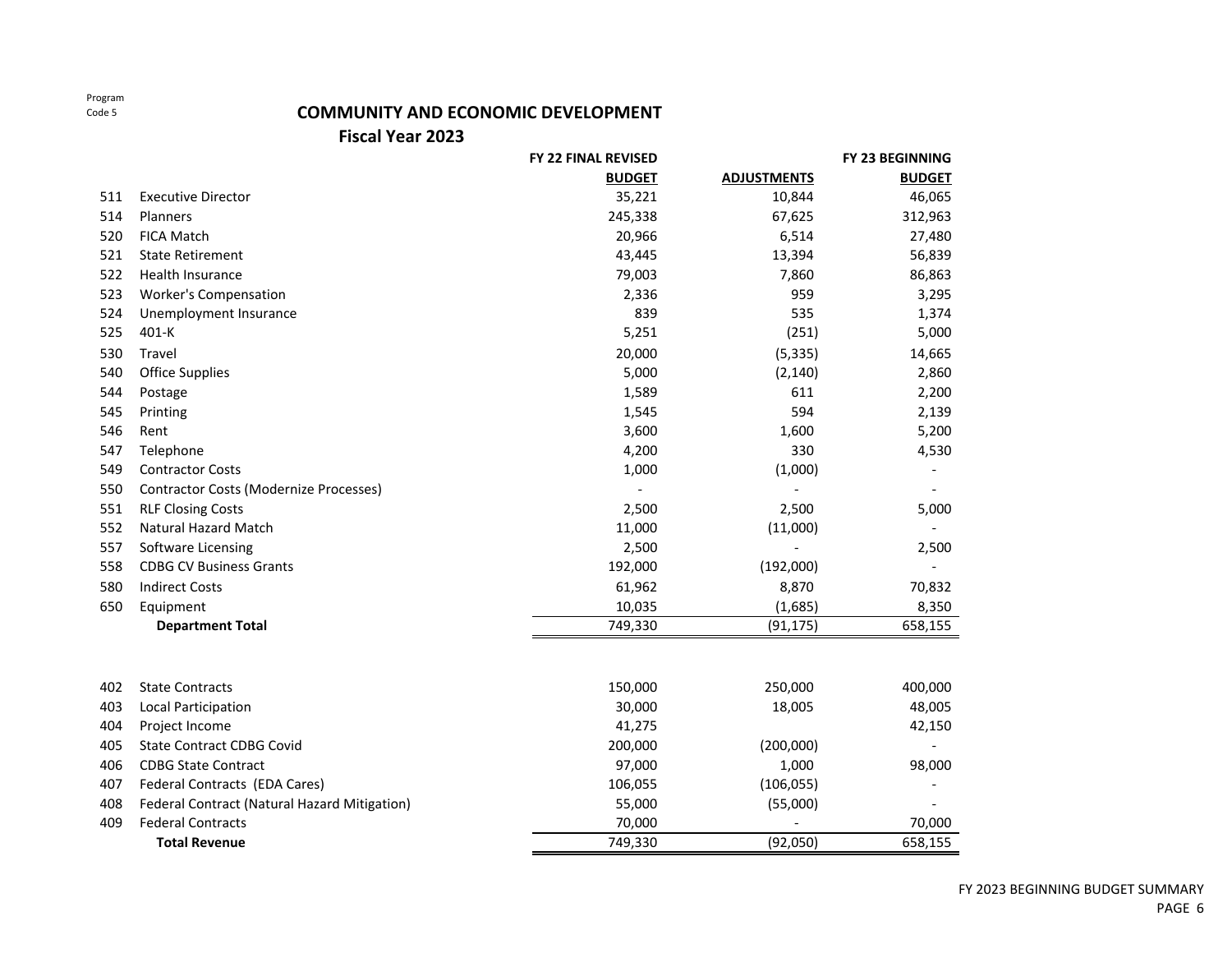#### **COMMUNITY AND ECONOMIC DEVELOPMENT**

|     |                                              | FY 22 FINAL REVISED |                    | FY 23 BEGINNING |
|-----|----------------------------------------------|---------------------|--------------------|-----------------|
|     |                                              | <b>BUDGET</b>       | <b>ADJUSTMENTS</b> | <b>BUDGET</b>   |
| 511 | <b>Executive Director</b>                    | 35,221              | 10,844             | 46,065          |
| 514 | Planners                                     | 245,338             | 67,625             | 312,963         |
| 520 | FICA Match                                   | 20,966              | 6,514              | 27,480          |
| 521 | <b>State Retirement</b>                      | 43,445              | 13,394             | 56,839          |
| 522 | <b>Health Insurance</b>                      | 79,003              | 7,860              | 86,863          |
| 523 | <b>Worker's Compensation</b>                 | 2,336               | 959                | 3,295           |
| 524 | Unemployment Insurance                       | 839                 | 535                | 1,374           |
| 525 | 401-K                                        | 5,251               | (251)              | 5,000           |
| 530 | Travel                                       | 20,000              | (5, 335)           | 14,665          |
| 540 | <b>Office Supplies</b>                       | 5,000               | (2, 140)           | 2,860           |
| 544 | Postage                                      | 1,589               | 611                | 2,200           |
| 545 | Printing                                     | 1,545               | 594                | 2,139           |
| 546 | Rent                                         | 3,600               | 1,600              | 5,200           |
| 547 | Telephone                                    | 4,200               | 330                | 4,530           |
| 549 | <b>Contractor Costs</b>                      | 1,000               | (1,000)            |                 |
| 550 | Contractor Costs (Modernize Processes)       |                     |                    |                 |
| 551 | <b>RLF Closing Costs</b>                     | 2,500               | 2,500              | 5,000           |
| 552 | Natural Hazard Match                         | 11,000              | (11,000)           |                 |
| 557 | Software Licensing                           | 2,500               |                    | 2,500           |
| 558 | <b>CDBG CV Business Grants</b>               | 192,000             | (192,000)          |                 |
| 580 | <b>Indirect Costs</b>                        | 61,962              | 8,870              | 70,832          |
| 650 | Equipment                                    | 10,035              | (1,685)            | 8,350           |
|     | <b>Department Total</b>                      | 749,330             | (91, 175)          | 658,155         |
|     |                                              |                     |                    |                 |
| 402 | <b>State Contracts</b>                       | 150,000             | 250,000            | 400,000         |
| 403 | Local Participation                          | 30,000              | 18,005             | 48,005          |
| 404 | Project Income                               | 41,275              |                    | 42,150          |
| 405 | <b>State Contract CDBG Covid</b>             | 200,000             | (200,000)          |                 |
| 406 | <b>CDBG State Contract</b>                   | 97,000              | 1,000              | 98,000          |
| 407 | Federal Contracts (EDA Cares)                | 106,055             | (106, 055)         |                 |
| 408 | Federal Contract (Natural Hazard Mitigation) | 55,000              | (55,000)           |                 |
| 409 | <b>Federal Contracts</b>                     | 70,000              |                    | 70,000          |
|     | <b>Total Revenue</b>                         | 749,330             | (92,050)           | 658,155         |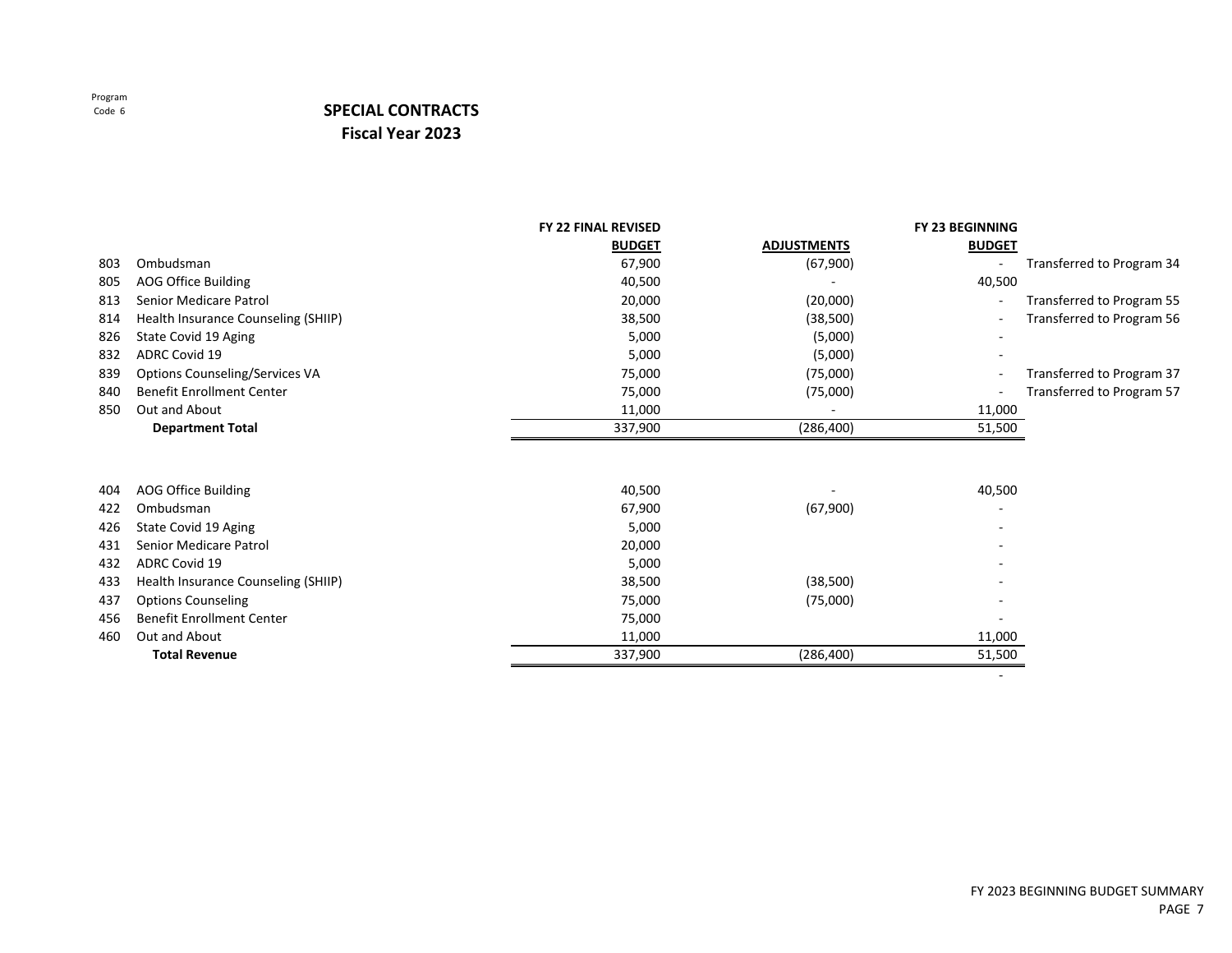### **SPECIAL CONTRACTS Fiscal Year 2023**

|     |                                       | <b>FY 22 FINAL REVISED</b> |                          | <b>FY 23 BEGINNING</b>    |
|-----|---------------------------------------|----------------------------|--------------------------|---------------------------|
|     |                                       | <b>BUDGET</b>              | <b>ADJUSTMENTS</b>       | <b>BUDGET</b>             |
| 803 | Ombudsman                             | 67,900                     | (67,900)                 | Transferred to Program 34 |
| 805 | AOG Office Building                   | 40,500                     |                          | 40,500                    |
| 813 | Senior Medicare Patrol                | 20,000                     | (20,000)                 | Transferred to Program 55 |
| 814 | Health Insurance Counseling (SHIIP)   | 38,500                     | (38,500)                 | Transferred to Program 56 |
| 826 | State Covid 19 Aging                  | 5,000                      | (5,000)                  |                           |
| 832 | <b>ADRC Covid 19</b>                  | 5,000                      | (5,000)                  |                           |
| 839 | <b>Options Counseling/Services VA</b> | 75,000                     | (75,000)                 | Transferred to Program 37 |
| 840 | <b>Benefit Enrollment Center</b>      | 75,000                     | (75,000)                 | Transferred to Program 57 |
| 850 | Out and About                         | 11,000                     |                          | 11,000                    |
|     | <b>Department Total</b>               | 337,900                    | (286, 400)               | 51,500                    |
|     |                                       |                            |                          |                           |
| 404 | AOG Office Building                   | 40,500                     | $\overline{\phantom{0}}$ | 40,500                    |
| 422 | Ombudsman                             | 67,900                     | (67,900)                 |                           |

|     |                                     | .       | , , , , , , , , |        |
|-----|-------------------------------------|---------|-----------------|--------|
| 426 | State Covid 19 Aging                | 5,000   |                 |        |
| 431 | Senior Medicare Patrol              | 20,000  |                 |        |
| 432 | ADRC Covid 19                       | 5,000   |                 |        |
| 433 | Health Insurance Counseling (SHIIP) | 38,500  | (38,500)        |        |
| 437 | <b>Options Counseling</b>           | 75,000  | (75,000)        |        |
| 456 | <b>Benefit Enrollment Center</b>    | 75,000  |                 |        |
| 460 | Out and About                       | 11.000  |                 | 11,000 |
|     | <b>Total Revenue</b>                | 337,900 | (286,400)       | 51,500 |

Program Code 6

 $\sim$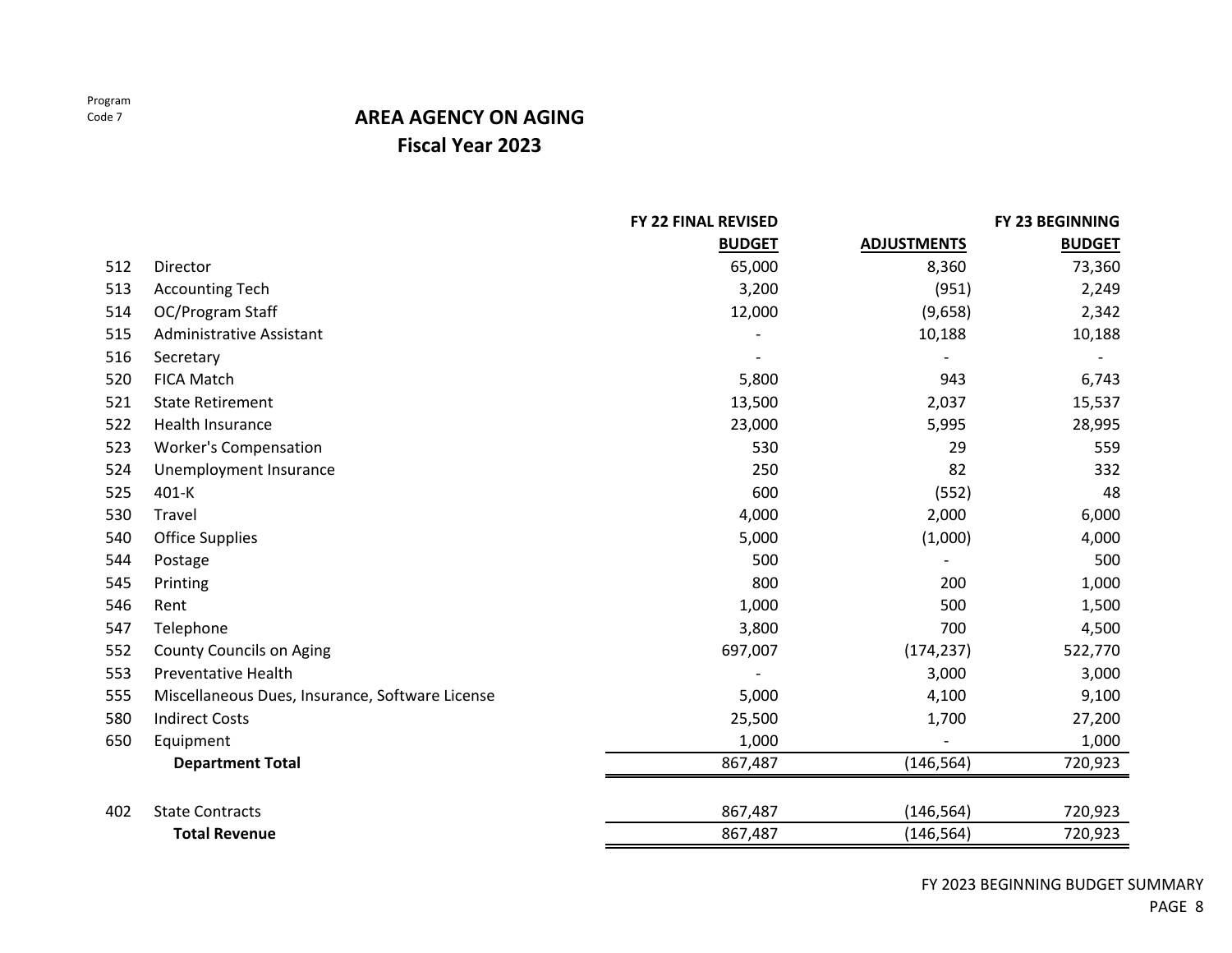### **AREA AGENCY ON AGING Fiscal Year 2023**

|     |                                                 | <b>FY 22 FINAL REVISED</b> |                    | <b>FY 23 BEGINNING</b> |
|-----|-------------------------------------------------|----------------------------|--------------------|------------------------|
|     |                                                 | <b>BUDGET</b>              | <b>ADJUSTMENTS</b> | <b>BUDGET</b>          |
| 512 | Director                                        | 65,000                     | 8,360              | 73,360                 |
| 513 | <b>Accounting Tech</b>                          | 3,200                      | (951)              | 2,249                  |
| 514 | OC/Program Staff                                | 12,000                     | (9,658)            | 2,342                  |
| 515 | Administrative Assistant                        |                            | 10,188             | 10,188                 |
| 516 | Secretary                                       |                            |                    |                        |
| 520 | <b>FICA Match</b>                               | 5,800                      | 943                | 6,743                  |
| 521 | <b>State Retirement</b>                         | 13,500                     | 2,037              | 15,537                 |
| 522 | Health Insurance                                | 23,000                     | 5,995              | 28,995                 |
| 523 | <b>Worker's Compensation</b>                    | 530                        | 29                 | 559                    |
| 524 | Unemployment Insurance                          | 250                        | 82                 | 332                    |
| 525 | 401-K                                           | 600                        | (552)              | 48                     |
| 530 | Travel                                          | 4,000                      | 2,000              | 6,000                  |
| 540 | <b>Office Supplies</b>                          | 5,000                      | (1,000)            | 4,000                  |
| 544 | Postage                                         | 500                        |                    | 500                    |
| 545 | Printing                                        | 800                        | 200                | 1,000                  |
| 546 | Rent                                            | 1,000                      | 500                | 1,500                  |
| 547 | Telephone                                       | 3,800                      | 700                | 4,500                  |
| 552 | <b>County Councils on Aging</b>                 | 697,007                    | (174, 237)         | 522,770                |
| 553 | <b>Preventative Health</b>                      |                            | 3,000              | 3,000                  |
| 555 | Miscellaneous Dues, Insurance, Software License | 5,000                      | 4,100              | 9,100                  |
| 580 | <b>Indirect Costs</b>                           | 25,500                     | 1,700              | 27,200                 |
| 650 | Equipment                                       | 1,000                      |                    | 1,000                  |
|     | <b>Department Total</b>                         | 867,487                    | (146, 564)         | 720,923                |
|     |                                                 |                            |                    |                        |
| 402 | <b>State Contracts</b>                          | 867,487                    | (146, 564)         | 720,923                |
|     | <b>Total Revenue</b>                            | 867,487                    | (146, 564)         | 720,923                |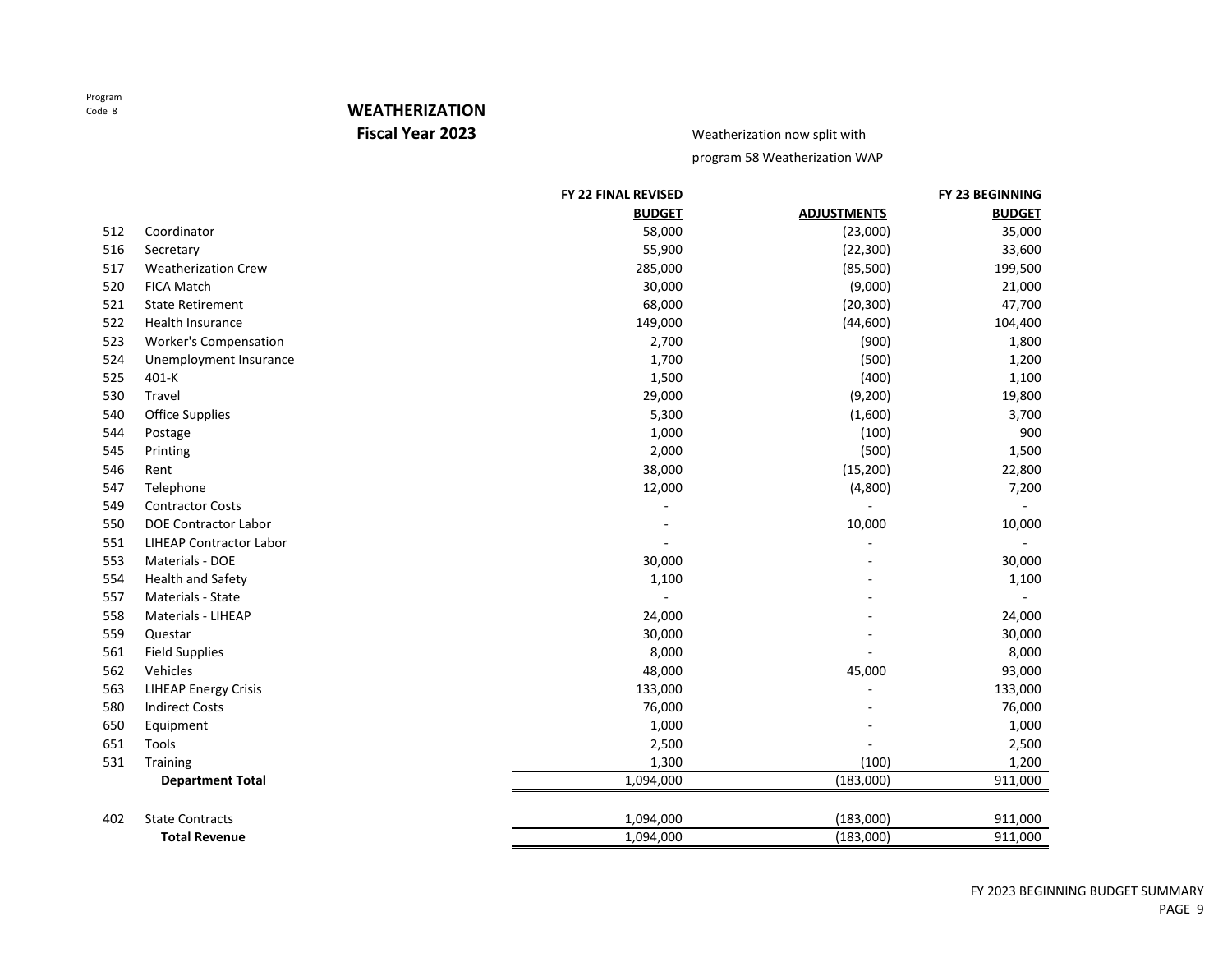#### **WEATHERIZATION Fiscal Year 2023**

#### Weatherization now split with

program 58 Weatherization WAP

|     |                                | FY 22 FINAL REVISED |                    | <b>FY 23 BEGINNING</b> |
|-----|--------------------------------|---------------------|--------------------|------------------------|
|     |                                | <b>BUDGET</b>       | <b>ADJUSTMENTS</b> | <b>BUDGET</b>          |
| 512 | Coordinator                    | 58,000              | (23,000)           | 35,000                 |
| 516 | Secretary                      | 55,900              | (22, 300)          | 33,600                 |
| 517 | <b>Weatherization Crew</b>     | 285,000             | (85,500)           | 199,500                |
| 520 | FICA Match                     | 30,000              | (9,000)            | 21,000                 |
| 521 | <b>State Retirement</b>        | 68,000              | (20, 300)          | 47,700                 |
| 522 | Health Insurance               | 149,000             | (44,600)           | 104,400                |
| 523 | <b>Worker's Compensation</b>   | 2,700               | (900)              | 1,800                  |
| 524 | Unemployment Insurance         | 1,700               | (500)              | 1,200                  |
| 525 | 401-K                          | 1,500               | (400)              | 1,100                  |
| 530 | Travel                         | 29,000              | (9,200)            | 19,800                 |
| 540 | <b>Office Supplies</b>         | 5,300               | (1,600)            | 3,700                  |
| 544 | Postage                        | 1,000               | (100)              | 900                    |
| 545 | Printing                       | 2,000               | (500)              | 1,500                  |
| 546 | Rent                           | 38,000              | (15, 200)          | 22,800                 |
| 547 | Telephone                      | 12,000              | (4,800)            | 7,200                  |
| 549 | <b>Contractor Costs</b>        |                     |                    |                        |
| 550 | <b>DOE Contractor Labor</b>    |                     | 10,000             | 10,000                 |
| 551 | <b>LIHEAP Contractor Labor</b> |                     |                    |                        |
| 553 | Materials - DOE                | 30,000              |                    | 30,000                 |
| 554 | <b>Health and Safety</b>       | 1,100               |                    | 1,100                  |
| 557 | Materials - State              |                     |                    |                        |
| 558 | Materials - LIHEAP             | 24,000              |                    | 24,000                 |
| 559 | Questar                        | 30,000              |                    | 30,000                 |
| 561 | <b>Field Supplies</b>          | 8,000               |                    | 8,000                  |
| 562 | Vehicles                       | 48,000              | 45,000             | 93,000                 |
| 563 | <b>LIHEAP Energy Crisis</b>    | 133,000             |                    | 133,000                |
| 580 | <b>Indirect Costs</b>          | 76,000              |                    | 76,000                 |
| 650 | Equipment                      | 1,000               |                    | 1,000                  |
| 651 | Tools                          | 2,500               |                    | 2,500                  |
| 531 | Training                       | 1,300               | (100)              | 1,200                  |
|     | <b>Department Total</b>        | 1,094,000           | (183,000)          | 911,000                |
| 402 | <b>State Contracts</b>         | 1,094,000           | (183,000)          | 911,000                |
|     | <b>Total Revenue</b>           | 1,094,000           | (183,000)          | 911,000                |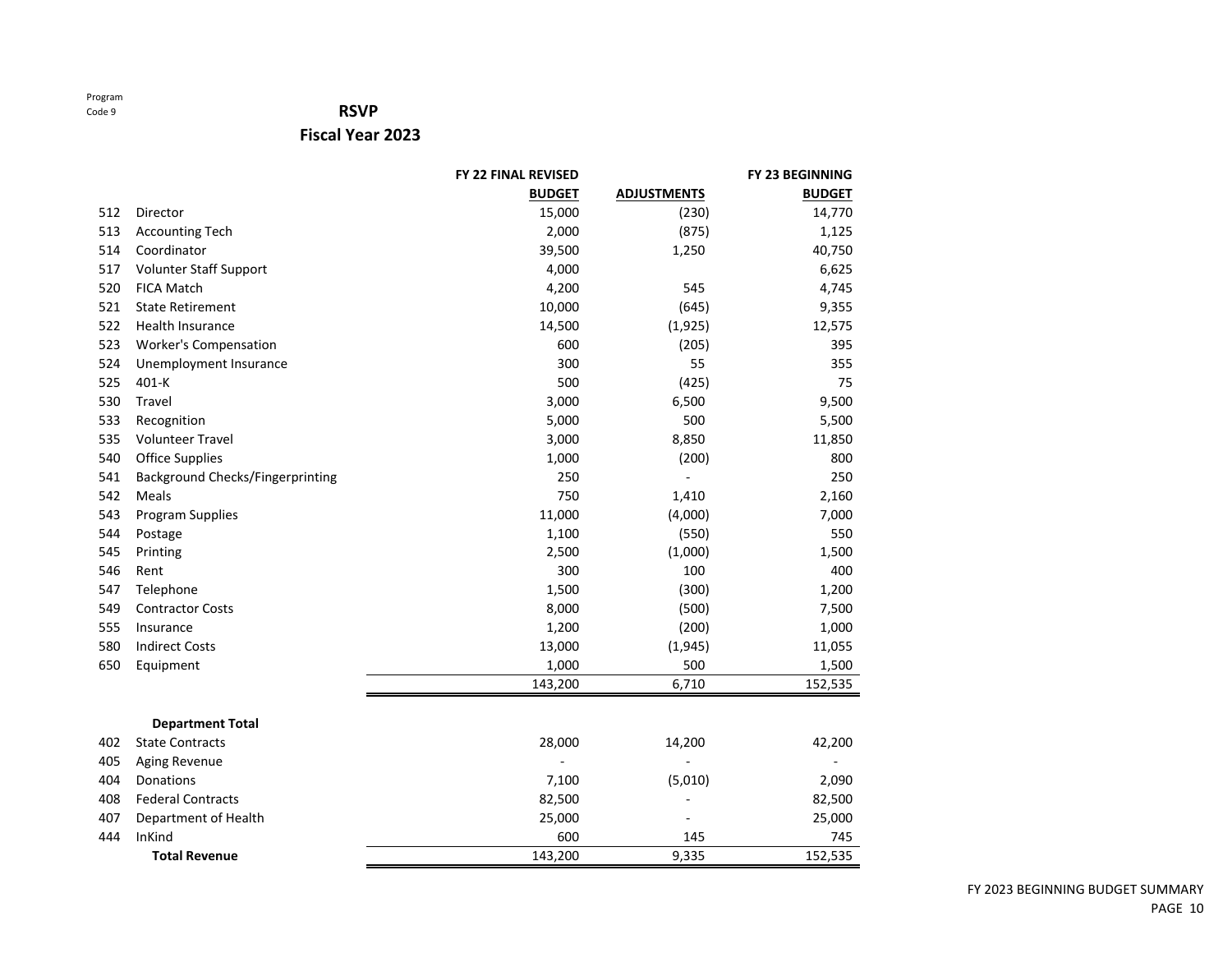#### **RSVP**

|     |                                  | <b>FY 22 FINAL REVISED</b> |                    | <b>FY 23 BEGINNING</b> |
|-----|----------------------------------|----------------------------|--------------------|------------------------|
|     |                                  | <b>BUDGET</b>              | <b>ADJUSTMENTS</b> | <b>BUDGET</b>          |
| 512 | Director                         | 15,000                     | (230)              | 14,770                 |
| 513 | <b>Accounting Tech</b>           | 2,000                      | (875)              | 1,125                  |
| 514 | Coordinator                      | 39,500                     | 1,250              | 40,750                 |
| 517 | Volunter Staff Support           | 4,000                      |                    | 6,625                  |
| 520 | <b>FICA Match</b>                | 4,200                      | 545                | 4,745                  |
| 521 | <b>State Retirement</b>          | 10,000                     | (645)              | 9,355                  |
| 522 | Health Insurance                 | 14,500                     | (1,925)            | 12,575                 |
| 523 | Worker's Compensation            | 600                        | (205)              | 395                    |
| 524 | Unemployment Insurance           | 300                        | 55                 | 355                    |
| 525 | 401-K                            | 500                        | (425)              | 75                     |
| 530 | Travel                           | 3,000                      | 6,500              | 9,500                  |
| 533 | Recognition                      | 5,000                      | 500                | 5,500                  |
| 535 | <b>Volunteer Travel</b>          | 3,000                      | 8,850              | 11,850                 |
| 540 | <b>Office Supplies</b>           | 1,000                      | (200)              | 800                    |
| 541 | Background Checks/Fingerprinting | 250                        |                    | 250                    |
| 542 | Meals                            | 750                        | 1,410              | 2,160                  |
| 543 | <b>Program Supplies</b>          | 11,000                     | (4,000)            | 7,000                  |
| 544 | Postage                          | 1,100                      | (550)              | 550                    |
| 545 | Printing                         | 2,500                      | (1,000)            | 1,500                  |
| 546 | Rent                             | 300                        | 100                | 400                    |
| 547 | Telephone                        | 1,500                      | (300)              | 1,200                  |
| 549 | <b>Contractor Costs</b>          | 8,000                      | (500)              | 7,500                  |
| 555 | Insurance                        | 1,200                      | (200)              | 1,000                  |
| 580 | <b>Indirect Costs</b>            | 13,000                     | (1,945)            | 11,055                 |
| 650 | Equipment                        | 1,000                      | 500                | 1,500                  |
|     |                                  | 143,200                    | 6,710              | 152,535                |
|     |                                  |                            |                    |                        |
|     | <b>Department Total</b>          |                            |                    |                        |
| 402 | <b>State Contracts</b>           | 28,000                     | 14,200             | 42,200                 |
| 405 | Aging Revenue                    |                            |                    |                        |
| 404 | Donations                        | 7,100                      | (5,010)            | 2,090                  |
| 408 | <b>Federal Contracts</b>         | 82,500                     |                    | 82,500                 |
| 407 | Department of Health             | 25,000                     |                    | 25,000                 |
| 444 | InKind                           | 600                        | 145                | 745                    |
|     | <b>Total Revenue</b>             | 143,200                    | 9,335              | 152,535                |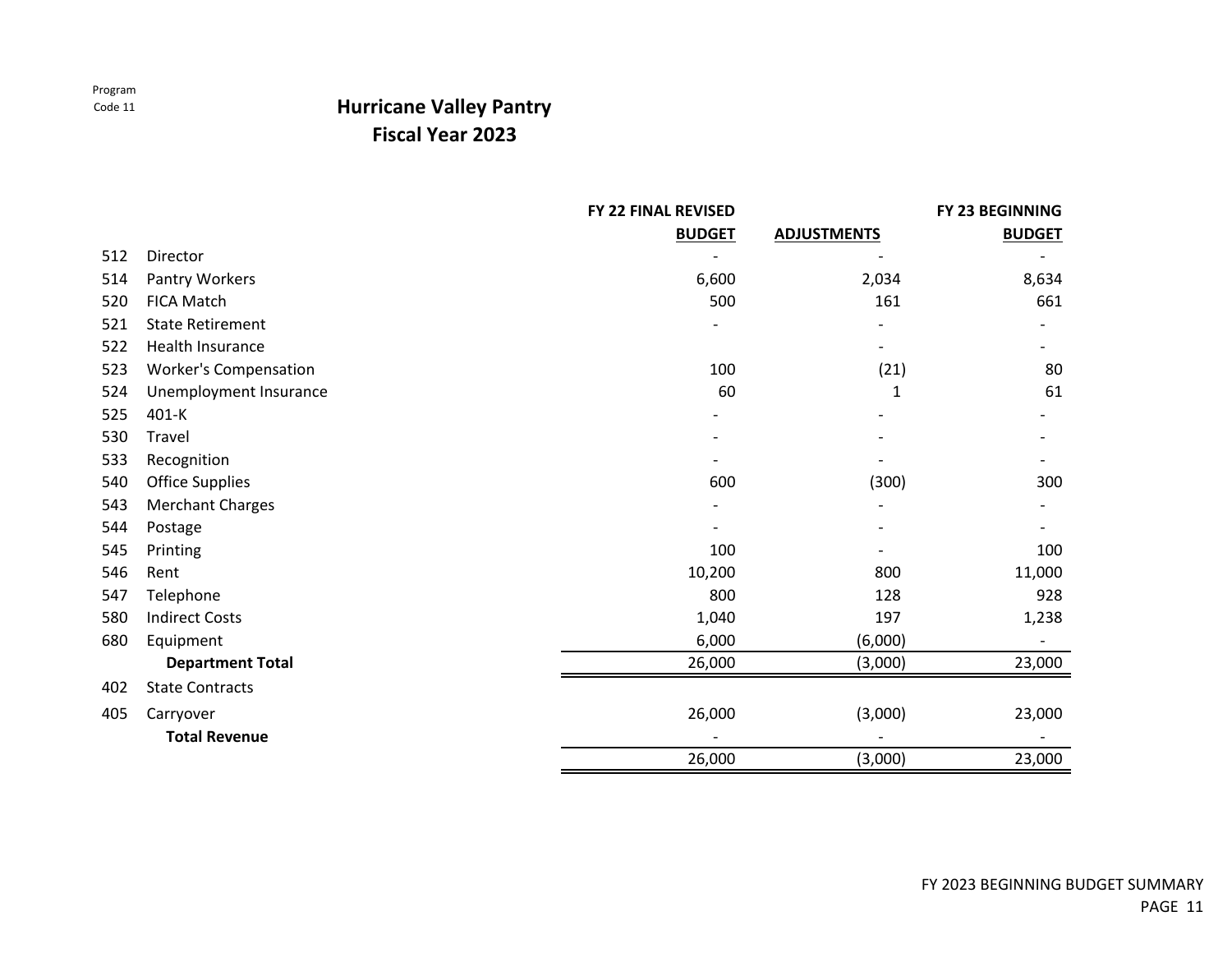### **Hurricane Valley Pantry Fiscal Year 2023**

|     |                              | FY 22 FINAL REVISED |                    | <b>FY 23 BEGINNING</b> |
|-----|------------------------------|---------------------|--------------------|------------------------|
|     |                              | <b>BUDGET</b>       | <b>ADJUSTMENTS</b> | <b>BUDGET</b>          |
| 512 | Director                     |                     |                    |                        |
| 514 | Pantry Workers               | 6,600               | 2,034              | 8,634                  |
| 520 | <b>FICA Match</b>            | 500                 | 161                | 661                    |
| 521 | <b>State Retirement</b>      |                     |                    |                        |
| 522 | <b>Health Insurance</b>      |                     |                    |                        |
| 523 | <b>Worker's Compensation</b> | 100                 | (21)               | 80                     |
| 524 | Unemployment Insurance       | 60                  | 1                  | 61                     |
| 525 | 401-K                        |                     |                    |                        |
| 530 | Travel                       |                     |                    |                        |
| 533 | Recognition                  |                     |                    |                        |
| 540 | <b>Office Supplies</b>       | 600                 | (300)              | 300                    |
| 543 | <b>Merchant Charges</b>      |                     |                    |                        |
| 544 | Postage                      |                     |                    |                        |
| 545 | Printing                     | 100                 |                    | 100                    |
| 546 | Rent                         | 10,200              | 800                | 11,000                 |
| 547 | Telephone                    | 800                 | 128                | 928                    |
| 580 | <b>Indirect Costs</b>        | 1,040               | 197                | 1,238                  |
| 680 | Equipment                    | 6,000               | (6,000)            |                        |
|     | <b>Department Total</b>      | 26,000              | (3,000)            | 23,000                 |
| 402 | <b>State Contracts</b>       |                     |                    |                        |
| 405 | Carryover                    | 26,000              | (3,000)            | 23,000                 |
|     | <b>Total Revenue</b>         |                     |                    |                        |
|     |                              | 26,000              | (3,000)            | 23,000                 |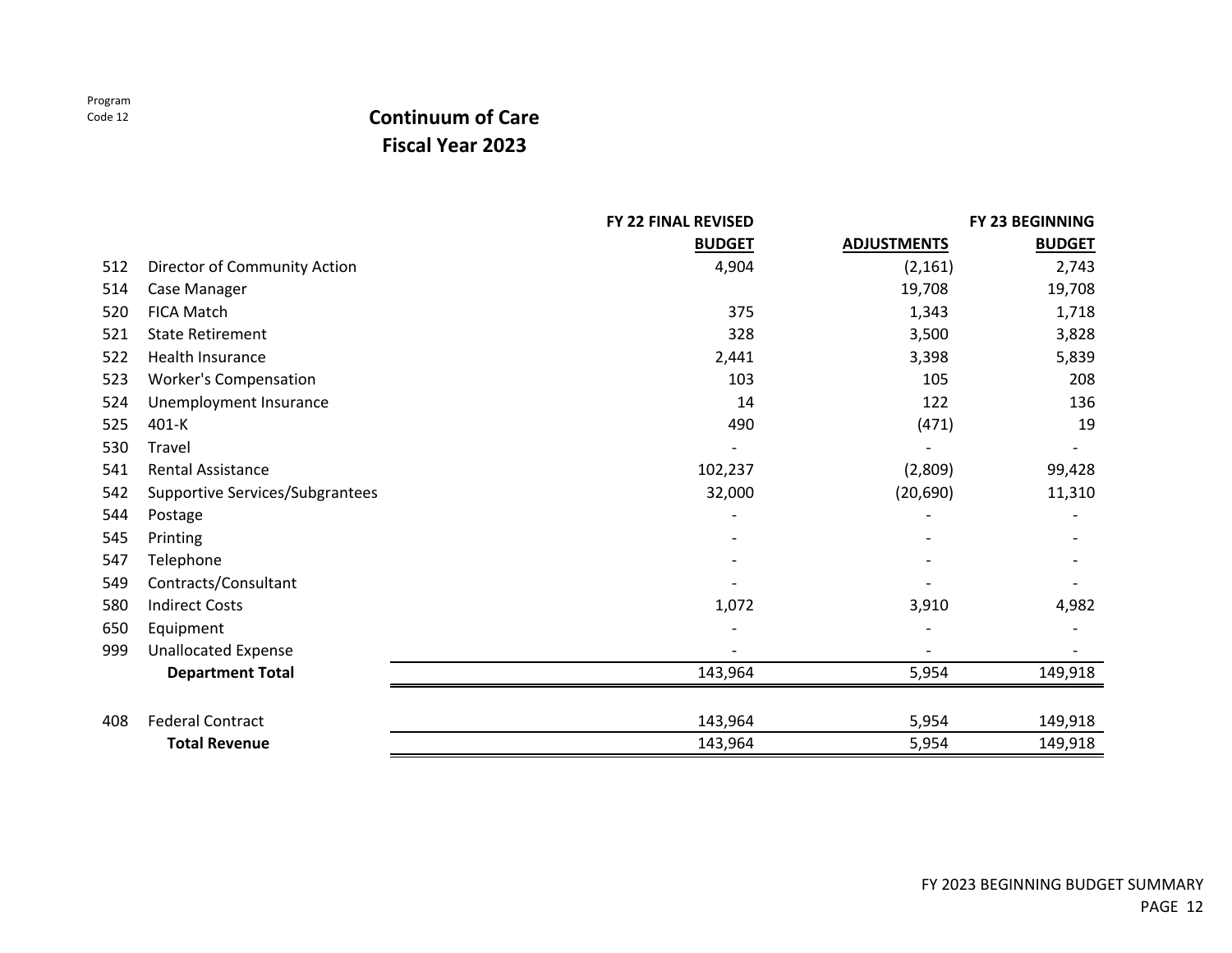### **Continuum of Care Fiscal Year 2023**

|     |                                 | FY 22 FINAL REVISED |                    | FY 23 BEGINNING |
|-----|---------------------------------|---------------------|--------------------|-----------------|
|     |                                 | <b>BUDGET</b>       | <b>ADJUSTMENTS</b> | <b>BUDGET</b>   |
| 512 | Director of Community Action    | 4,904               | (2, 161)           | 2,743           |
| 514 | Case Manager                    |                     | 19,708             | 19,708          |
| 520 | <b>FICA Match</b>               | 375                 | 1,343              | 1,718           |
| 521 | <b>State Retirement</b>         | 328                 | 3,500              | 3,828           |
| 522 | Health Insurance                | 2,441               | 3,398              | 5,839           |
| 523 | <b>Worker's Compensation</b>    | 103                 | 105                | 208             |
| 524 | Unemployment Insurance          | 14                  | 122                | 136             |
| 525 | 401-K                           | 490                 | (471)              | 19              |
| 530 | Travel                          |                     |                    |                 |
| 541 | <b>Rental Assistance</b>        | 102,237             | (2,809)            | 99,428          |
| 542 | Supportive Services/Subgrantees | 32,000              | (20, 690)          | 11,310          |
| 544 | Postage                         |                     |                    |                 |
| 545 | Printing                        |                     |                    |                 |
| 547 | Telephone                       |                     |                    |                 |
| 549 | Contracts/Consultant            |                     |                    |                 |
| 580 | <b>Indirect Costs</b>           | 1,072               | 3,910              | 4,982           |
| 650 | Equipment                       |                     |                    |                 |
| 999 | <b>Unallocated Expense</b>      |                     |                    |                 |
|     | <b>Department Total</b>         | 143,964             | 5,954              | 149,918         |
|     |                                 |                     |                    |                 |
| 408 | <b>Federal Contract</b>         | 143,964             | 5,954              | 149,918         |
|     | <b>Total Revenue</b>            | 143,964             | 5,954              | 149,918         |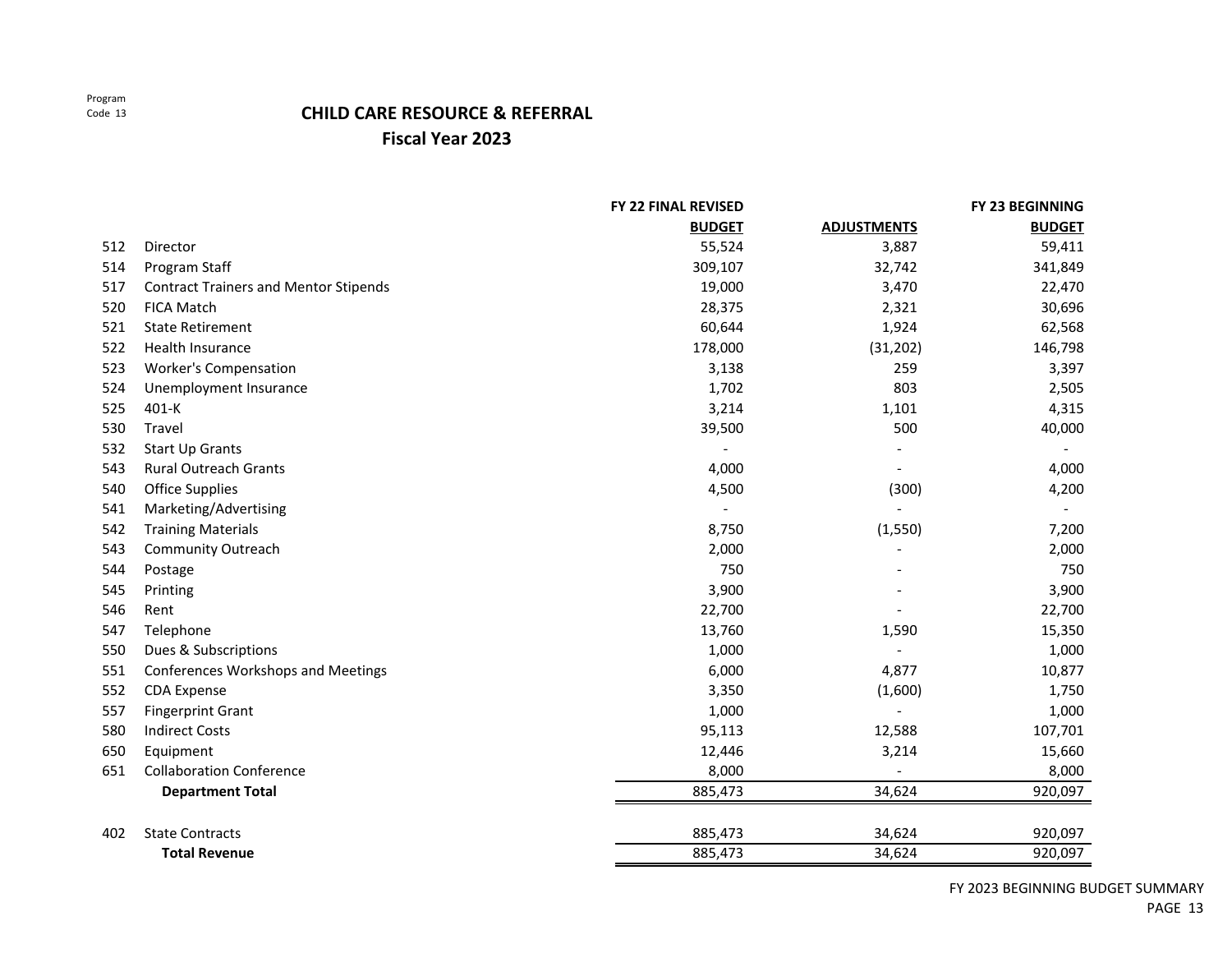### **CHILD CARE RESOURCE & REFERRAL Fiscal Year 2023**

|     |                                              | FY 22 FINAL REVISED |                    | <b>FY 23 BEGINNING</b> |
|-----|----------------------------------------------|---------------------|--------------------|------------------------|
|     |                                              | <b>BUDGET</b>       | <b>ADJUSTMENTS</b> | <b>BUDGET</b>          |
| 512 | Director                                     | 55,524              | 3,887              | 59,411                 |
| 514 | Program Staff                                | 309,107             | 32,742             | 341,849                |
| 517 | <b>Contract Trainers and Mentor Stipends</b> | 19,000              | 3,470              | 22,470                 |
| 520 | <b>FICA Match</b>                            | 28,375              | 2,321              | 30,696                 |
| 521 | <b>State Retirement</b>                      | 60,644              | 1,924              | 62,568                 |
| 522 | Health Insurance                             | 178,000             | (31, 202)          | 146,798                |
| 523 | <b>Worker's Compensation</b>                 | 3,138               | 259                | 3,397                  |
| 524 | Unemployment Insurance                       | 1,702               | 803                | 2,505                  |
| 525 | 401-K                                        | 3,214               | 1,101              | 4,315                  |
| 530 | Travel                                       | 39,500              | 500                | 40,000                 |
| 532 | Start Up Grants                              |                     |                    |                        |
| 543 | <b>Rural Outreach Grants</b>                 | 4,000               |                    | 4,000                  |
| 540 | <b>Office Supplies</b>                       | 4,500               | (300)              | 4,200                  |
| 541 | Marketing/Advertising                        |                     |                    |                        |
| 542 | <b>Training Materials</b>                    | 8,750               | (1,550)            | 7,200                  |
| 543 | <b>Community Outreach</b>                    | 2,000               |                    | 2,000                  |
| 544 | Postage                                      | 750                 |                    | 750                    |
| 545 | Printing                                     | 3,900               |                    | 3,900                  |
| 546 | Rent                                         | 22,700              |                    | 22,700                 |
| 547 | Telephone                                    | 13,760              | 1,590              | 15,350                 |
| 550 | Dues & Subscriptions                         | 1,000               |                    | 1,000                  |
| 551 | Conferences Workshops and Meetings           | 6,000               | 4,877              | 10,877                 |
| 552 | <b>CDA Expense</b>                           | 3,350               | (1,600)            | 1,750                  |
| 557 | <b>Fingerprint Grant</b>                     | 1,000               |                    | 1,000                  |
| 580 | <b>Indirect Costs</b>                        | 95,113              | 12,588             | 107,701                |
| 650 | Equipment                                    | 12,446              | 3,214              | 15,660                 |
| 651 | <b>Collaboration Conference</b>              | 8,000               |                    | 8,000                  |
|     | <b>Department Total</b>                      | 885,473             | 34,624             | 920,097                |
| 402 | <b>State Contracts</b>                       | 885,473             | 34,624             | 920,097                |
|     | <b>Total Revenue</b>                         | 885,473             | 34,624             | 920,097                |

FY 2023 BEGINNING BUDGET SUMMARY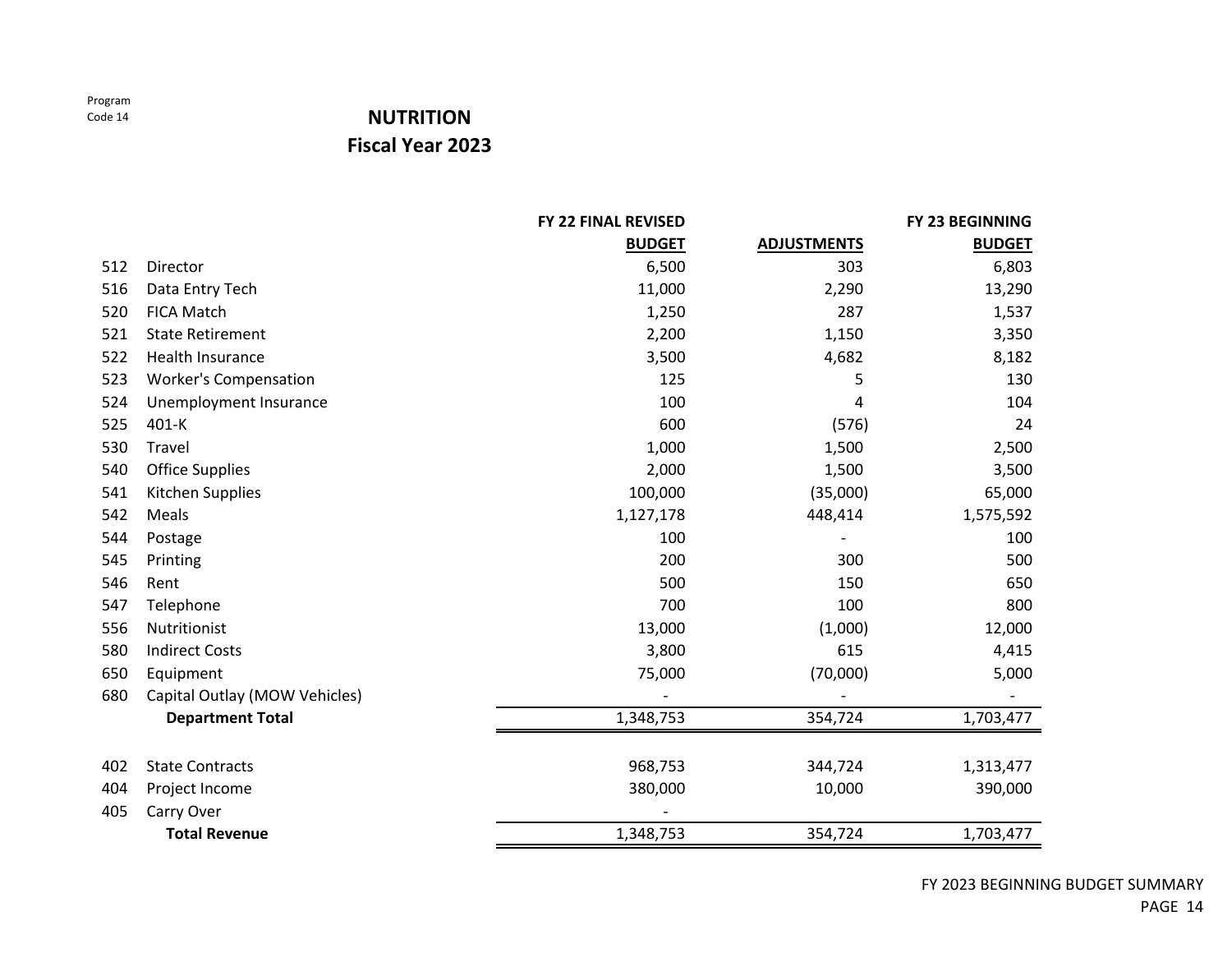### **NUTRITIONFiscal Year 2023**

#### **FY 22 FINAL REVISED FY 23 BEGINNINGBUDGET ADJUSTMENTS BUDGETBUDGET** 512 Director 6,500 303 6,803 516 Data Entry Tech a Entry Tech 11,000 2,290 13,290 520 FICA Match Match 1,250 287 1,537 521 State Retirement Retirement 2,200 1,150 3,350 522 Health Insurance Insurance 3,500 4,682 8,182 523 Worker's Compensation 125 5 130 524 Unemployment Insurance 100 100 104 104 525 401‐K 600 (576) 24 530 Travel 1,000 1,500 2,500 540 Office Supplies Supplies 2,000 1,500 3,500 541 Kitchen Supplies Supplies 100,000 (35,000) 65,000 542 Meals 1,127,178 448,414 1,575,592 544 Postage 100 - 100 - 100 - 100 - 100 - 100 - 100 - 100 - 100 - 100 - 100 - 100 - 100 - 100 - 100 - 100 - 10 545 Printing 200 300 500 546 Rent 500 150 650 547 Telephone 700 100 800 556 Nutritionist 13,000 (1,000) 12,000 580 Indirectt Costs 3,800 615 4,415 650 Equipment 75,000 (70,000) 5,000 680 Capital Outlay (MOW Vehicles) **Department Total** 1,348,753 354,724 1,703,477 402 State Contracts Contracts 968,753 344,724 1,313,477 404 Project Income 380,000 10,000 390,000 405 Carry Over **Figure 2018 Total Revenue**1,348,753 354,724 1,703,477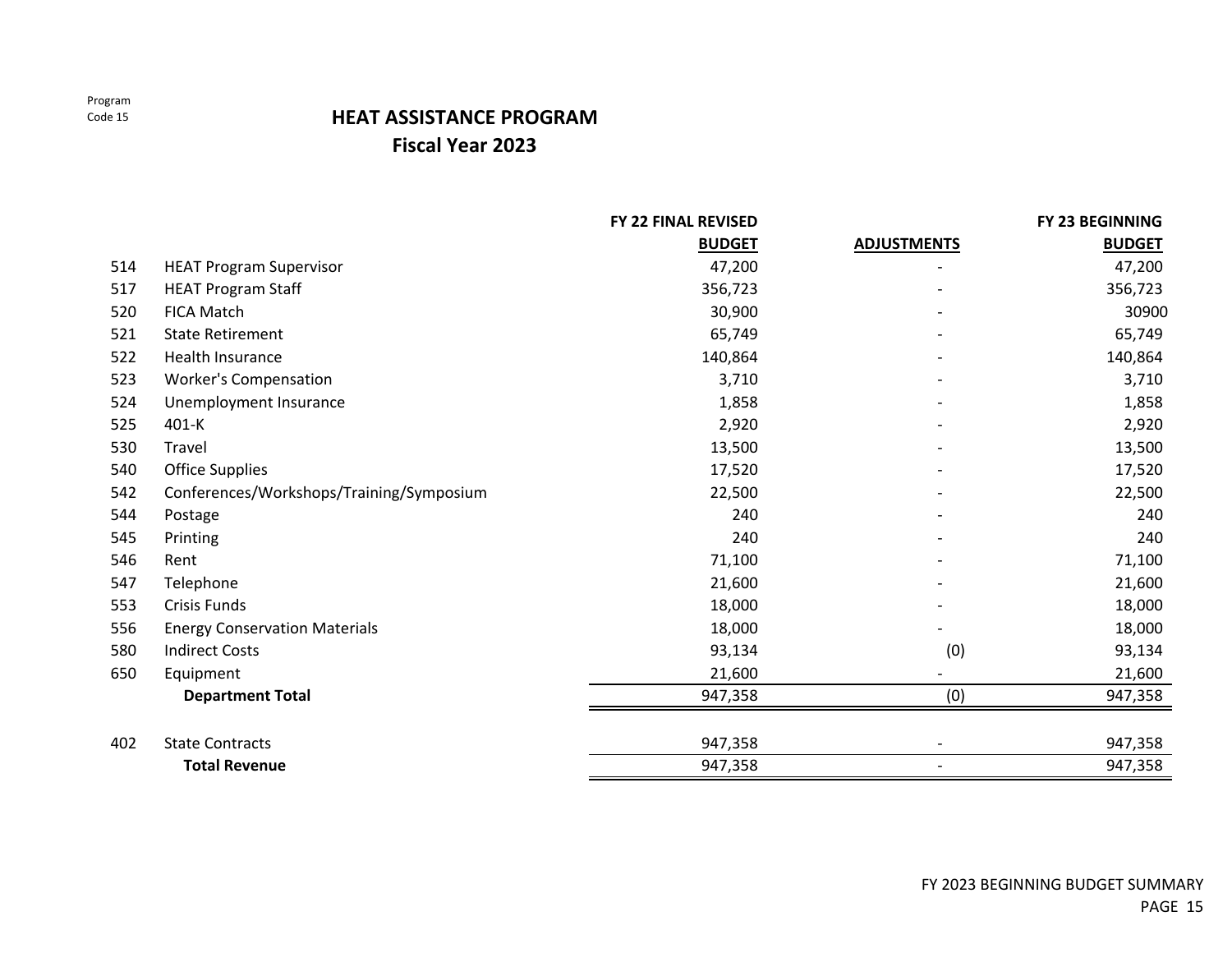### **HEAT ASSISTANCE PROGRAMFiscal Year 2023**

|     |                                          | <b>FY 22 FINAL REVISED</b> |                    | FY 23 BEGINNING |
|-----|------------------------------------------|----------------------------|--------------------|-----------------|
|     |                                          | <b>BUDGET</b>              | <b>ADJUSTMENTS</b> | <b>BUDGET</b>   |
| 514 | <b>HEAT Program Supervisor</b>           | 47,200                     |                    | 47,200          |
| 517 | <b>HEAT Program Staff</b>                | 356,723                    |                    | 356,723         |
| 520 | <b>FICA Match</b>                        | 30,900                     |                    | 30900           |
| 521 | <b>State Retirement</b>                  | 65,749                     |                    | 65,749          |
| 522 | Health Insurance                         | 140,864                    |                    | 140,864         |
| 523 | <b>Worker's Compensation</b>             | 3,710                      |                    | 3,710           |
| 524 | Unemployment Insurance                   | 1,858                      |                    | 1,858           |
| 525 | 401-K                                    | 2,920                      |                    | 2,920           |
| 530 | Travel                                   | 13,500                     |                    | 13,500          |
| 540 | <b>Office Supplies</b>                   | 17,520                     |                    | 17,520          |
| 542 | Conferences/Workshops/Training/Symposium | 22,500                     |                    | 22,500          |
| 544 | Postage                                  | 240                        |                    | 240             |
| 545 | Printing                                 | 240                        |                    | 240             |
| 546 | Rent                                     | 71,100                     |                    | 71,100          |
| 547 | Telephone                                | 21,600                     |                    | 21,600          |
| 553 | <b>Crisis Funds</b>                      | 18,000                     |                    | 18,000          |
| 556 | <b>Energy Conservation Materials</b>     | 18,000                     |                    | 18,000          |
| 580 | <b>Indirect Costs</b>                    | 93,134                     | (0)                | 93,134          |
| 650 | Equipment                                | 21,600                     |                    | 21,600          |
|     | <b>Department Total</b>                  | 947,358                    | (0)                | 947,358         |
| 402 | <b>State Contracts</b>                   | 947,358                    |                    | 947,358         |
|     | <b>Total Revenue</b>                     | 947,358                    |                    | 947,358         |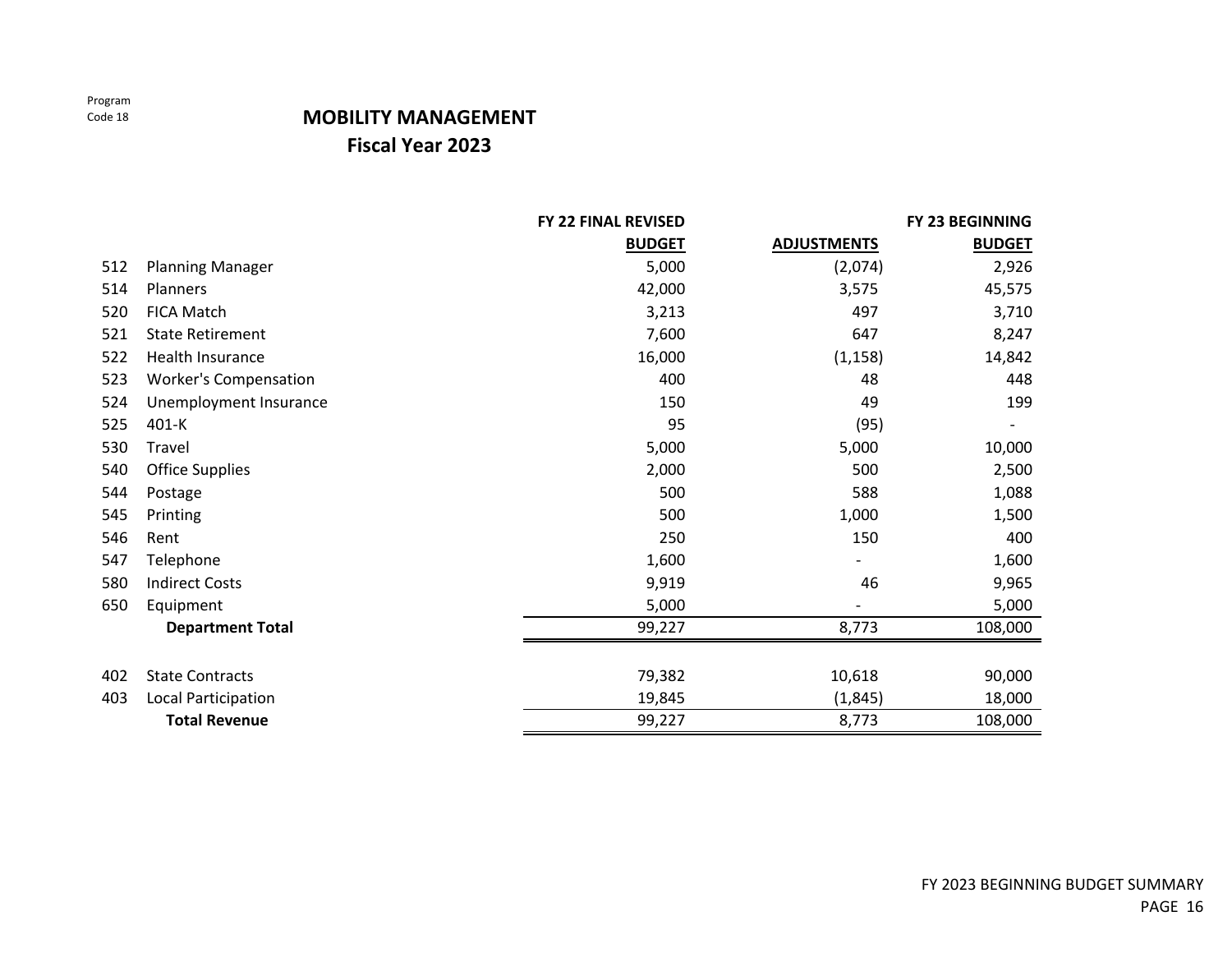### **MOBILITY MANAGEMENT Fiscal Year 2023**

|     |                              | <b>FY 22 FINAL REVISED</b> |                    | FY 23 BEGINNING |
|-----|------------------------------|----------------------------|--------------------|-----------------|
|     |                              | <b>BUDGET</b>              | <b>ADJUSTMENTS</b> | <b>BUDGET</b>   |
| 512 | <b>Planning Manager</b>      | 5,000                      | (2,074)            | 2,926           |
| 514 | Planners                     | 42,000                     | 3,575              | 45,575          |
| 520 | <b>FICA Match</b>            | 3,213                      | 497                | 3,710           |
| 521 | <b>State Retirement</b>      | 7,600                      | 647                | 8,247           |
| 522 | Health Insurance             | 16,000                     | (1, 158)           | 14,842          |
| 523 | <b>Worker's Compensation</b> | 400                        | 48                 | 448             |
| 524 | Unemployment Insurance       | 150                        | 49                 | 199             |
| 525 | 401-K                        | 95                         | (95)               |                 |
| 530 | Travel                       | 5,000                      | 5,000              | 10,000          |
| 540 | <b>Office Supplies</b>       | 2,000                      | 500                | 2,500           |
| 544 | Postage                      | 500                        | 588                | 1,088           |
| 545 | Printing                     | 500                        | 1,000              | 1,500           |
| 546 | Rent                         | 250                        | 150                | 400             |
| 547 | Telephone                    | 1,600                      | -                  | 1,600           |
| 580 | <b>Indirect Costs</b>        | 9,919                      | 46                 | 9,965           |
| 650 | Equipment                    | 5,000                      |                    | 5,000           |
|     | <b>Department Total</b>      | 99,227                     | 8,773              | 108,000         |
|     |                              |                            |                    |                 |
| 402 | <b>State Contracts</b>       | 79,382                     | 10,618             | 90,000          |
| 403 | Local Participation          | 19,845                     | (1, 845)           | 18,000          |
|     | <b>Total Revenue</b>         | 99,227                     | 8,773              | 108,000         |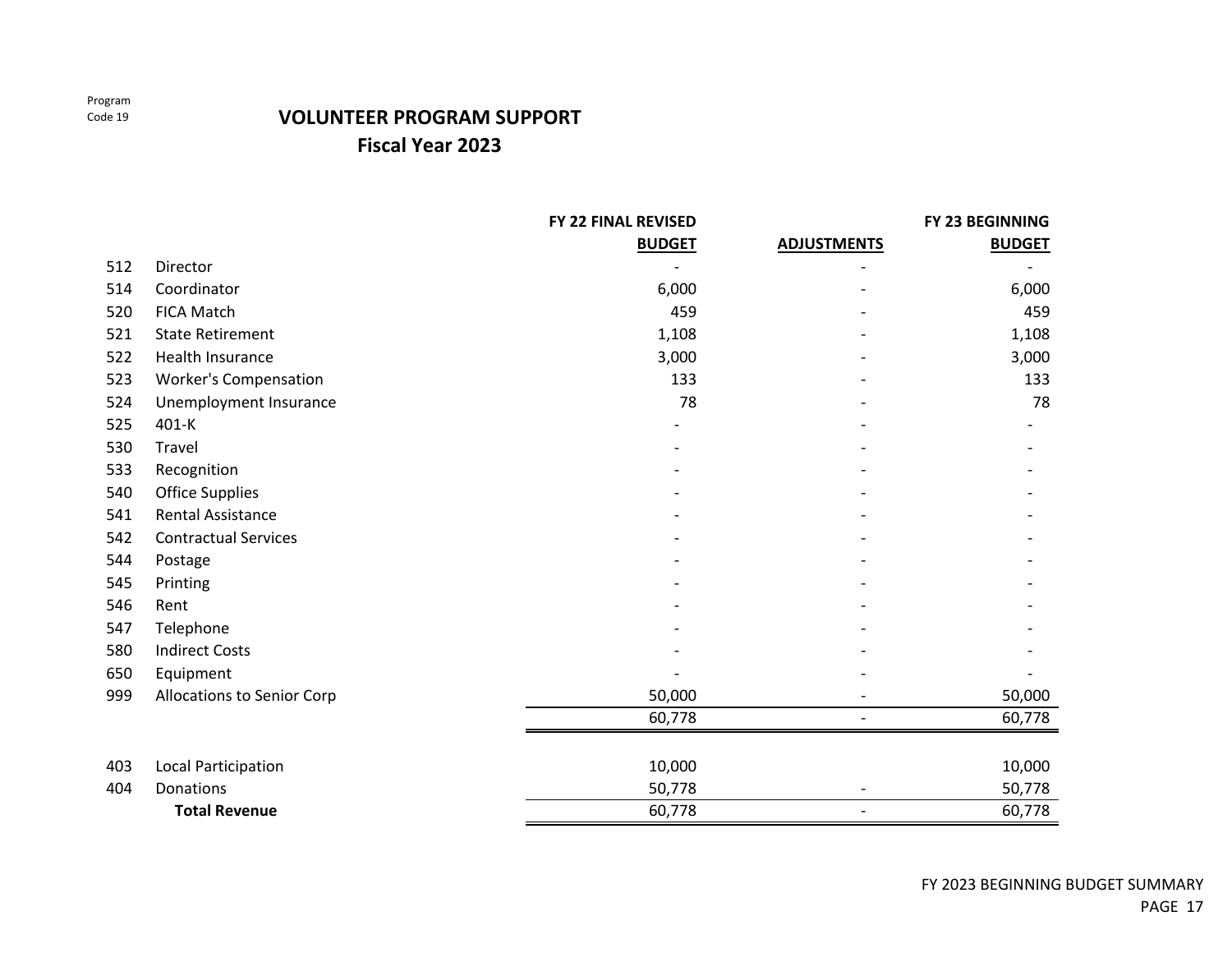### **VOLUNTEER PROGRAM SUPPORT Fiscal Year 2023**

|     |                              | <b>FY 22 FINAL REVISED</b> |                          | FY 23 BEGINNING |
|-----|------------------------------|----------------------------|--------------------------|-----------------|
|     |                              | <b>BUDGET</b>              | <b>ADJUSTMENTS</b>       | <b>BUDGET</b>   |
| 512 | Director                     |                            |                          |                 |
| 514 | Coordinator                  | 6,000                      |                          | 6,000           |
| 520 | <b>FICA Match</b>            | 459                        |                          | 459             |
| 521 | <b>State Retirement</b>      | 1,108                      |                          | 1,108           |
| 522 | Health Insurance             | 3,000                      |                          | 3,000           |
| 523 | <b>Worker's Compensation</b> | 133                        |                          | 133             |
| 524 | Unemployment Insurance       | 78                         |                          | 78              |
| 525 | 401-K                        |                            |                          |                 |
| 530 | Travel                       |                            |                          |                 |
| 533 | Recognition                  |                            |                          |                 |
| 540 | <b>Office Supplies</b>       |                            |                          |                 |
| 541 | <b>Rental Assistance</b>     |                            |                          |                 |
| 542 | <b>Contractual Services</b>  |                            |                          |                 |
| 544 | Postage                      |                            |                          |                 |
| 545 | Printing                     |                            |                          |                 |
| 546 | Rent                         |                            |                          |                 |
| 547 | Telephone                    |                            |                          |                 |
| 580 | <b>Indirect Costs</b>        |                            |                          |                 |
| 650 | Equipment                    |                            |                          |                 |
| 999 | Allocations to Senior Corp   | 50,000                     |                          | 50,000          |
|     |                              | 60,778                     |                          | 60,778          |
|     |                              |                            |                          |                 |
| 403 | Local Participation          | 10,000                     |                          | 10,000          |
| 404 | Donations                    | 50,778                     | $\qquad \qquad -$        | 50,778          |
|     | <b>Total Revenue</b>         | 60,778                     | $\overline{\phantom{0}}$ | 60,778          |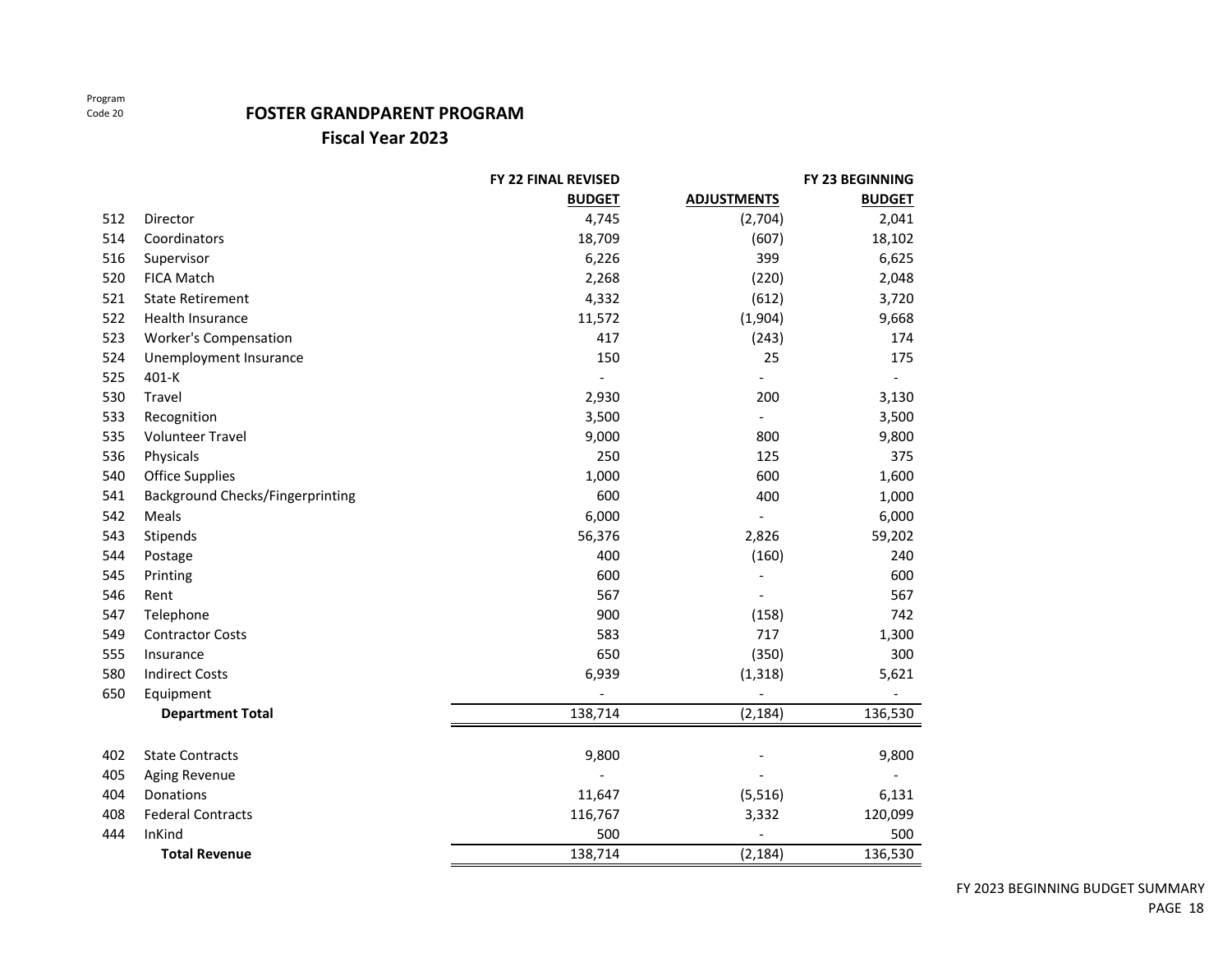#### **FOSTER GRANDPARENT PROGRAM**

|     |                                         | FY 22 FINAL REVISED |                    | <b>FY 23 BEGINNING</b> |
|-----|-----------------------------------------|---------------------|--------------------|------------------------|
|     |                                         | <b>BUDGET</b>       | <b>ADJUSTMENTS</b> | <b>BUDGET</b>          |
| 512 | Director                                | 4,745               | (2,704)            | 2,041                  |
| 514 | Coordinators                            | 18,709              | (607)              | 18,102                 |
| 516 | Supervisor                              | 6,226               | 399                | 6,625                  |
| 520 | <b>FICA Match</b>                       | 2,268               | (220)              | 2,048                  |
| 521 | <b>State Retirement</b>                 | 4,332               | (612)              | 3,720                  |
| 522 | Health Insurance                        | 11,572              | (1,904)            | 9,668                  |
| 523 | <b>Worker's Compensation</b>            | 417                 | (243)              | 174                    |
| 524 | Unemployment Insurance                  | 150                 | 25                 | 175                    |
| 525 | 401-K                                   |                     | $\overline{a}$     |                        |
| 530 | Travel                                  | 2,930               | 200                | 3,130                  |
| 533 | Recognition                             | 3,500               |                    | 3,500                  |
| 535 | <b>Volunteer Travel</b>                 | 9,000               | 800                | 9,800                  |
| 536 | Physicals                               | 250                 | 125                | 375                    |
| 540 | <b>Office Supplies</b>                  | 1,000               | 600                | 1,600                  |
| 541 | <b>Background Checks/Fingerprinting</b> | 600                 | 400                | 1,000                  |
| 542 | Meals                                   | 6,000               |                    | 6,000                  |
| 543 | Stipends                                | 56,376              | 2,826              | 59,202                 |
| 544 | Postage                                 | 400                 | (160)              | 240                    |
| 545 | Printing                                | 600                 |                    | 600                    |
| 546 | Rent                                    | 567                 | $\overline{a}$     | 567                    |
| 547 | Telephone                               | 900                 | (158)              | 742                    |
| 549 | <b>Contractor Costs</b>                 | 583                 | 717                | 1,300                  |
| 555 | Insurance                               | 650                 | (350)              | 300                    |
| 580 | <b>Indirect Costs</b>                   | 6,939               | (1, 318)           | 5,621                  |
| 650 | Equipment                               |                     |                    |                        |
|     | <b>Department Total</b>                 | 138,714             | (2, 184)           | 136,530                |
|     |                                         |                     |                    |                        |
| 402 | <b>State Contracts</b>                  | 9,800               |                    | 9,800                  |
| 405 | <b>Aging Revenue</b>                    |                     |                    |                        |
| 404 | <b>Donations</b>                        | 11,647              | (5, 516)           | 6,131                  |
| 408 | <b>Federal Contracts</b>                | 116,767             | 3,332              | 120,099                |
| 444 | InKind                                  | 500                 |                    | 500                    |
|     | <b>Total Revenue</b>                    | 138,714             | (2, 184)           | 136,530                |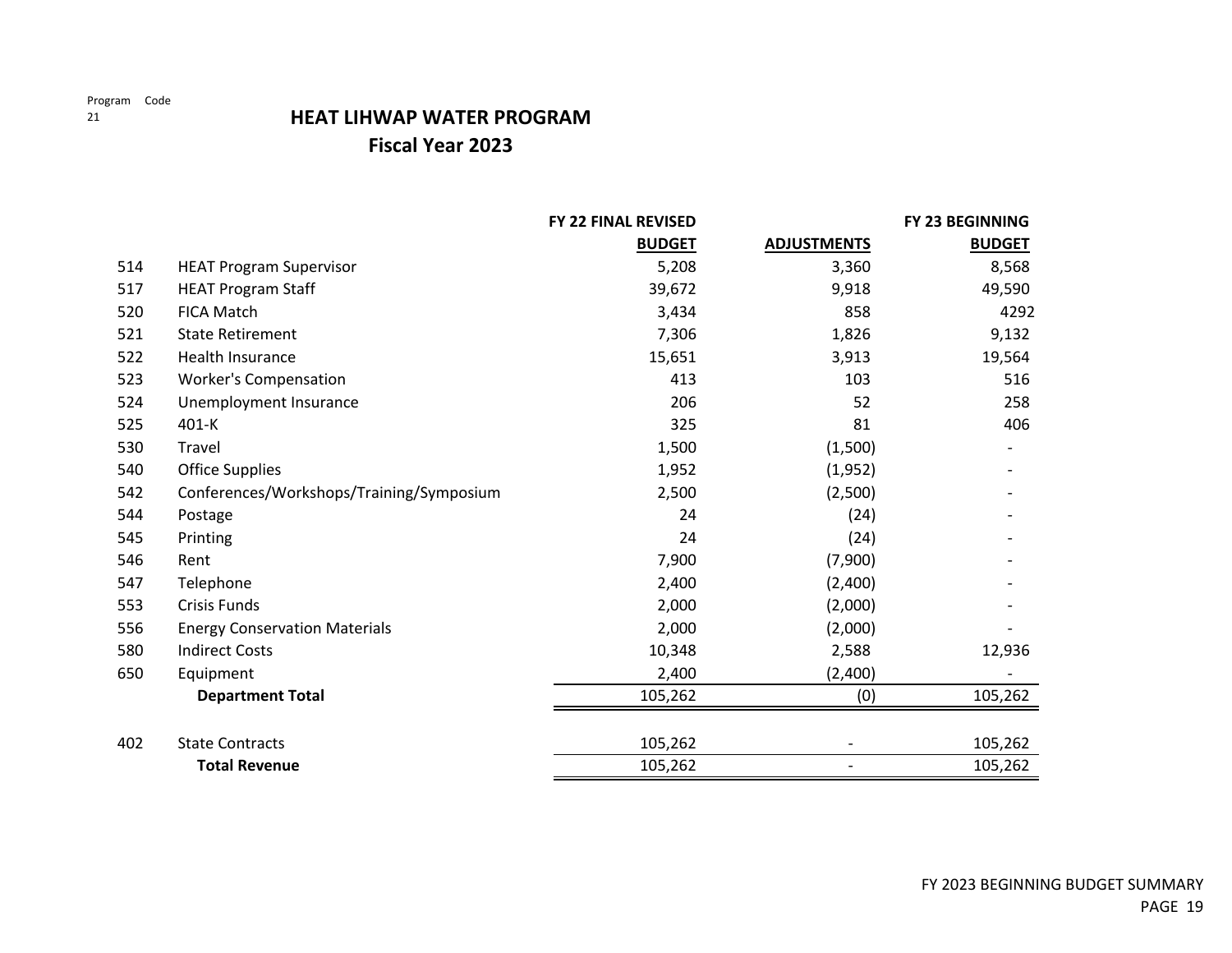### **HEAT LIHWAP WATER PROGRAMFiscal Year 2023**

|     |                                          | <b>FY 22 FINAL REVISED</b> |                          | <b>FY 23 BEGINNING</b> |
|-----|------------------------------------------|----------------------------|--------------------------|------------------------|
|     |                                          | <b>BUDGET</b>              | <b>ADJUSTMENTS</b>       | <b>BUDGET</b>          |
| 514 | <b>HEAT Program Supervisor</b>           | 5,208                      | 3,360                    | 8,568                  |
| 517 | <b>HEAT Program Staff</b>                | 39,672                     | 9,918                    | 49,590                 |
| 520 | <b>FICA Match</b>                        | 3,434                      | 858                      | 4292                   |
| 521 | <b>State Retirement</b>                  | 7,306                      | 1,826                    | 9,132                  |
| 522 | Health Insurance                         | 15,651                     | 3,913                    | 19,564                 |
| 523 | <b>Worker's Compensation</b>             | 413                        | 103                      | 516                    |
| 524 | Unemployment Insurance                   | 206                        | 52                       | 258                    |
| 525 | 401-K                                    | 325                        | 81                       | 406                    |
| 530 | Travel                                   | 1,500                      | (1,500)                  |                        |
| 540 | <b>Office Supplies</b>                   | 1,952                      | (1, 952)                 |                        |
| 542 | Conferences/Workshops/Training/Symposium | 2,500                      | (2,500)                  |                        |
| 544 | Postage                                  | 24                         | (24)                     |                        |
| 545 | Printing                                 | 24                         | (24)                     |                        |
| 546 | Rent                                     | 7,900                      | (7,900)                  |                        |
| 547 | Telephone                                | 2,400                      | (2,400)                  |                        |
| 553 | <b>Crisis Funds</b>                      | 2,000                      | (2,000)                  |                        |
| 556 | <b>Energy Conservation Materials</b>     | 2,000                      | (2,000)                  |                        |
| 580 | <b>Indirect Costs</b>                    | 10,348                     | 2,588                    | 12,936                 |
| 650 | Equipment                                | 2,400                      | (2,400)                  |                        |
|     | <b>Department Total</b>                  | 105,262                    | (0)                      | 105,262                |
| 402 | <b>State Contracts</b>                   | 105,262                    |                          | 105,262                |
|     | <b>Total Revenue</b>                     | 105,262                    | $\overline{\phantom{a}}$ | 105,262                |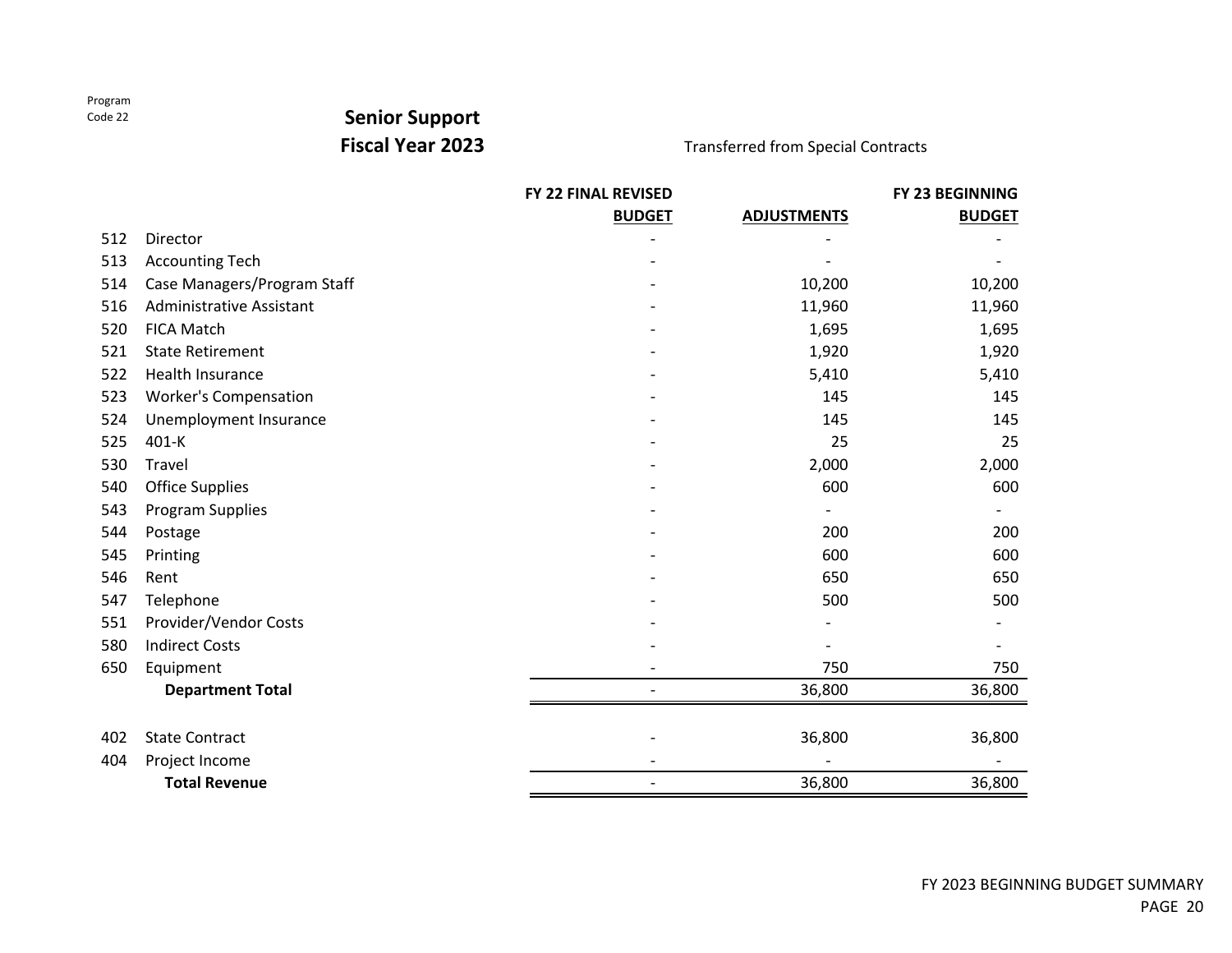|     |                              | <b>FY 22 FINAL REVISED</b> |                          | FY 23 BEGINNIN |
|-----|------------------------------|----------------------------|--------------------------|----------------|
|     |                              | <b>BUDGET</b>              | <b>ADJUSTMENTS</b>       | <b>BUDG</b>    |
| 512 | Director                     |                            | $\overline{\phantom{0}}$ |                |
| 513 | <b>Accounting Tech</b>       |                            |                          |                |
| 514 | Case Managers/Program Staff  |                            | 10,200                   | 10,2           |
| 516 | Administrative Assistant     |                            | 11,960                   | 11,9           |
| 520 | <b>FICA Match</b>            |                            | 1,695                    | 1,6            |
| 521 | <b>State Retirement</b>      |                            | 1,920                    | 1,9            |
| 522 | Health Insurance             |                            | 5,410                    | 5,4            |
| 523 | <b>Worker's Compensation</b> |                            | 145                      | 1              |
| 524 | Unemployment Insurance       |                            | 145                      | 1              |
| 525 | 401-K                        |                            | 25                       |                |
| 530 | Travel                       |                            | 2,000                    | 2,0            |
| 540 | <b>Office Supplies</b>       |                            | 600                      | 6              |
|     | E42 Drogram Cunnlice         |                            |                          |                |

### **Senior Support Fiscal Year 2023**

Transferred from Special Contracts

**FY 23 BEGINNING**

**BUDGET** 

| 514 | Case Managers/Program Staff  | 10,200 | 10,200 |
|-----|------------------------------|--------|--------|
| 516 | Administrative Assistant     | 11,960 | 11,960 |
| 520 | FICA Match                   | 1,695  | 1,695  |
| 521 | <b>State Retirement</b>      | 1,920  | 1,920  |
| 522 | Health Insurance             | 5,410  | 5,410  |
| 523 | <b>Worker's Compensation</b> | 145    | 145    |
| 524 | Unemployment Insurance       | 145    | 145    |
| 525 | 401-K                        | 25     | 25     |
| 530 | Travel                       | 2,000  | 2,000  |
| 540 | <b>Office Supplies</b>       | 600    | 600    |
| 543 | <b>Program Supplies</b>      |        |        |
| 544 | Postage                      | 200    | 200    |
| 545 | Printing                     | 600    | 600    |
| 546 | Rent                         | 650    | 650    |
| 547 | Telephone                    | 500    | 500    |
| 551 | Provider/Vendor Costs        |        |        |
| 580 | <b>Indirect Costs</b>        |        |        |
| 650 | Equipment                    | 750    | 750    |
|     | <b>Department Total</b>      | 36,800 | 36,800 |
| 402 | <b>State Contract</b>        | 36,800 | 36,800 |
| 404 | Project Income               |        |        |

**Total Revenue**‐ 36,800 36,800

Program Code 22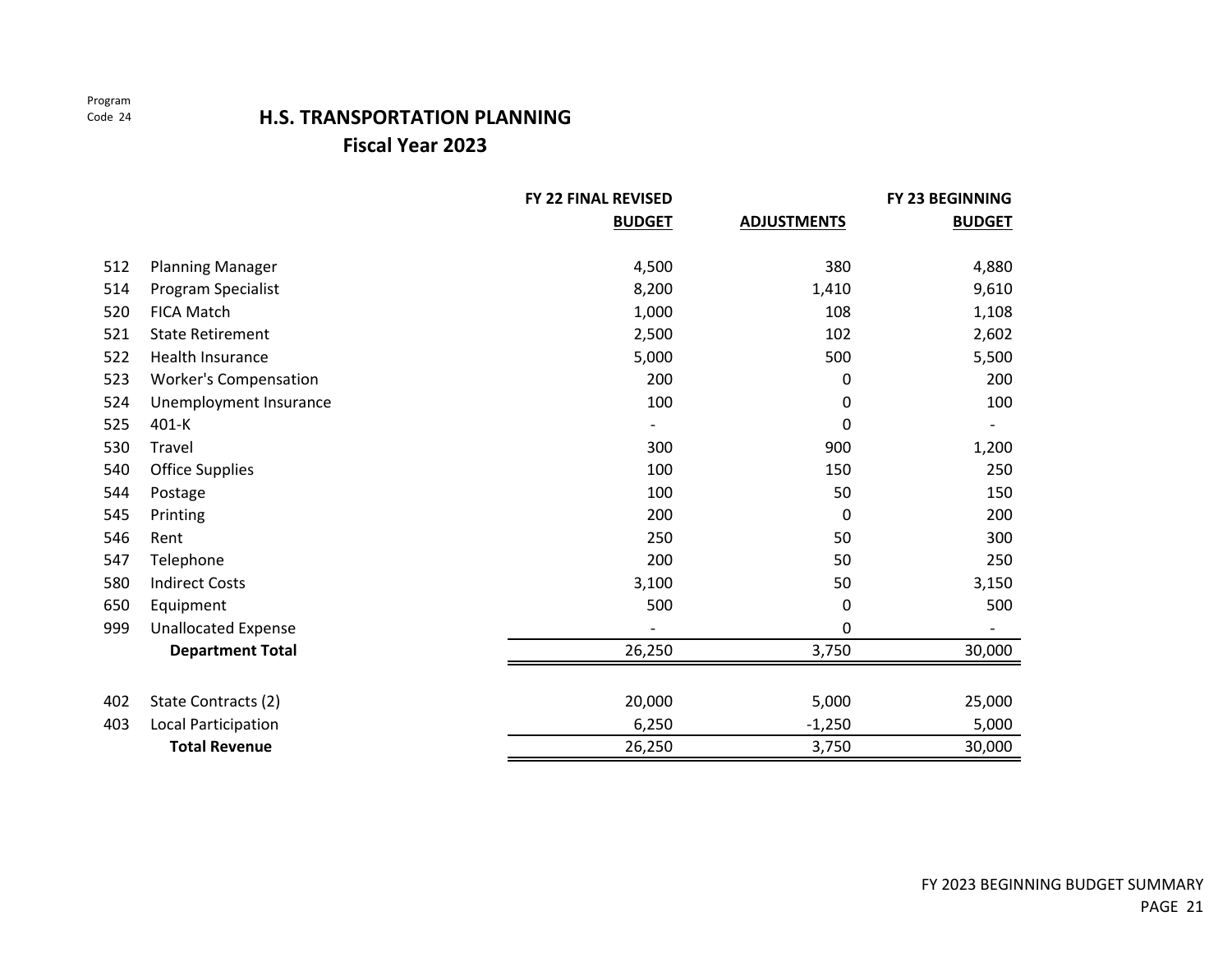### **H.S. TRANSPORTATION PLANNING Fiscal Year 2023**

|     |                              | <b>FY 22 FINAL REVISED</b> |                    | FY 23 BEGINNING |
|-----|------------------------------|----------------------------|--------------------|-----------------|
|     |                              | <b>BUDGET</b>              | <b>ADJUSTMENTS</b> | <b>BUDGET</b>   |
|     |                              |                            |                    |                 |
| 512 | <b>Planning Manager</b>      | 4,500                      | 380                | 4,880           |
| 514 | Program Specialist           | 8,200                      | 1,410              | 9,610           |
| 520 | <b>FICA Match</b>            | 1,000                      | 108                | 1,108           |
| 521 | <b>State Retirement</b>      | 2,500                      | 102                | 2,602           |
| 522 | Health Insurance             | 5,000                      | 500                | 5,500           |
| 523 | <b>Worker's Compensation</b> | 200                        | 0                  | 200             |
| 524 | Unemployment Insurance       | 100                        | 0                  | 100             |
| 525 | 401-K                        |                            | 0                  |                 |
| 530 | Travel                       | 300                        | 900                | 1,200           |
| 540 | Office Supplies              | 100                        | 150                | 250             |
| 544 | Postage                      | 100                        | 50                 | 150             |
| 545 | Printing                     | 200                        | 0                  | 200             |
| 546 | Rent                         | 250                        | 50                 | 300             |
| 547 | Telephone                    | 200                        | 50                 | 250             |
| 580 | <b>Indirect Costs</b>        | 3,100                      | 50                 | 3,150           |
| 650 | Equipment                    | 500                        | 0                  | 500             |
| 999 | <b>Unallocated Expense</b>   |                            | 0                  |                 |
|     | <b>Department Total</b>      | 26,250                     | 3,750              | 30,000          |
|     |                              |                            |                    |                 |
| 402 | State Contracts (2)          | 20,000                     | 5,000              | 25,000          |
| 403 | Local Participation          | 6,250                      | $-1,250$           | 5,000           |
|     | <b>Total Revenue</b>         | 26,250                     | 3,750              | 30,000          |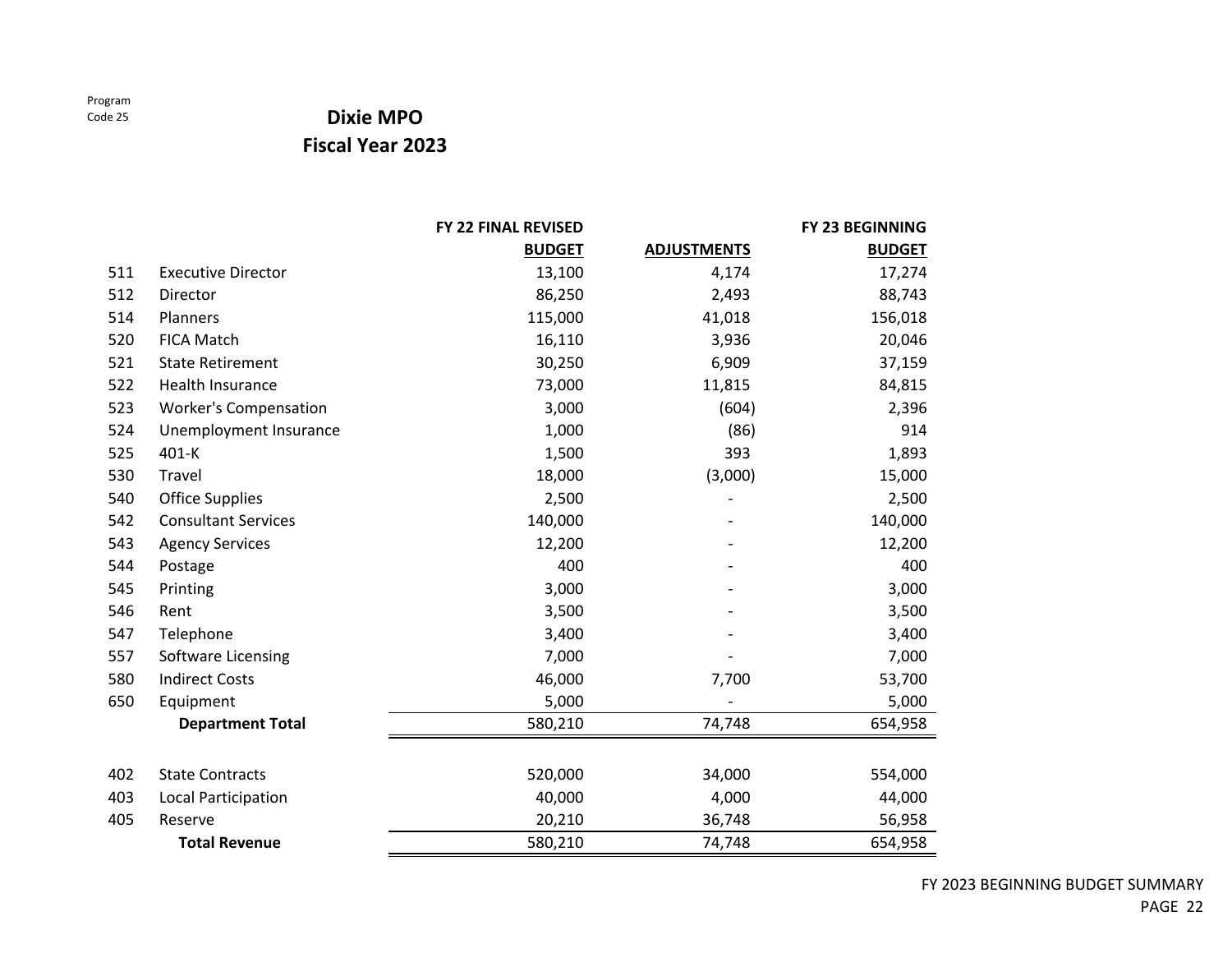### **Dixie MPO**

|     |                              | FY 22 FINAL REVISED |                    | <b>FY 23 BEGINNING</b> |
|-----|------------------------------|---------------------|--------------------|------------------------|
|     |                              | <b>BUDGET</b>       | <b>ADJUSTMENTS</b> | <b>BUDGET</b>          |
| 511 | <b>Executive Director</b>    | 13,100              | 4,174              | 17,274                 |
| 512 | Director                     | 86,250              | 2,493              | 88,743                 |
| 514 | Planners                     | 115,000             | 41,018             | 156,018                |
| 520 | <b>FICA Match</b>            | 16,110              | 3,936              | 20,046                 |
| 521 | <b>State Retirement</b>      | 30,250              | 6,909              | 37,159                 |
| 522 | <b>Health Insurance</b>      | 73,000              | 11,815             | 84,815                 |
| 523 | <b>Worker's Compensation</b> | 3,000               | (604)              | 2,396                  |
| 524 | Unemployment Insurance       | 1,000               | (86)               | 914                    |
| 525 | 401-K                        | 1,500               | 393                | 1,893                  |
| 530 | Travel                       | 18,000              | (3,000)            | 15,000                 |
| 540 | <b>Office Supplies</b>       | 2,500               |                    | 2,500                  |
| 542 | <b>Consultant Services</b>   | 140,000             |                    | 140,000                |
| 543 | <b>Agency Services</b>       | 12,200              |                    | 12,200                 |
| 544 | Postage                      | 400                 |                    | 400                    |
| 545 | Printing                     | 3,000               |                    | 3,000                  |
| 546 | Rent                         | 3,500               |                    | 3,500                  |
| 547 | Telephone                    | 3,400               |                    | 3,400                  |
| 557 | Software Licensing           | 7,000               |                    | 7,000                  |
| 580 | <b>Indirect Costs</b>        | 46,000              | 7,700              | 53,700                 |
| 650 | Equipment                    | 5,000               |                    | 5,000                  |
|     | <b>Department Total</b>      | 580,210             | 74,748             | 654,958                |
|     |                              |                     |                    |                        |
| 402 | <b>State Contracts</b>       | 520,000             | 34,000             | 554,000                |
| 403 | Local Participation          | 40,000              | 4,000              | 44,000                 |
| 405 | Reserve                      | 20,210              | 36,748             | 56,958                 |
|     | <b>Total Revenue</b>         | 580,210             | 74,748             | 654,958                |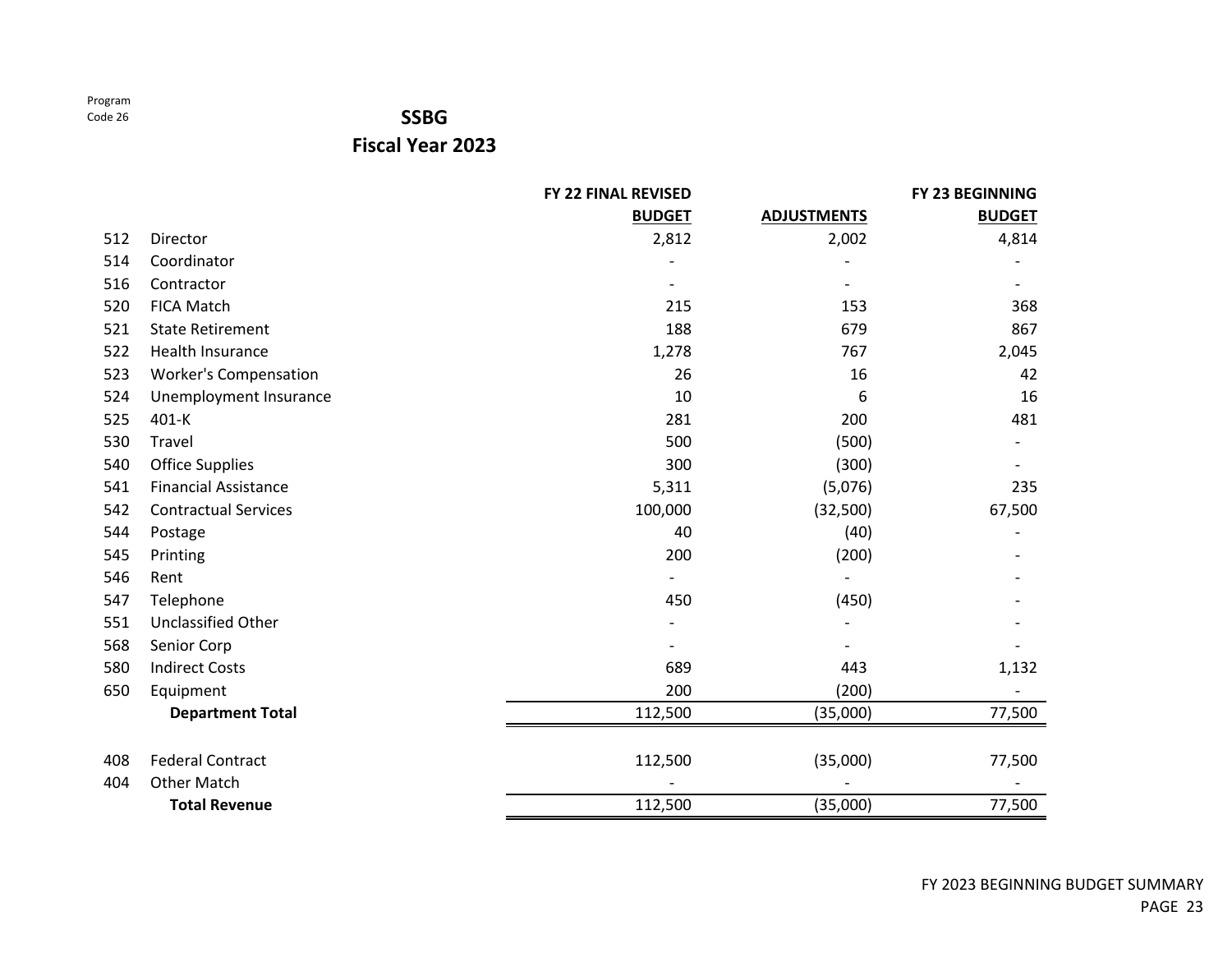### **SSBG**

|     |                              | FY 22 FINAL REVISED |                    | FY 23 BEGINNING |
|-----|------------------------------|---------------------|--------------------|-----------------|
|     |                              | <b>BUDGET</b>       | <b>ADJUSTMENTS</b> | <b>BUDGET</b>   |
| 512 | Director                     | 2,812               | 2,002              | 4,814           |
| 514 | Coordinator                  |                     |                    |                 |
| 516 | Contractor                   |                     |                    |                 |
| 520 | <b>FICA Match</b>            | 215                 | 153                | 368             |
| 521 | <b>State Retirement</b>      | 188                 | 679                | 867             |
| 522 | Health Insurance             | 1,278               | 767                | 2,045           |
| 523 | <b>Worker's Compensation</b> | 26                  | 16                 | 42              |
| 524 | Unemployment Insurance       | 10                  | 6                  | 16              |
| 525 | 401-K                        | 281                 | 200                | 481             |
| 530 | Travel                       | 500                 | (500)              |                 |
| 540 | <b>Office Supplies</b>       | 300                 | (300)              |                 |
| 541 | <b>Financial Assistance</b>  | 5,311               | (5,076)            | 235             |
| 542 | <b>Contractual Services</b>  | 100,000             | (32,500)           | 67,500          |
| 544 | Postage                      | 40                  | (40)               |                 |
| 545 | Printing                     | 200                 | (200)              |                 |
| 546 | Rent                         |                     |                    |                 |
| 547 | Telephone                    | 450                 | (450)              |                 |
| 551 | <b>Unclassified Other</b>    |                     |                    |                 |
| 568 | Senior Corp                  |                     |                    |                 |
| 580 | <b>Indirect Costs</b>        | 689                 | 443                | 1,132           |
| 650 | Equipment                    | 200                 | (200)              |                 |
|     | <b>Department Total</b>      | 112,500             | (35,000)           | 77,500          |
| 408 | <b>Federal Contract</b>      | 112,500             | (35,000)           | 77,500          |
| 404 | <b>Other Match</b>           |                     |                    |                 |
|     | <b>Total Revenue</b>         | 112,500             | (35,000)           | 77,500          |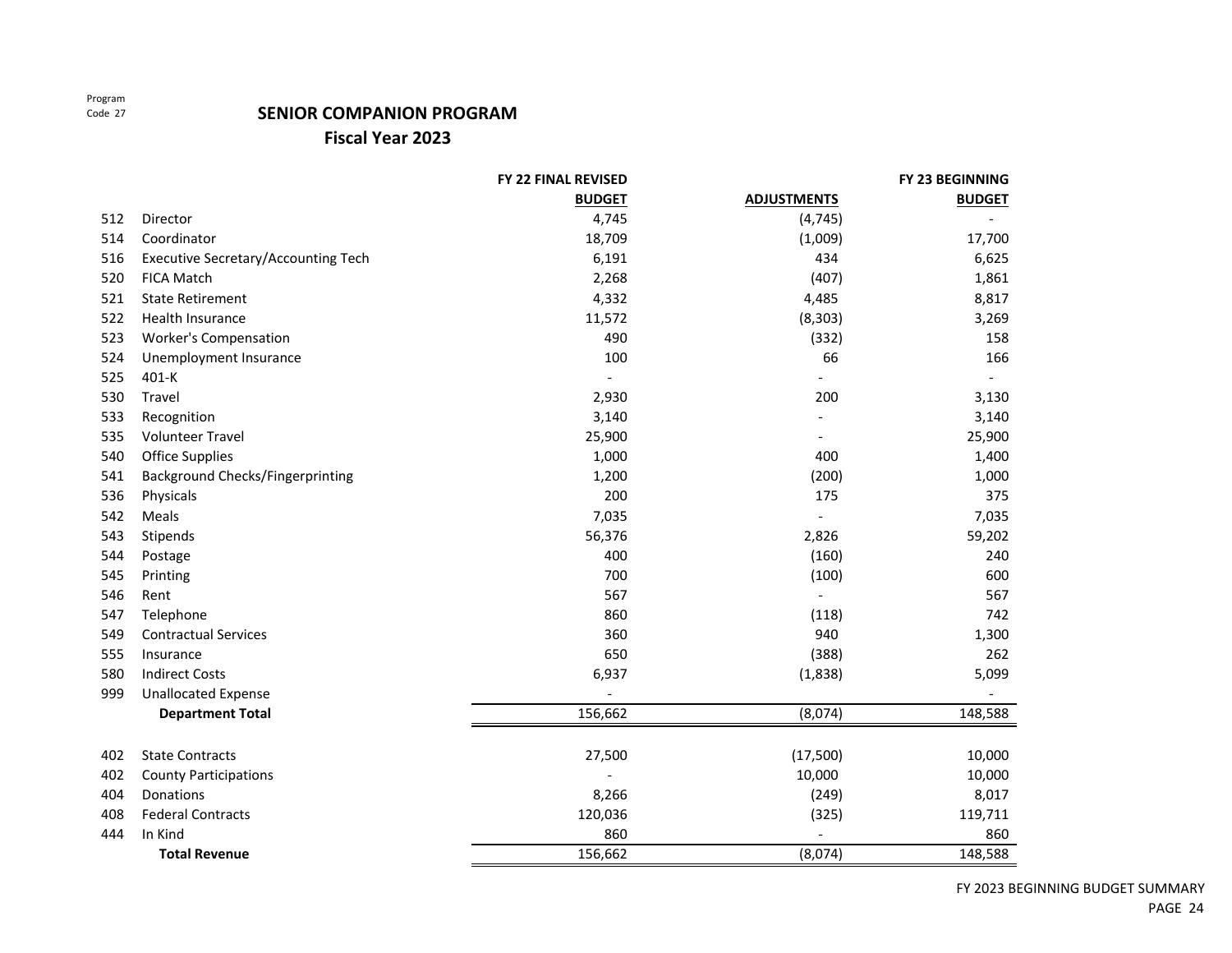#### **SENIOR COMPANION PROGRAM**

**Fiscal Year 2023**

|     |                                         | <b>FY 22 FINAL REVISED</b> |                          | <b>FY 23 BEGINNING</b> |
|-----|-----------------------------------------|----------------------------|--------------------------|------------------------|
|     |                                         | <b>BUDGET</b>              | <b>ADJUSTMENTS</b>       | <b>BUDGET</b>          |
| 512 | Director                                | 4,745                      | (4, 745)                 |                        |
| 514 | Coordinator                             | 18,709                     | (1,009)                  | 17,700                 |
| 516 | Executive Secretary/Accounting Tech     | 6,191                      | 434                      | 6,625                  |
| 520 | <b>FICA Match</b>                       | 2,268                      | (407)                    | 1,861                  |
| 521 | <b>State Retirement</b>                 | 4,332                      | 4,485                    | 8,817                  |
| 522 | Health Insurance                        | 11,572                     | (8, 303)                 | 3,269                  |
| 523 | <b>Worker's Compensation</b>            | 490                        | (332)                    | 158                    |
| 524 | Unemployment Insurance                  | 100                        | 66                       | 166                    |
| 525 | 401-K                                   |                            |                          |                        |
| 530 | Travel                                  | 2,930                      | 200                      | 3,130                  |
| 533 | Recognition                             | 3,140                      |                          | 3,140                  |
| 535 | <b>Volunteer Travel</b>                 | 25,900                     | $\overline{\phantom{m}}$ | 25,900                 |
| 540 | <b>Office Supplies</b>                  | 1,000                      | 400                      | 1,400                  |
| 541 | <b>Background Checks/Fingerprinting</b> | 1,200                      | (200)                    | 1,000                  |
| 536 | Physicals                               | 200                        | 175                      | 375                    |
| 542 | Meals                                   | 7,035                      |                          | 7,035                  |
| 543 | Stipends                                | 56,376                     | 2,826                    | 59,202                 |
| 544 | Postage                                 | 400                        | (160)                    | 240                    |
| 545 | Printing                                | 700                        | (100)                    | 600                    |
| 546 | Rent                                    | 567                        |                          | 567                    |
| 547 | Telephone                               | 860                        | (118)                    | 742                    |
| 549 | <b>Contractual Services</b>             | 360                        | 940                      | 1,300                  |
| 555 | Insurance                               | 650                        | (388)                    | 262                    |
| 580 | <b>Indirect Costs</b>                   | 6,937                      | (1,838)                  | 5,099                  |
| 999 | <b>Unallocated Expense</b>              |                            |                          |                        |
|     | <b>Department Total</b>                 | 156,662                    | (8,074)                  | 148,588                |
|     |                                         |                            |                          |                        |
| 402 | <b>State Contracts</b>                  | 27,500                     | (17,500)                 | 10,000                 |
| 402 | <b>County Participations</b>            |                            | 10,000                   | 10,000                 |
| 404 | Donations                               | 8,266                      | (249)                    | 8,017                  |
| 408 | <b>Federal Contracts</b>                | 120,036                    | (325)                    | 119,711                |
| 444 | In Kind                                 | 860                        |                          | 860                    |
|     | <b>Total Revenue</b>                    | 156,662                    | (8,074)                  | 148,588                |

FY 2023 BEGINNING BUDGET SUMMARY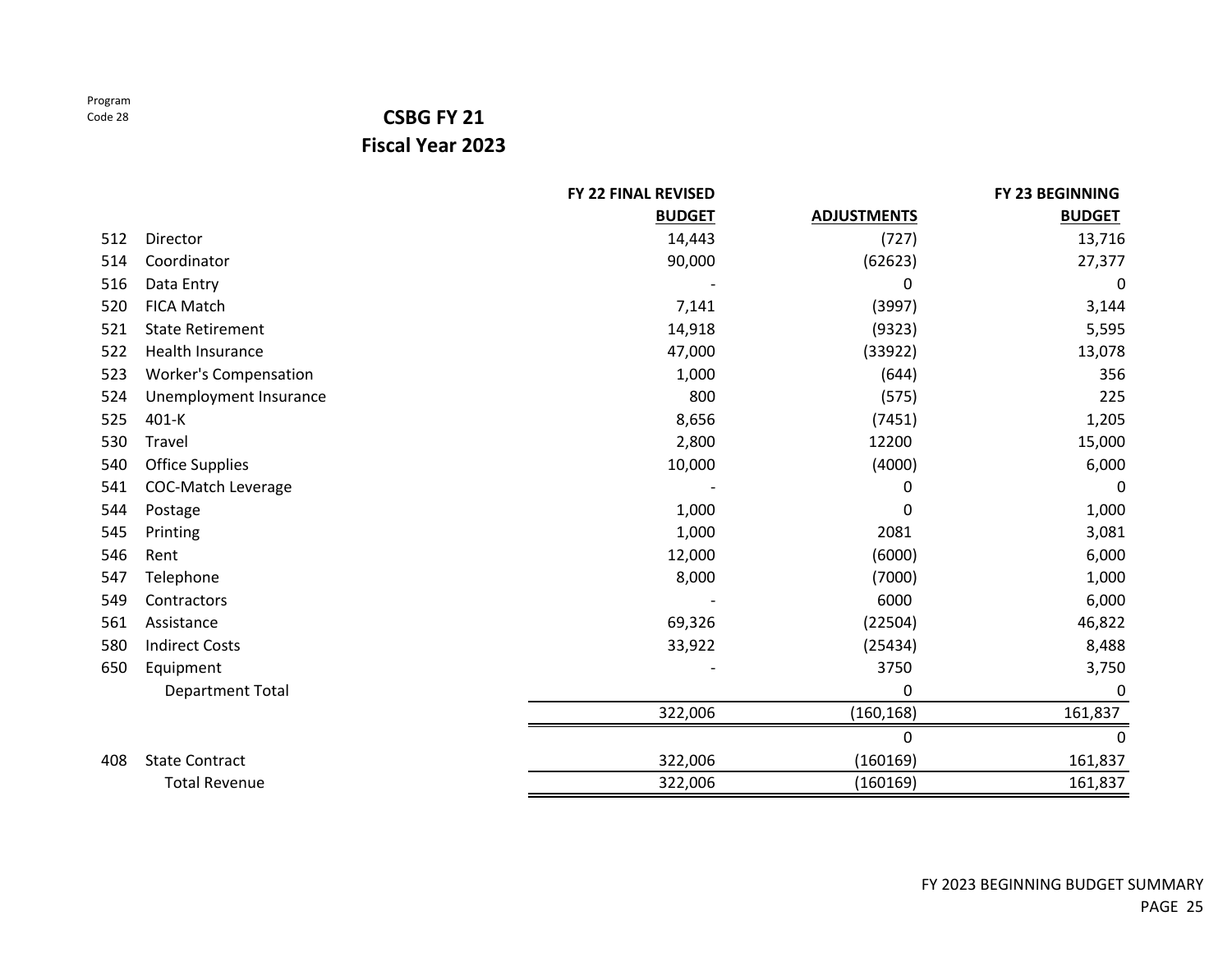#### **CSBG FY 21**

|     |                              | FY 22 FINAL REVISED |                    | FY 23 BEGINNING |
|-----|------------------------------|---------------------|--------------------|-----------------|
|     |                              | <b>BUDGET</b>       | <b>ADJUSTMENTS</b> | <b>BUDGET</b>   |
| 512 | Director                     | 14,443              | (727)              | 13,716          |
| 514 | Coordinator                  | 90,000              | (62623)            | 27,377          |
| 516 | Data Entry                   |                     | 0                  | 0               |
| 520 | <b>FICA Match</b>            | 7,141               | (3997)             | 3,144           |
| 521 | <b>State Retirement</b>      | 14,918              | (9323)             | 5,595           |
| 522 | <b>Health Insurance</b>      | 47,000              | (33922)            | 13,078          |
| 523 | <b>Worker's Compensation</b> | 1,000               | (644)              | 356             |
| 524 | Unemployment Insurance       | 800                 | (575)              | 225             |
| 525 | 401-K                        | 8,656               | (7451)             | 1,205           |
| 530 | Travel                       | 2,800               | 12200              | 15,000          |
| 540 | <b>Office Supplies</b>       | 10,000              | (4000)             | 6,000           |
| 541 | <b>COC-Match Leverage</b>    |                     | 0                  | 0               |
| 544 | Postage                      | 1,000               | 0                  | 1,000           |
| 545 | Printing                     | 1,000               | 2081               | 3,081           |
| 546 | Rent                         | 12,000              | (6000)             | 6,000           |
| 547 | Telephone                    | 8,000               | (7000)             | 1,000           |
| 549 | Contractors                  |                     | 6000               | 6,000           |
| 561 | Assistance                   | 69,326              | (22504)            | 46,822          |
| 580 | <b>Indirect Costs</b>        | 33,922              | (25434)            | 8,488           |
| 650 | Equipment                    |                     | 3750               | 3,750           |
|     | <b>Department Total</b>      |                     | 0                  | $\mathbf 0$     |
|     |                              | 322,006             | (160, 168)         | 161,837         |
|     |                              |                     | 0                  | $\Omega$        |
| 408 | <b>State Contract</b>        | 322,006             | (160169)           | 161,837         |
|     | <b>Total Revenue</b>         | 322,006             | (160169)           | 161,837         |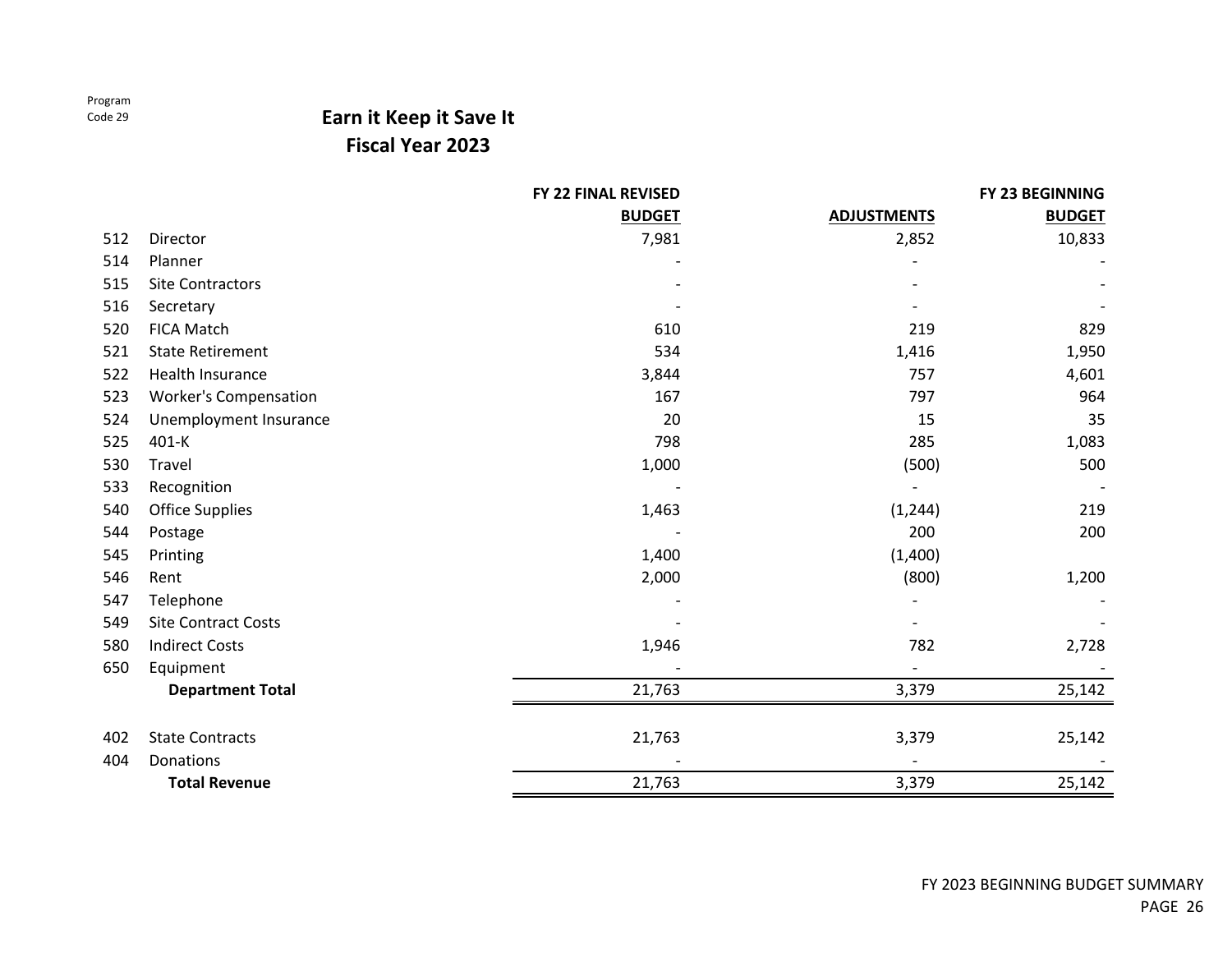### **Earn it Keep it Save It**

|     |                              | <b>FY 22 FINAL REVISED</b> |                    | FY 23 BEGINNING |
|-----|------------------------------|----------------------------|--------------------|-----------------|
|     |                              | <b>BUDGET</b>              | <b>ADJUSTMENTS</b> | <b>BUDGET</b>   |
| 512 | Director                     | 7,981                      | 2,852              | 10,833          |
| 514 | Planner                      |                            |                    |                 |
| 515 | <b>Site Contractors</b>      |                            |                    |                 |
| 516 | Secretary                    |                            |                    |                 |
| 520 | <b>FICA Match</b>            | 610                        | 219                | 829             |
| 521 | <b>State Retirement</b>      | 534                        | 1,416              | 1,950           |
| 522 | <b>Health Insurance</b>      | 3,844                      | 757                | 4,601           |
| 523 | <b>Worker's Compensation</b> | 167                        | 797                | 964             |
| 524 | Unemployment Insurance       | 20                         | 15                 | 35              |
| 525 | 401-K                        | 798                        | 285                | 1,083           |
| 530 | Travel                       | 1,000                      | (500)              | 500             |
| 533 | Recognition                  |                            |                    |                 |
| 540 | <b>Office Supplies</b>       | 1,463                      | (1, 244)           | 219             |
| 544 | Postage                      |                            | 200                | 200             |
| 545 | Printing                     | 1,400                      | (1,400)            |                 |
| 546 | Rent                         | 2,000                      | (800)              | 1,200           |
| 547 | Telephone                    |                            |                    |                 |
| 549 | <b>Site Contract Costs</b>   |                            |                    |                 |
| 580 | <b>Indirect Costs</b>        | 1,946                      | 782                | 2,728           |
| 650 | Equipment                    |                            |                    |                 |
|     | <b>Department Total</b>      | 21,763                     | 3,379              | 25,142          |
| 402 | <b>State Contracts</b>       | 21,763                     | 3,379              | 25,142          |
| 404 | Donations                    |                            |                    |                 |
|     | <b>Total Revenue</b>         | 21,763                     | 3,379              | 25,142          |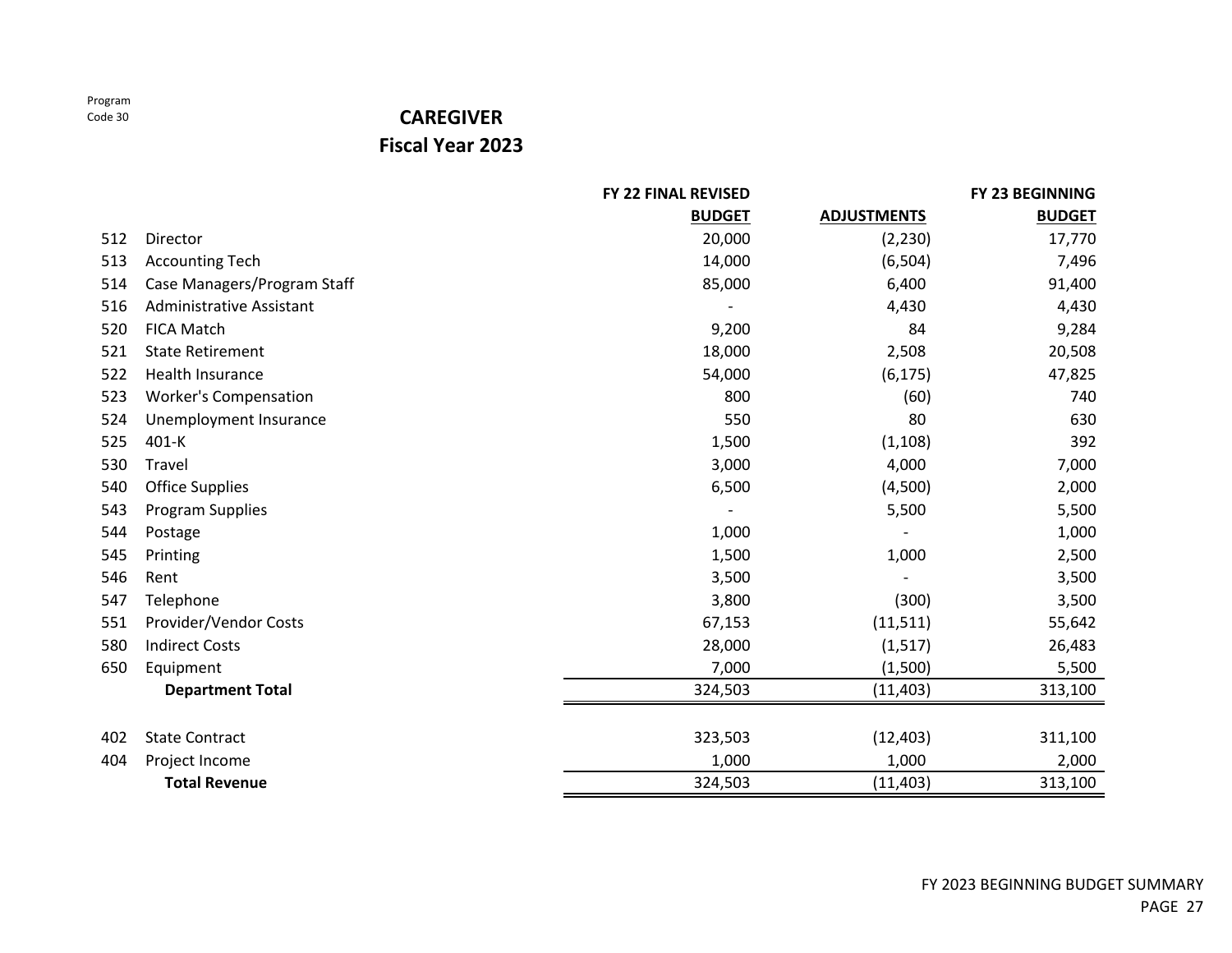### **CAREGIVER**

|     |                                 | FY 22 FINAL REVISED |                    | FY 23 BEGINNING |
|-----|---------------------------------|---------------------|--------------------|-----------------|
|     |                                 | <b>BUDGET</b>       | <b>ADJUSTMENTS</b> | <b>BUDGET</b>   |
| 512 | Director                        | 20,000              | (2, 230)           | 17,770          |
| 513 | <b>Accounting Tech</b>          | 14,000              | (6, 504)           | 7,496           |
| 514 | Case Managers/Program Staff     | 85,000              | 6,400              | 91,400          |
| 516 | <b>Administrative Assistant</b> |                     | 4,430              | 4,430           |
| 520 | <b>FICA Match</b>               | 9,200               | 84                 | 9,284           |
| 521 | <b>State Retirement</b>         | 18,000              | 2,508              | 20,508          |
| 522 | <b>Health Insurance</b>         | 54,000              | (6, 175)           | 47,825          |
| 523 | <b>Worker's Compensation</b>    | 800                 | (60)               | 740             |
| 524 | Unemployment Insurance          | 550                 | 80                 | 630             |
| 525 | 401-K                           | 1,500               | (1, 108)           | 392             |
| 530 | Travel                          | 3,000               | 4,000              | 7,000           |
| 540 | <b>Office Supplies</b>          | 6,500               | (4,500)            | 2,000           |
| 543 | <b>Program Supplies</b>         |                     | 5,500              | 5,500           |
| 544 | Postage                         | 1,000               |                    | 1,000           |
| 545 | Printing                        | 1,500               | 1,000              | 2,500           |
| 546 | Rent                            | 3,500               |                    | 3,500           |
| 547 | Telephone                       | 3,800               | (300)              | 3,500           |
| 551 | Provider/Vendor Costs           | 67,153              | (11, 511)          | 55,642          |
| 580 | <b>Indirect Costs</b>           | 28,000              | (1, 517)           | 26,483          |
| 650 | Equipment                       | 7,000               | (1,500)            | 5,500           |
|     | <b>Department Total</b>         | 324,503             | (11, 403)          | 313,100         |
| 402 | <b>State Contract</b>           | 323,503             | (12, 403)          | 311,100         |
| 404 | Project Income                  | 1,000               | 1,000              | 2,000           |
|     | <b>Total Revenue</b>            | 324,503             | (11, 403)          | 313,100         |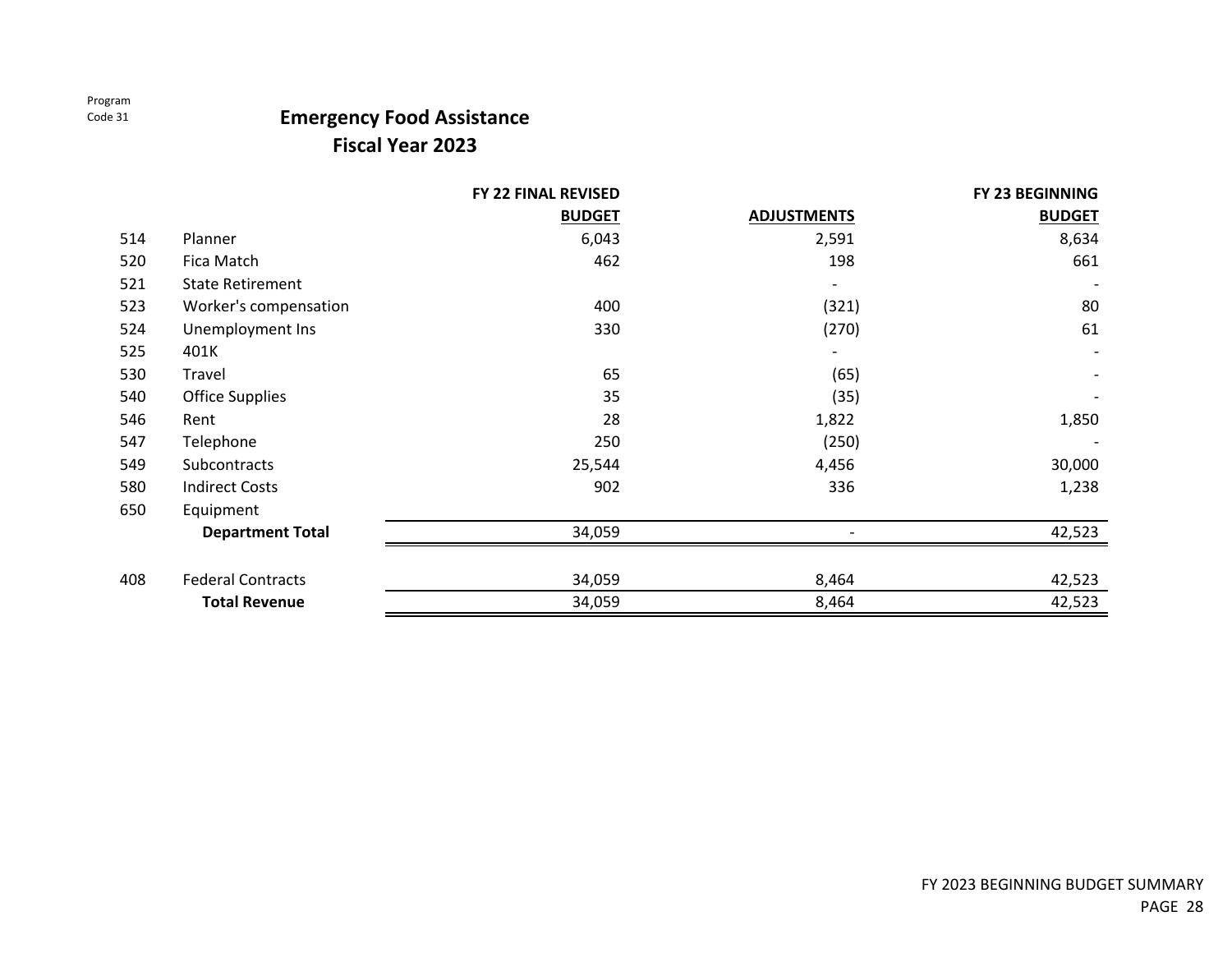### **Emergency Food Assistance Fiscal Year 2023**

|     |                          | <b>FY 22 FINAL REVISED</b> |                          | <b>FY 23 BEGINNING</b> |
|-----|--------------------------|----------------------------|--------------------------|------------------------|
|     |                          | <b>BUDGET</b>              | <b>ADJUSTMENTS</b>       | <b>BUDGET</b>          |
| 514 | Planner                  | 6,043                      | 2,591                    | 8,634                  |
| 520 | Fica Match               | 462                        | 198                      | 661                    |
| 521 | <b>State Retirement</b>  |                            | $\overline{\phantom{a}}$ |                        |
| 523 | Worker's compensation    | 400                        | (321)                    | 80                     |
| 524 | Unemployment Ins         | 330                        | (270)                    | 61                     |
| 525 | 401K                     |                            | $\overline{\phantom{a}}$ |                        |
| 530 | Travel                   | 65                         | (65)                     |                        |
| 540 | <b>Office Supplies</b>   | 35                         | (35)                     |                        |
| 546 | Rent                     | 28                         | 1,822                    | 1,850                  |
| 547 | Telephone                | 250                        | (250)                    |                        |
| 549 | Subcontracts             | 25,544                     | 4,456                    | 30,000                 |
| 580 | <b>Indirect Costs</b>    | 902                        | 336                      | 1,238                  |
| 650 | Equipment                |                            |                          |                        |
|     | <b>Department Total</b>  | 34,059                     |                          | 42,523                 |
| 408 | <b>Federal Contracts</b> | 34,059                     | 8,464                    | 42,523                 |
|     | <b>Total Revenue</b>     | 34,059                     | 8,464                    | 42,523                 |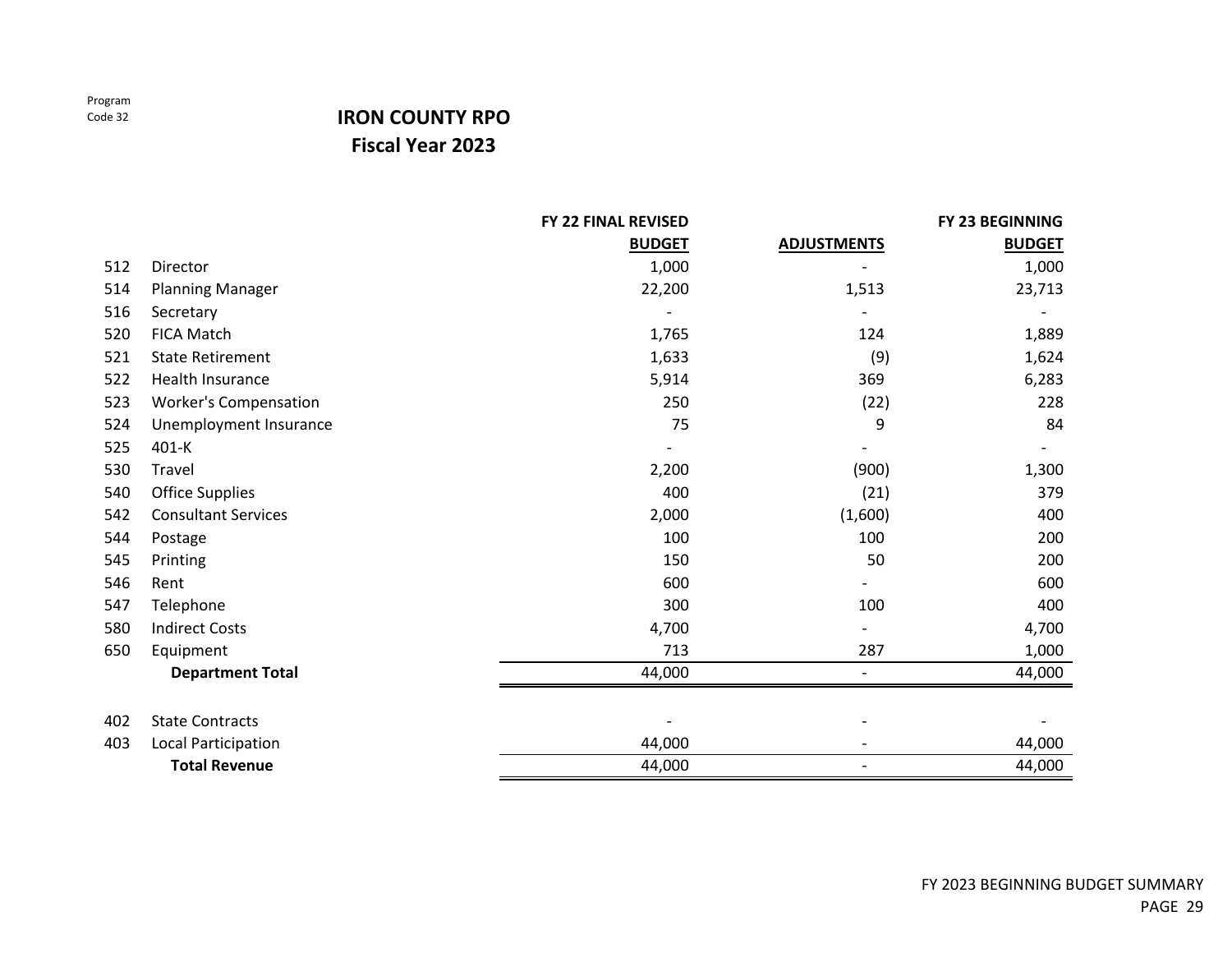### **IRON COUNTY RPOFiscal Year 2023**

|     |                              | FY 22 FINAL REVISED |                          | FY 23 BEGINNING |
|-----|------------------------------|---------------------|--------------------------|-----------------|
|     |                              | <b>BUDGET</b>       | <b>ADJUSTMENTS</b>       | <b>BUDGET</b>   |
| 512 | Director                     | 1,000               |                          | 1,000           |
| 514 | <b>Planning Manager</b>      | 22,200              | 1,513                    | 23,713          |
| 516 | Secretary                    |                     |                          |                 |
| 520 | <b>FICA Match</b>            | 1,765               | 124                      | 1,889           |
| 521 | <b>State Retirement</b>      | 1,633               | (9)                      | 1,624           |
| 522 | Health Insurance             | 5,914               | 369                      | 6,283           |
| 523 | <b>Worker's Compensation</b> | 250                 | (22)                     | 228             |
| 524 | Unemployment Insurance       | 75                  | 9                        | 84              |
| 525 | 401-K                        |                     |                          |                 |
| 530 | Travel                       | 2,200               | (900)                    | 1,300           |
| 540 | <b>Office Supplies</b>       | 400                 | (21)                     | 379             |
| 542 | <b>Consultant Services</b>   | 2,000               | (1,600)                  | 400             |
| 544 | Postage                      | 100                 | 100                      | 200             |
| 545 | Printing                     | 150                 | 50                       | 200             |
| 546 | Rent                         | 600                 |                          | 600             |
| 547 | Telephone                    | 300                 | 100                      | 400             |
| 580 | <b>Indirect Costs</b>        | 4,700               |                          | 4,700           |
| 650 | Equipment                    | 713                 | 287                      | 1,000           |
|     | <b>Department Total</b>      | 44,000              | $\overline{\phantom{a}}$ | 44,000          |
| 402 | <b>State Contracts</b>       |                     |                          |                 |
| 403 | Local Participation          | 44,000              |                          | 44,000          |
|     | <b>Total Revenue</b>         | 44,000              | $\overline{\phantom{a}}$ | 44,000          |

Program Code 32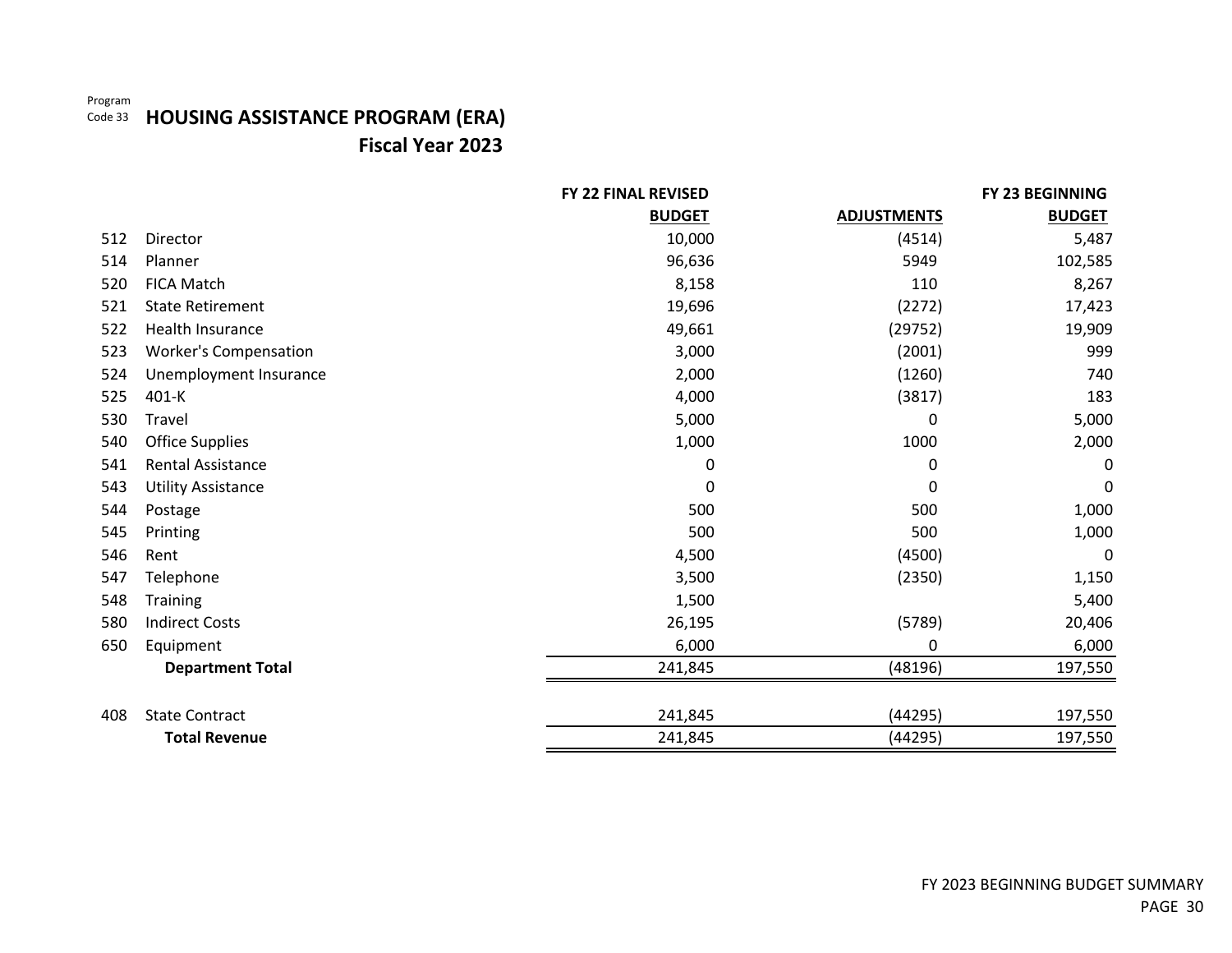#### Program

#### Code 33 **HOUSING ASSISTANCE PROGRAM (ERA)**

|     |                              | <b>FY 22 FINAL REVISED</b> |                    | FY 23 BEGINNING |
|-----|------------------------------|----------------------------|--------------------|-----------------|
|     |                              | <b>BUDGET</b>              | <b>ADJUSTMENTS</b> | <b>BUDGET</b>   |
| 512 | Director                     | 10,000                     | (4514)             | 5,487           |
| 514 | Planner                      | 96,636                     | 5949               | 102,585         |
| 520 | <b>FICA Match</b>            | 8,158                      | 110                | 8,267           |
| 521 | <b>State Retirement</b>      | 19,696                     | (2272)             | 17,423          |
| 522 | <b>Health Insurance</b>      | 49,661                     | (29752)            | 19,909          |
| 523 | <b>Worker's Compensation</b> | 3,000                      | (2001)             | 999             |
| 524 | Unemployment Insurance       | 2,000                      | (1260)             | 740             |
| 525 | 401-K                        | 4,000                      | (3817)             | 183             |
| 530 | Travel                       | 5,000                      | 0                  | 5,000           |
| 540 | <b>Office Supplies</b>       | 1,000                      | 1000               | 2,000           |
| 541 | <b>Rental Assistance</b>     | 0                          | 0                  | 0               |
| 543 | <b>Utility Assistance</b>    | 0                          | 0                  | 0               |
| 544 | Postage                      | 500                        | 500                | 1,000           |
| 545 | Printing                     | 500                        | 500                | 1,000           |
| 546 | Rent                         | 4,500                      | (4500)             | 0               |
| 547 | Telephone                    | 3,500                      | (2350)             | 1,150           |
| 548 | Training                     | 1,500                      |                    | 5,400           |
| 580 | <b>Indirect Costs</b>        | 26,195                     | (5789)             | 20,406          |
| 650 | Equipment                    | 6,000                      | 0                  | 6,000           |
|     | <b>Department Total</b>      | 241,845                    | (48196)            | 197,550         |
| 408 | <b>State Contract</b>        | 241,845                    | (44295)            | 197,550         |
|     | <b>Total Revenue</b>         | 241,845                    | (44295)            | 197,550         |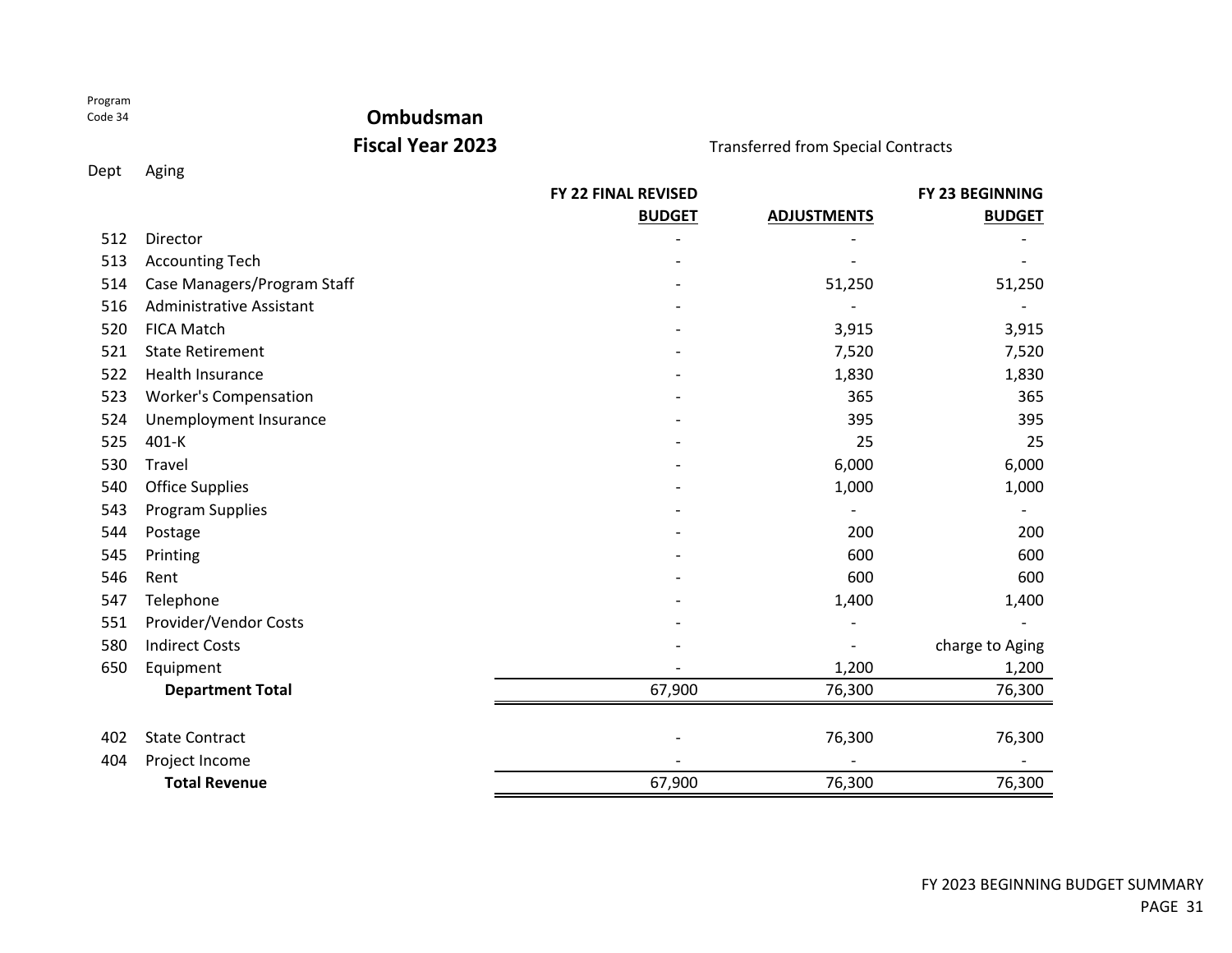### **Ombudsman**

#### **Fiscal Year 2023**

#### Transferred from Special Contracts

Dept Aging

|     |                                 | <b>FY 22 FINAL REVISED</b> |                    | <b>FY 23 BEGINNING</b> |
|-----|---------------------------------|----------------------------|--------------------|------------------------|
|     |                                 | <b>BUDGET</b>              | <b>ADJUSTMENTS</b> | <b>BUDGET</b>          |
| 512 | Director                        |                            |                    |                        |
| 513 | <b>Accounting Tech</b>          |                            |                    |                        |
| 514 | Case Managers/Program Staff     |                            | 51,250             | 51,250                 |
| 516 | <b>Administrative Assistant</b> |                            |                    |                        |
| 520 | <b>FICA Match</b>               |                            | 3,915              | 3,915                  |
| 521 | <b>State Retirement</b>         |                            | 7,520              | 7,520                  |
| 522 | <b>Health Insurance</b>         |                            | 1,830              | 1,830                  |
| 523 | <b>Worker's Compensation</b>    |                            | 365                | 365                    |
| 524 | Unemployment Insurance          |                            | 395                | 395                    |
| 525 | 401-K                           |                            | 25                 | 25                     |
| 530 | Travel                          |                            | 6,000              | 6,000                  |
| 540 | <b>Office Supplies</b>          |                            | 1,000              | 1,000                  |
| 543 | Program Supplies                |                            |                    |                        |
| 544 | Postage                         |                            | 200                | 200                    |
| 545 | Printing                        |                            | 600                | 600                    |
| 546 | Rent                            |                            | 600                | 600                    |
| 547 | Telephone                       |                            | 1,400              | 1,400                  |
| 551 | Provider/Vendor Costs           |                            |                    |                        |
| 580 | <b>Indirect Costs</b>           |                            |                    | charge to Aging        |
| 650 | Equipment                       |                            | 1,200              | 1,200                  |
|     | <b>Department Total</b>         | 67,900                     | 76,300             | 76,300                 |
| 402 | <b>State Contract</b>           |                            | 76,300             | 76,300                 |
| 404 | Project Income                  |                            |                    |                        |
|     | <b>Total Revenue</b>            | 67,900                     | 76,300             | 76,300                 |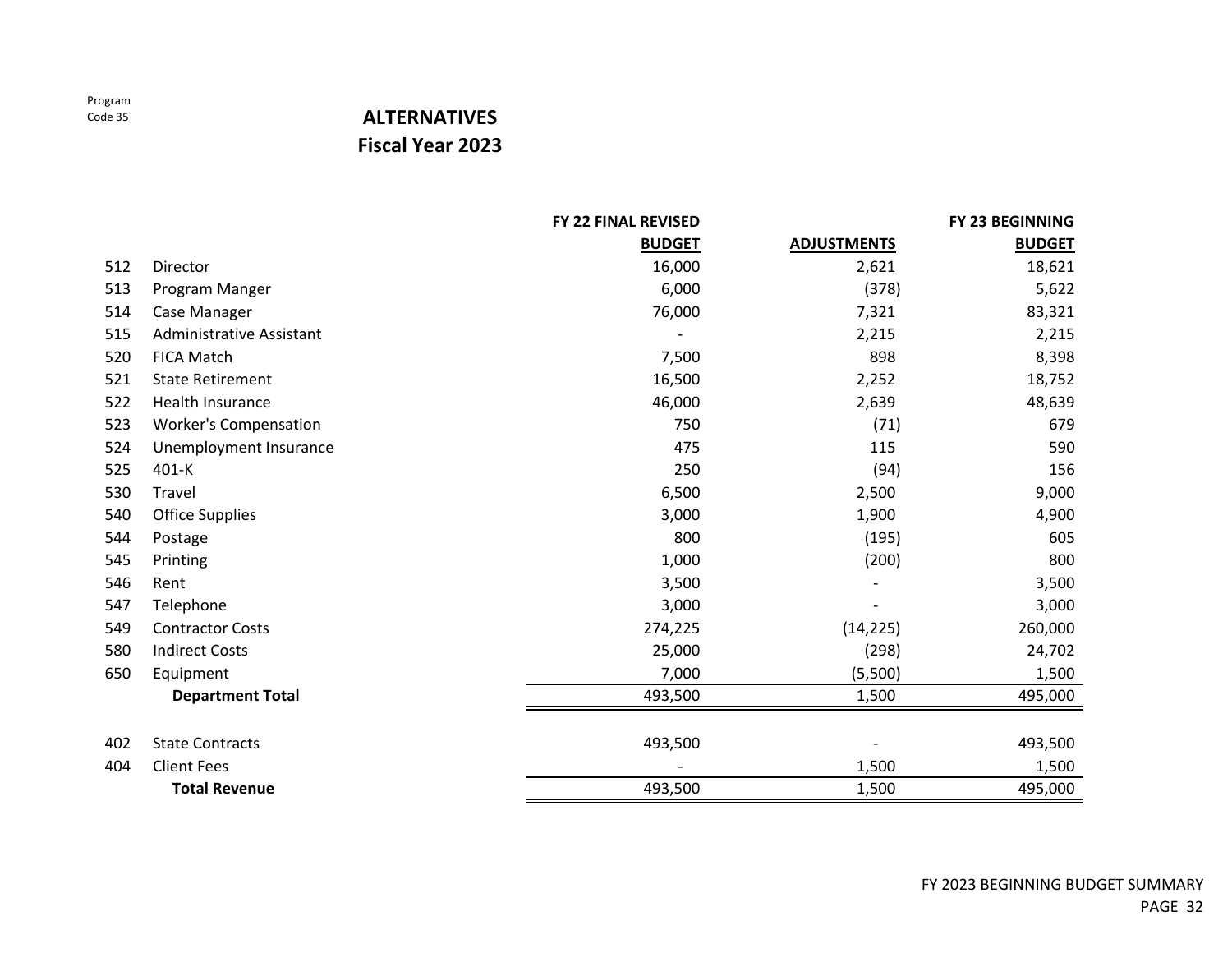| <b>ALTERNATIVES</b>     |
|-------------------------|
| <b>Fiscal Year 2023</b> |
|                         |

|     |                              | <b>FY 22 FINAL REVISED</b> |                    | <b>FY 23 BEGINNING</b> |
|-----|------------------------------|----------------------------|--------------------|------------------------|
|     |                              | <b>BUDGET</b>              | <b>ADJUSTMENTS</b> | <b>BUDGET</b>          |
| 512 | Director                     | 16,000                     | 2,621              | 18,621                 |
| 513 | Program Manger               | 6,000                      | (378)              | 5,622                  |
| 514 | Case Manager                 | 76,000                     | 7,321              | 83,321                 |
| 515 | Administrative Assistant     |                            | 2,215              | 2,215                  |
| 520 | <b>FICA Match</b>            | 7,500                      | 898                | 8,398                  |
| 521 | <b>State Retirement</b>      | 16,500                     | 2,252              | 18,752                 |
| 522 | Health Insurance             | 46,000                     | 2,639              | 48,639                 |
| 523 | <b>Worker's Compensation</b> | 750                        | (71)               | 679                    |
| 524 | Unemployment Insurance       | 475                        | 115                | 590                    |
| 525 | 401-K                        | 250                        | (94)               | 156                    |
| 530 | Travel                       | 6,500                      | 2,500              | 9,000                  |
| 540 | <b>Office Supplies</b>       | 3,000                      | 1,900              | 4,900                  |
| 544 | Postage                      | 800                        | (195)              | 605                    |
| 545 | Printing                     | 1,000                      | (200)              | 800                    |
| 546 | Rent                         | 3,500                      |                    | 3,500                  |
| 547 | Telephone                    | 3,000                      |                    | 3,000                  |
| 549 | <b>Contractor Costs</b>      | 274,225                    | (14, 225)          | 260,000                |
| 580 | <b>Indirect Costs</b>        | 25,000                     | (298)              | 24,702                 |
| 650 | Equipment                    | 7,000                      | (5,500)            | 1,500                  |
|     | <b>Department Total</b>      | 493,500                    | 1,500              | 495,000                |
| 402 | <b>State Contracts</b>       | 493,500                    |                    | 493,500                |
| 404 | <b>Client Fees</b>           |                            | 1,500              | 1,500                  |
|     | <b>Total Revenue</b>         | 493,500                    | 1,500              | 495,000                |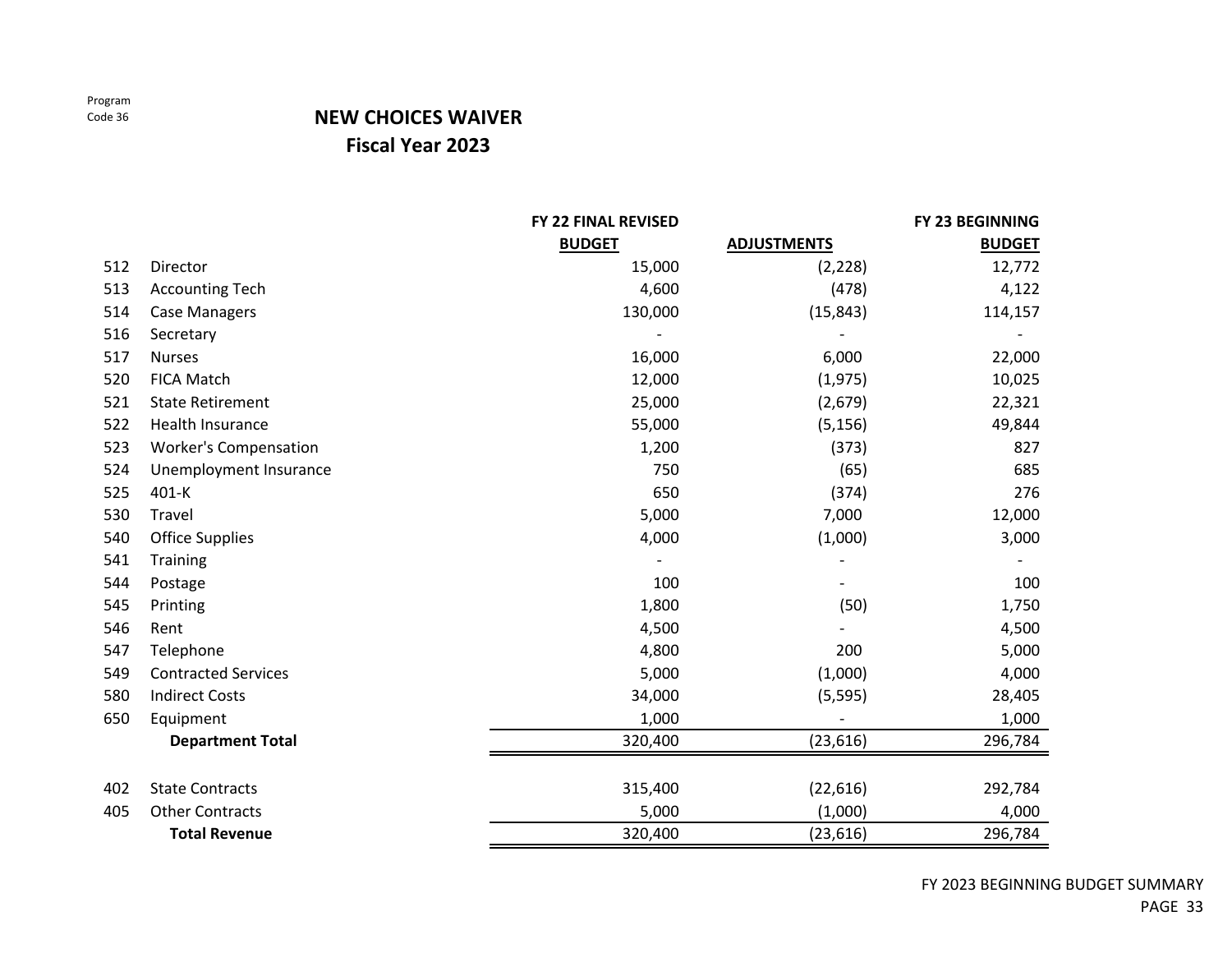### **NEW CHOICES WAIVER Fiscal Year 2023**

|     |                              | FY 22 FINAL REVISED |                    | FY 23 BEGINNING |
|-----|------------------------------|---------------------|--------------------|-----------------|
|     |                              | <b>BUDGET</b>       | <b>ADJUSTMENTS</b> | <b>BUDGET</b>   |
| 512 | Director                     | 15,000              | (2, 228)           | 12,772          |
| 513 | <b>Accounting Tech</b>       | 4,600               | (478)              | 4,122           |
| 514 | <b>Case Managers</b>         | 130,000             | (15, 843)          | 114,157         |
| 516 | Secretary                    |                     |                    |                 |
| 517 | <b>Nurses</b>                | 16,000              | 6,000              | 22,000          |
| 520 | <b>FICA Match</b>            | 12,000              | (1, 975)           | 10,025          |
| 521 | <b>State Retirement</b>      | 25,000              | (2,679)            | 22,321          |
| 522 | Health Insurance             | 55,000              | (5, 156)           | 49,844          |
| 523 | <b>Worker's Compensation</b> | 1,200               | (373)              | 827             |
| 524 | Unemployment Insurance       | 750                 | (65)               | 685             |
| 525 | $401-K$                      | 650                 | (374)              | 276             |
| 530 | Travel                       | 5,000               | 7,000              | 12,000          |
| 540 | <b>Office Supplies</b>       | 4,000               | (1,000)            | 3,000           |
| 541 | Training                     |                     |                    |                 |
| 544 | Postage                      | 100                 |                    | 100             |
| 545 | Printing                     | 1,800               | (50)               | 1,750           |
| 546 | Rent                         | 4,500               |                    | 4,500           |
| 547 | Telephone                    | 4,800               | 200                | 5,000           |
| 549 | <b>Contracted Services</b>   | 5,000               | (1,000)            | 4,000           |
| 580 | <b>Indirect Costs</b>        | 34,000              | (5, 595)           | 28,405          |
| 650 | Equipment                    | 1,000               |                    | 1,000           |
|     | <b>Department Total</b>      | 320,400             | (23, 616)          | 296,784         |
| 402 | <b>State Contracts</b>       | 315,400             | (22, 616)          | 292,784         |
| 405 | <b>Other Contracts</b>       | 5,000               | (1,000)            | 4,000           |
|     | <b>Total Revenue</b>         | 320,400             | (23, 616)          | 296,784         |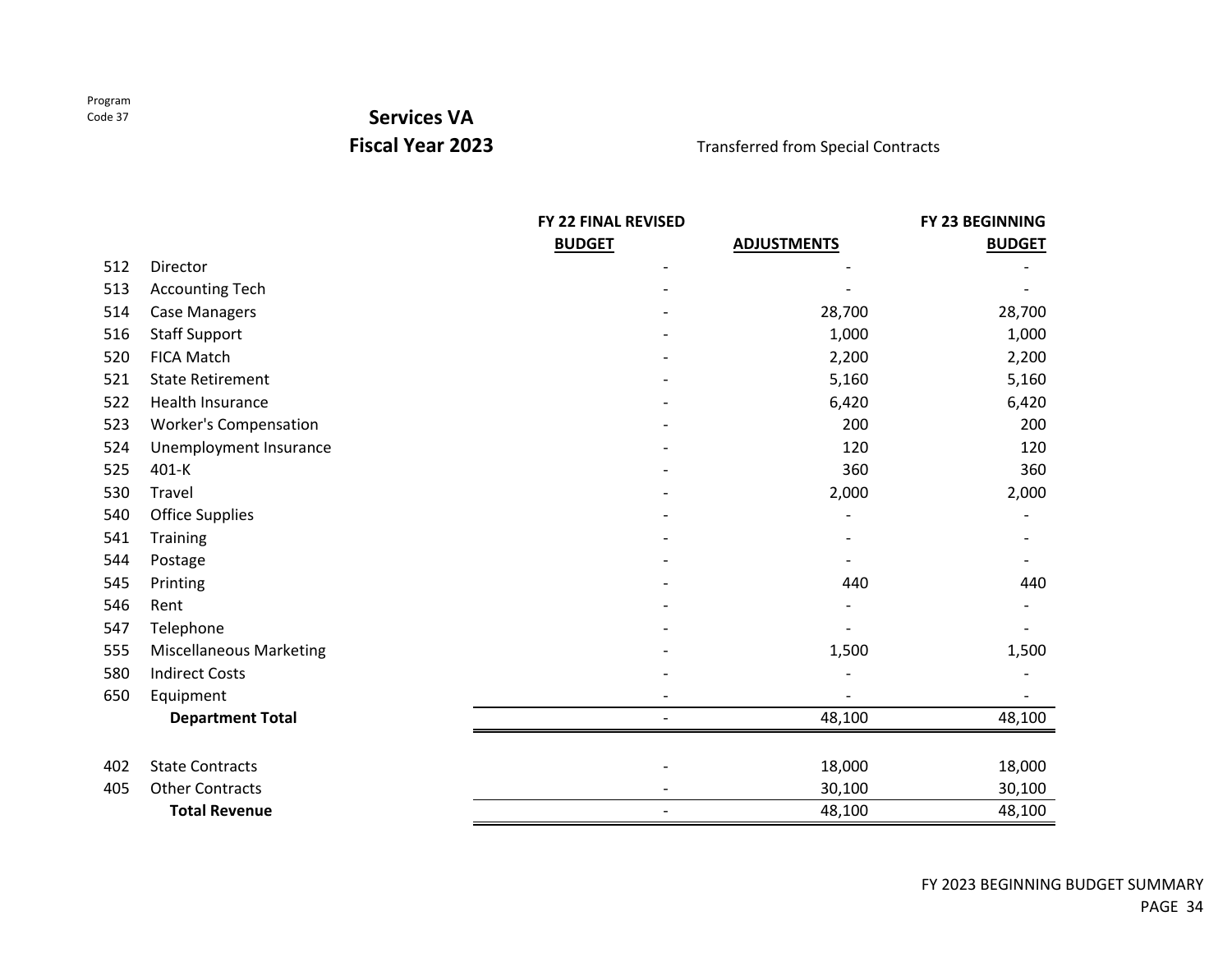| Program |  |
|---------|--|
| Code 37 |  |

### **Services VA**

**Fiscal Year 2023**

Transferred from Special Contracts

|     |                                | FY 22 FINAL REVISED |                    | <b>FY 23 BEGINNING</b> |
|-----|--------------------------------|---------------------|--------------------|------------------------|
|     |                                | <b>BUDGET</b>       | <b>ADJUSTMENTS</b> | <b>BUDGET</b>          |
| 512 | Director                       |                     |                    |                        |
| 513 | <b>Accounting Tech</b>         |                     |                    |                        |
| 514 | <b>Case Managers</b>           |                     | 28,700             | 28,700                 |
| 516 | <b>Staff Support</b>           |                     | 1,000              | 1,000                  |
| 520 | <b>FICA Match</b>              |                     | 2,200              | 2,200                  |
| 521 | <b>State Retirement</b>        |                     | 5,160              | 5,160                  |
| 522 | Health Insurance               |                     | 6,420              | 6,420                  |
| 523 | <b>Worker's Compensation</b>   |                     | 200                | 200                    |
| 524 | Unemployment Insurance         |                     | 120                | 120                    |
| 525 | 401-K                          |                     | 360                | 360                    |
| 530 | Travel                         |                     | 2,000              | 2,000                  |
| 540 | <b>Office Supplies</b>         |                     |                    |                        |
| 541 | Training                       |                     |                    |                        |
| 544 | Postage                        |                     |                    |                        |
| 545 | Printing                       |                     | 440                | 440                    |
| 546 | Rent                           |                     |                    |                        |
| 547 | Telephone                      |                     |                    |                        |
| 555 | <b>Miscellaneous Marketing</b> |                     | 1,500              | 1,500                  |
| 580 | <b>Indirect Costs</b>          |                     |                    |                        |
| 650 | Equipment                      |                     |                    |                        |
|     | <b>Department Total</b>        |                     | 48,100             | 48,100                 |
| 402 | <b>State Contracts</b>         |                     | 18,000             | 18,000                 |
| 405 | <b>Other Contracts</b>         |                     | 30,100             | 30,100                 |
|     | <b>Total Revenue</b>           |                     | 48,100             | 48,100                 |

Pr Code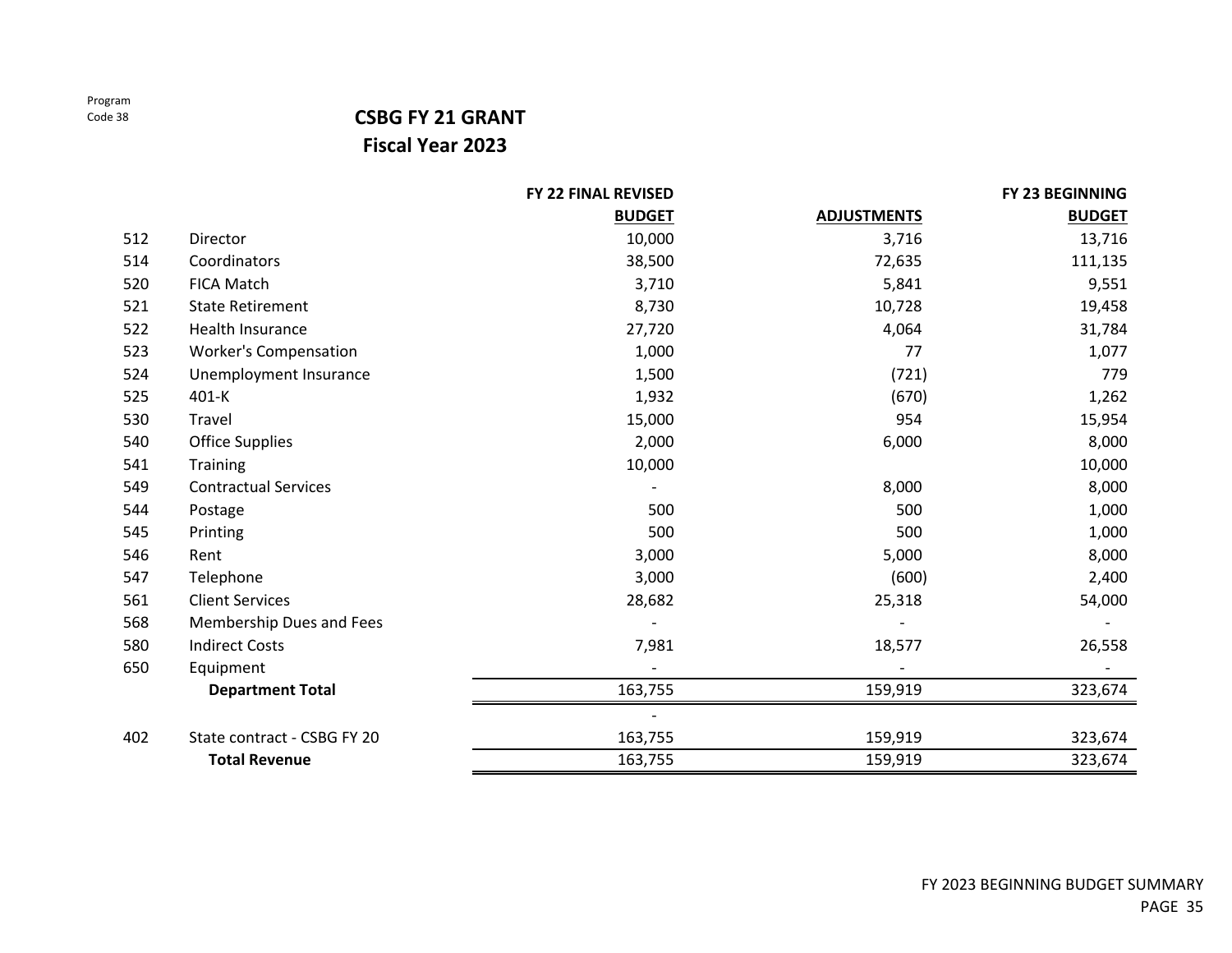### **CSBG FY 21 GRANT Fiscal Year 2023**

|     |                              | FY 22 FINAL REVISED |                    | FY 23 BEGINNING |
|-----|------------------------------|---------------------|--------------------|-----------------|
|     |                              | <b>BUDGET</b>       | <b>ADJUSTMENTS</b> | <b>BUDGET</b>   |
| 512 | Director                     | 10,000              | 3,716              | 13,716          |
| 514 | Coordinators                 | 38,500              | 72,635             | 111,135         |
| 520 | <b>FICA Match</b>            | 3,710               | 5,841              | 9,551           |
| 521 | <b>State Retirement</b>      | 8,730               | 10,728             | 19,458          |
| 522 | Health Insurance             | 27,720              | 4,064              | 31,784          |
| 523 | <b>Worker's Compensation</b> | 1,000               | 77                 | 1,077           |
| 524 | Unemployment Insurance       | 1,500               | (721)              | 779             |
| 525 | 401-K                        | 1,932               | (670)              | 1,262           |
| 530 | Travel                       | 15,000              | 954                | 15,954          |
| 540 | <b>Office Supplies</b>       | 2,000               | 6,000              | 8,000           |
| 541 | Training                     | 10,000              |                    | 10,000          |
| 549 | <b>Contractual Services</b>  |                     | 8,000              | 8,000           |
| 544 | Postage                      | 500                 | 500                | 1,000           |
| 545 | Printing                     | 500                 | 500                | 1,000           |
| 546 | Rent                         | 3,000               | 5,000              | 8,000           |
| 547 | Telephone                    | 3,000               | (600)              | 2,400           |
| 561 | <b>Client Services</b>       | 28,682              | 25,318             | 54,000          |
| 568 | Membership Dues and Fees     |                     |                    |                 |
| 580 | <b>Indirect Costs</b>        | 7,981               | 18,577             | 26,558          |
| 650 | Equipment                    |                     |                    |                 |
|     | <b>Department Total</b>      | 163,755             | 159,919            | 323,674         |
|     |                              |                     |                    |                 |
| 402 | State contract - CSBG FY 20  | 163,755             | 159,919            | 323,674         |
|     | <b>Total Revenue</b>         | 163,755             | 159,919            | 323,674         |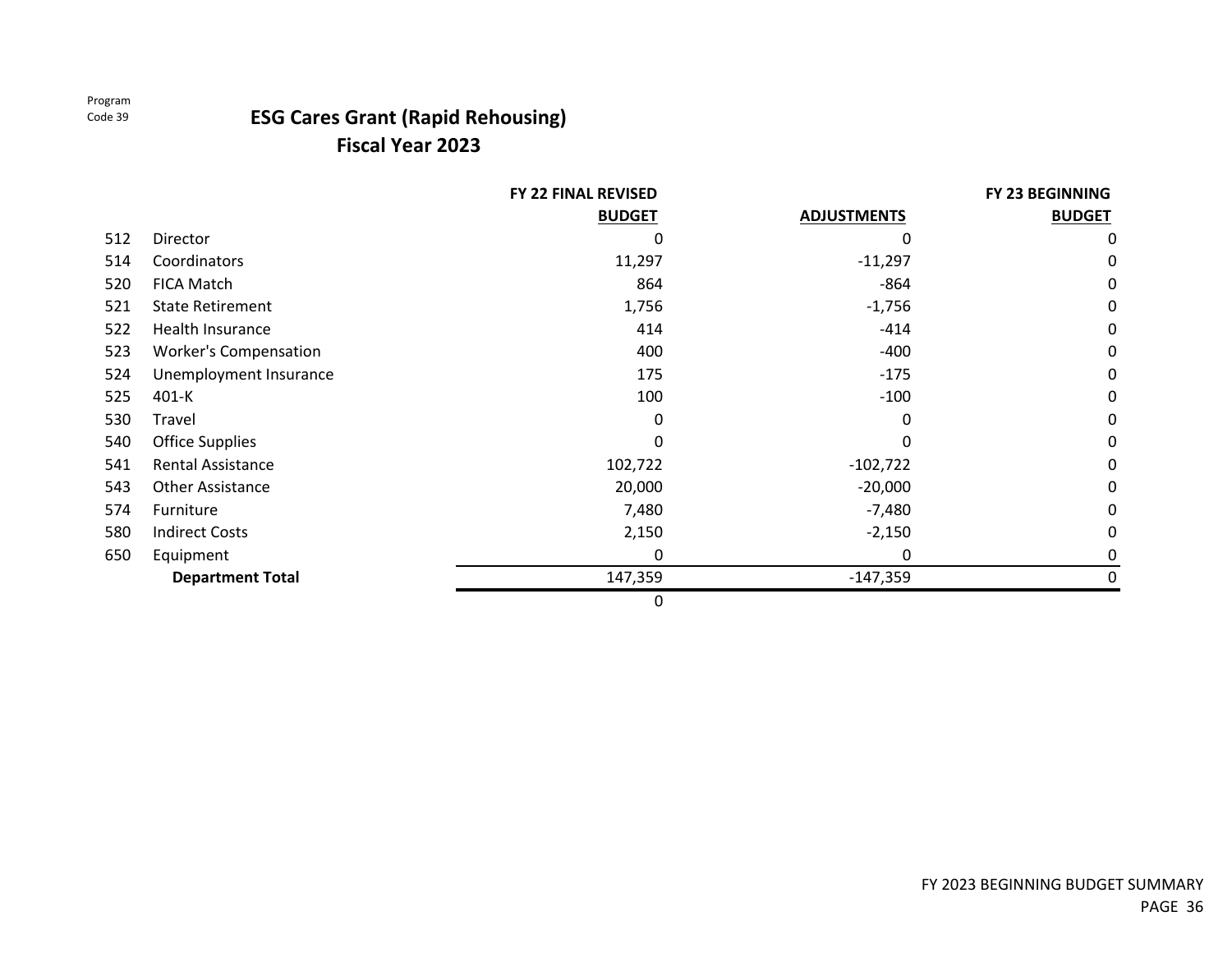# **ESG Cares Grant (Rapid Rehousing)**

|     |                              | <b>FY 22 FINAL REVISED</b> |                    | <b>FY 23 BEGINNING</b> |
|-----|------------------------------|----------------------------|--------------------|------------------------|
|     |                              | <b>BUDGET</b>              | <b>ADJUSTMENTS</b> | <b>BUDGET</b>          |
| 512 | Director                     |                            | 0                  | 0                      |
| 514 | Coordinators                 | 11,297                     | $-11,297$          | 0                      |
| 520 | FICA Match                   | 864                        | $-864$             | 0                      |
| 521 | <b>State Retirement</b>      | 1,756                      | $-1,756$           | 0                      |
| 522 | Health Insurance             | 414                        | $-414$             | 0                      |
| 523 | <b>Worker's Compensation</b> | 400                        | $-400$             | 0                      |
| 524 | Unemployment Insurance       | 175                        | $-175$             | 0                      |
| 525 | 401-K                        | 100                        | $-100$             | 0                      |
| 530 | Travel                       | 0                          | 0                  | 0                      |
| 540 | <b>Office Supplies</b>       |                            | <sup>0</sup>       | 0                      |
| 541 | <b>Rental Assistance</b>     | 102,722                    | $-102,722$         | 0                      |
| 543 | Other Assistance             | 20,000                     | $-20,000$          | 0                      |
| 574 | Furniture                    | 7,480                      | $-7,480$           | 0                      |
| 580 | <b>Indirect Costs</b>        | 2,150                      | $-2,150$           | 0                      |
| 650 | Equipment                    | 0                          | 0                  | 0                      |
|     | <b>Department Total</b>      | 147,359                    | $-147,359$         |                        |
|     |                              | 0                          |                    |                        |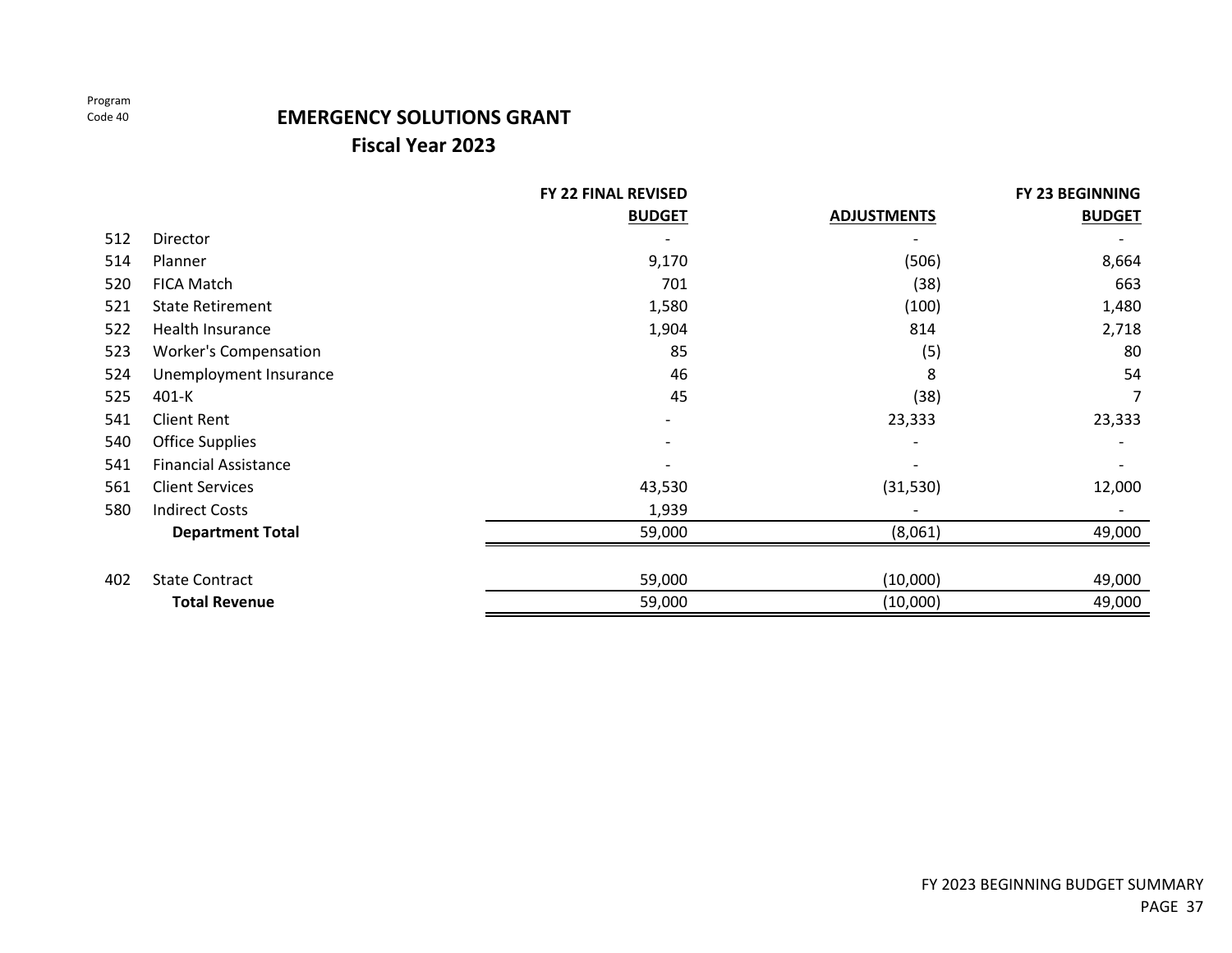### **EMERGENCY SOLUTIONS GRANT**

|     |                              | FY 22 FINAL REVISED          |                    | <b>FY 23 BEGINNING</b> |
|-----|------------------------------|------------------------------|--------------------|------------------------|
|     |                              | <b>BUDGET</b>                | <b>ADJUSTMENTS</b> | <b>BUDGET</b>          |
| 512 | Director                     |                              |                    |                        |
| 514 | Planner                      | 9,170                        | (506)              | 8,664                  |
| 520 | FICA Match                   | 701                          | (38)               | 663                    |
| 521 | <b>State Retirement</b>      | 1,580                        | (100)              | 1,480                  |
| 522 | Health Insurance             | 1,904                        | 814                | 2,718                  |
| 523 | <b>Worker's Compensation</b> | 85                           | (5)                | 80                     |
| 524 | Unemployment Insurance       | 46                           | 8                  | 54                     |
| 525 | $401 - K$                    | 45                           | (38)               | 7                      |
| 541 | <b>Client Rent</b>           | $\qquad \qquad \blacksquare$ | 23,333             | 23,333                 |
| 540 | <b>Office Supplies</b>       |                              |                    |                        |
| 541 | <b>Financial Assistance</b>  |                              |                    |                        |
| 561 | <b>Client Services</b>       | 43,530                       | (31, 530)          | 12,000                 |
| 580 | <b>Indirect Costs</b>        | 1,939                        |                    |                        |
|     | <b>Department Total</b>      | 59,000                       | (8,061)            | 49,000                 |
|     |                              |                              |                    |                        |
| 402 | <b>State Contract</b>        | 59,000                       | (10,000)           | 49,000                 |
|     | <b>Total Revenue</b>         | 59,000                       | (10,000)           | 49,000                 |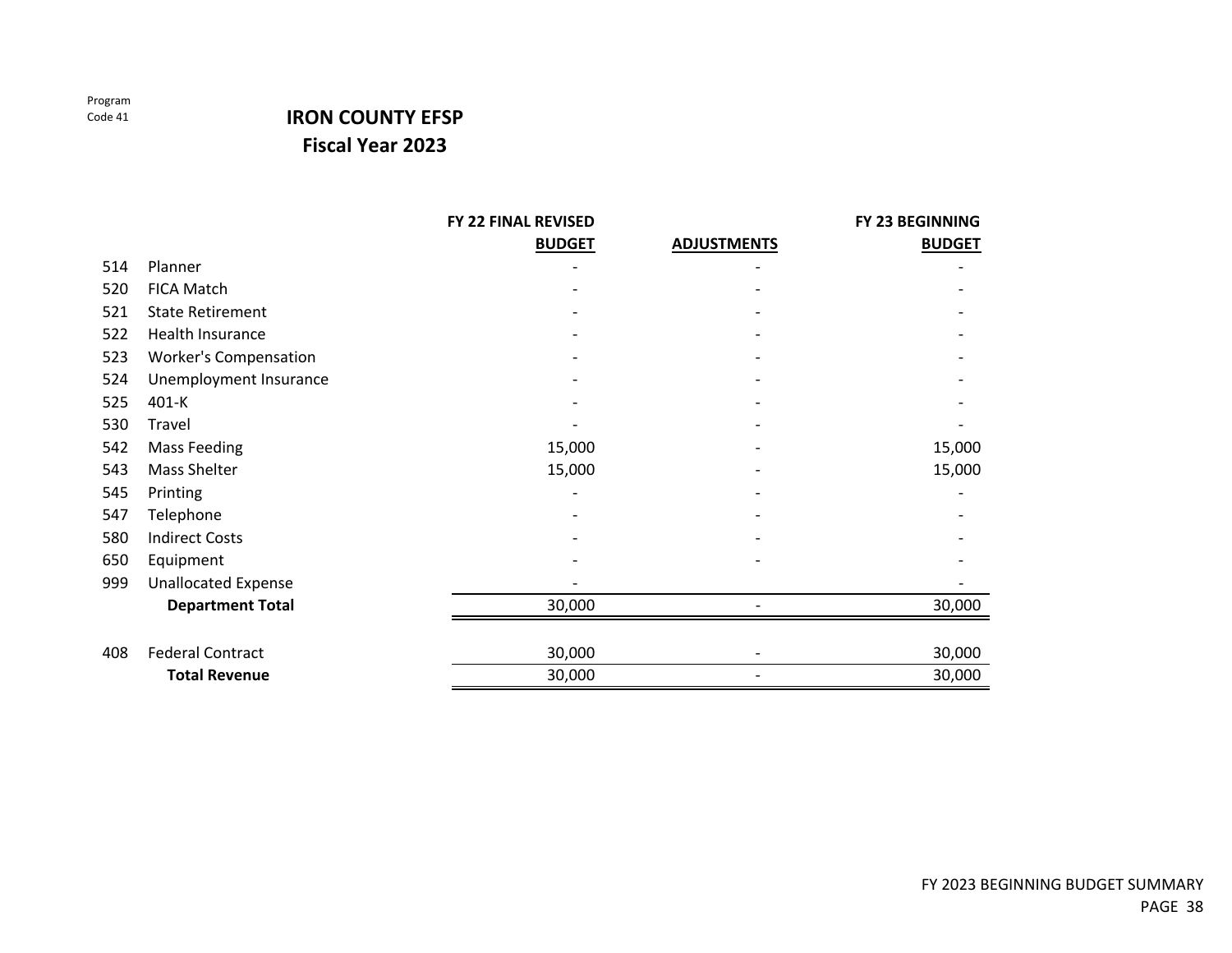### **IRON COUNTY EFSP Fiscal Year 2023**

|     |                              | FY 22 FINAL REVISED |                    | <b>FY 23 BEGINNING</b> |
|-----|------------------------------|---------------------|--------------------|------------------------|
|     |                              | <b>BUDGET</b>       | <b>ADJUSTMENTS</b> | <b>BUDGET</b>          |
| 514 | Planner                      |                     |                    |                        |
| 520 | FICA Match                   |                     |                    |                        |
| 521 | <b>State Retirement</b>      |                     |                    |                        |
| 522 | Health Insurance             |                     |                    |                        |
| 523 | <b>Worker's Compensation</b> |                     |                    |                        |
| 524 | Unemployment Insurance       |                     |                    |                        |
| 525 | 401-K                        |                     |                    |                        |
| 530 | Travel                       |                     |                    |                        |
| 542 | <b>Mass Feeding</b>          | 15,000              |                    | 15,000                 |
| 543 | <b>Mass Shelter</b>          | 15,000              |                    | 15,000                 |
| 545 | Printing                     |                     |                    |                        |
| 547 | Telephone                    |                     |                    |                        |
| 580 | <b>Indirect Costs</b>        |                     |                    |                        |
| 650 | Equipment                    |                     |                    |                        |
| 999 | <b>Unallocated Expense</b>   |                     |                    |                        |
|     | <b>Department Total</b>      | 30,000              |                    | 30,000                 |
| 408 | <b>Federal Contract</b>      | 30,000              |                    | 30,000                 |
|     | <b>Total Revenue</b>         | 30,000              |                    | 30,000                 |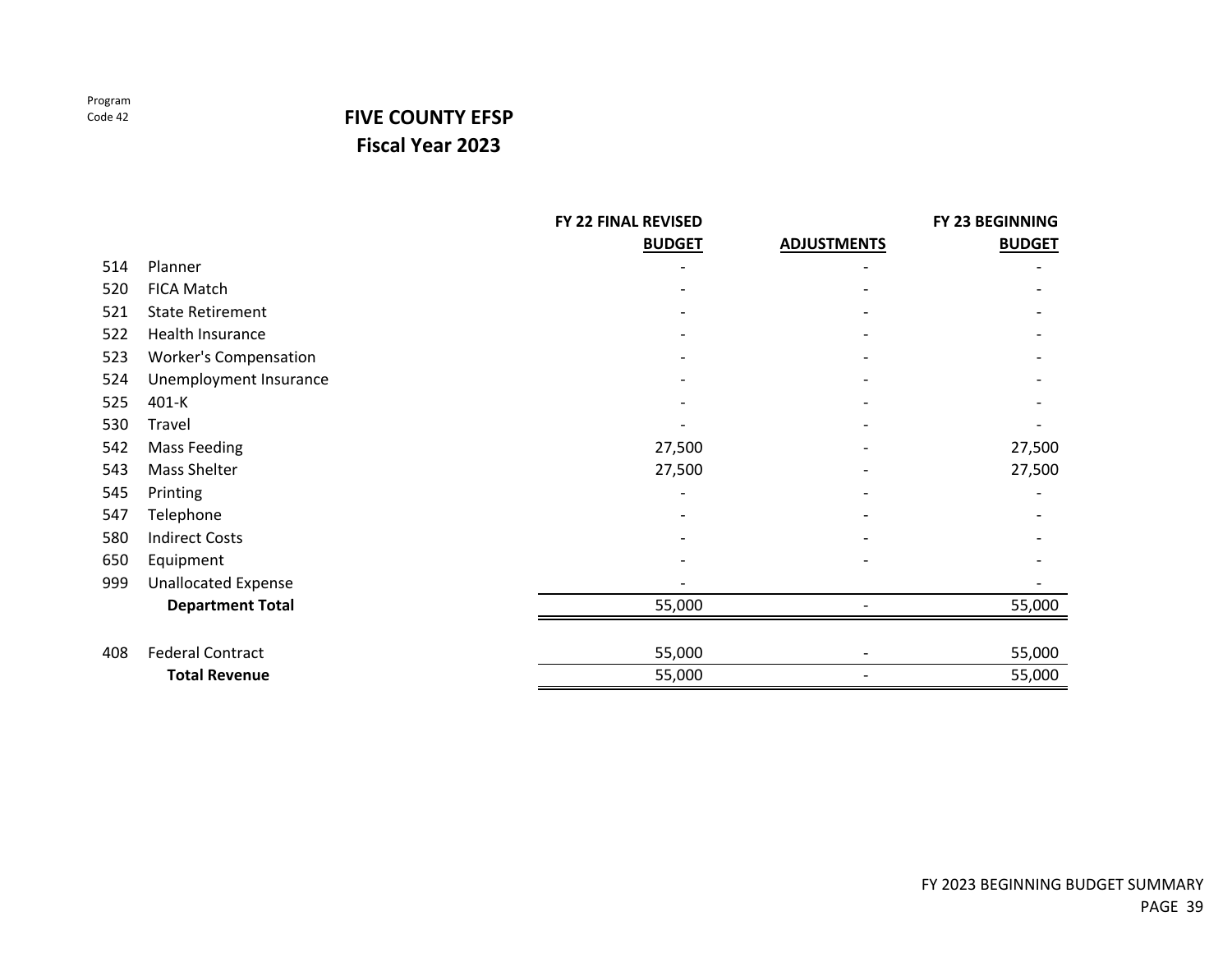### **FIVE COUNTY EFSPFiscal Year 2023**

|     |                              | FY 22 FINAL REVISED |                    | FY 23 BEGINNING |
|-----|------------------------------|---------------------|--------------------|-----------------|
|     |                              | <b>BUDGET</b>       | <b>ADJUSTMENTS</b> | <b>BUDGET</b>   |
| 514 | Planner                      |                     |                    |                 |
| 520 | FICA Match                   |                     |                    |                 |
| 521 | <b>State Retirement</b>      |                     |                    |                 |
| 522 | Health Insurance             |                     |                    |                 |
| 523 | <b>Worker's Compensation</b> |                     |                    |                 |
| 524 | Unemployment Insurance       |                     |                    |                 |
| 525 | 401-K                        |                     |                    |                 |
| 530 | Travel                       |                     |                    |                 |
| 542 | <b>Mass Feeding</b>          | 27,500              |                    | 27,500          |
| 543 | <b>Mass Shelter</b>          | 27,500              |                    | 27,500          |
| 545 | Printing                     |                     |                    |                 |
| 547 | Telephone                    |                     |                    |                 |
| 580 | <b>Indirect Costs</b>        |                     |                    |                 |
| 650 | Equipment                    |                     |                    |                 |
| 999 | <b>Unallocated Expense</b>   |                     |                    |                 |
|     | <b>Department Total</b>      | 55,000              |                    | 55,000          |
|     |                              |                     |                    |                 |
| 408 | <b>Federal Contract</b>      | 55,000              |                    | 55,000          |
|     | <b>Total Revenue</b>         | 55,000              |                    | 55,000          |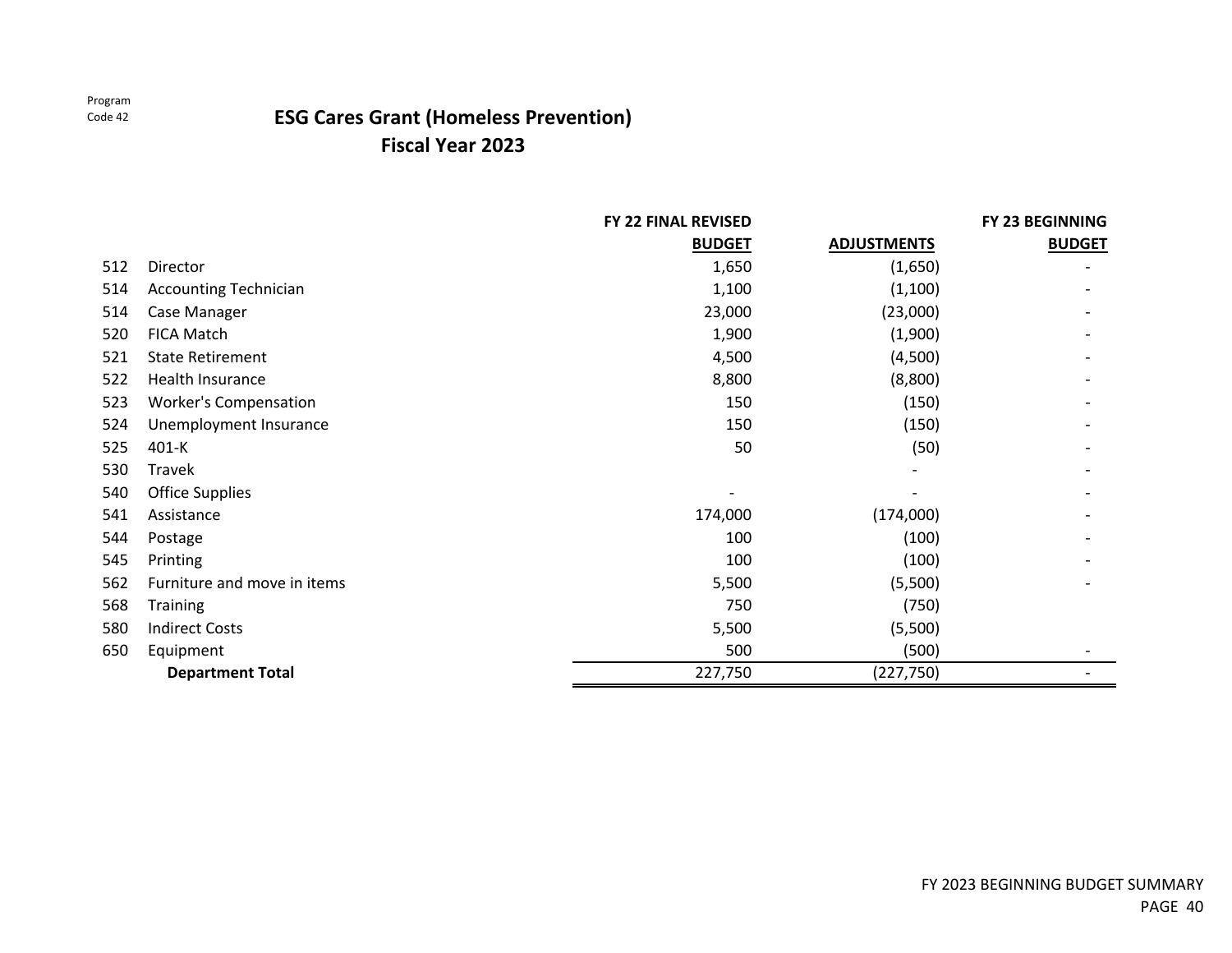### **ESG Cares Grant (Homeless Prevention) Fiscal Year 2023**

|     |                              | <b>FY 22 FINAL REVISED</b> |                    | FY 23 BEGINNING |
|-----|------------------------------|----------------------------|--------------------|-----------------|
|     |                              | <b>BUDGET</b>              | <b>ADJUSTMENTS</b> | <b>BUDGET</b>   |
| 512 | Director                     | 1,650                      | (1,650)            |                 |
| 514 | <b>Accounting Technician</b> | 1,100                      | (1, 100)           |                 |
| 514 | Case Manager                 | 23,000                     | (23,000)           |                 |
| 520 | FICA Match                   | 1,900                      | (1,900)            |                 |
| 521 | <b>State Retirement</b>      | 4,500                      | (4,500)            |                 |
| 522 | Health Insurance             | 8,800                      | (8,800)            |                 |
| 523 | <b>Worker's Compensation</b> | 150                        | (150)              |                 |
| 524 | Unemployment Insurance       | 150                        | (150)              |                 |
| 525 | 401-K                        | 50                         | (50)               |                 |
| 530 | <b>Travek</b>                |                            |                    |                 |
| 540 | <b>Office Supplies</b>       |                            |                    |                 |
| 541 | Assistance                   | 174,000                    | (174,000)          |                 |
| 544 | Postage                      | 100                        | (100)              |                 |
| 545 | Printing                     | 100                        | (100)              |                 |
| 562 | Furniture and move in items  | 5,500                      | (5,500)            |                 |
| 568 | <b>Training</b>              | 750                        | (750)              |                 |
| 580 | <b>Indirect Costs</b>        | 5,500                      | (5,500)            |                 |
| 650 | Equipment                    | 500                        | (500)              |                 |
|     | <b>Department Total</b>      | 227,750                    | (227, 750)         |                 |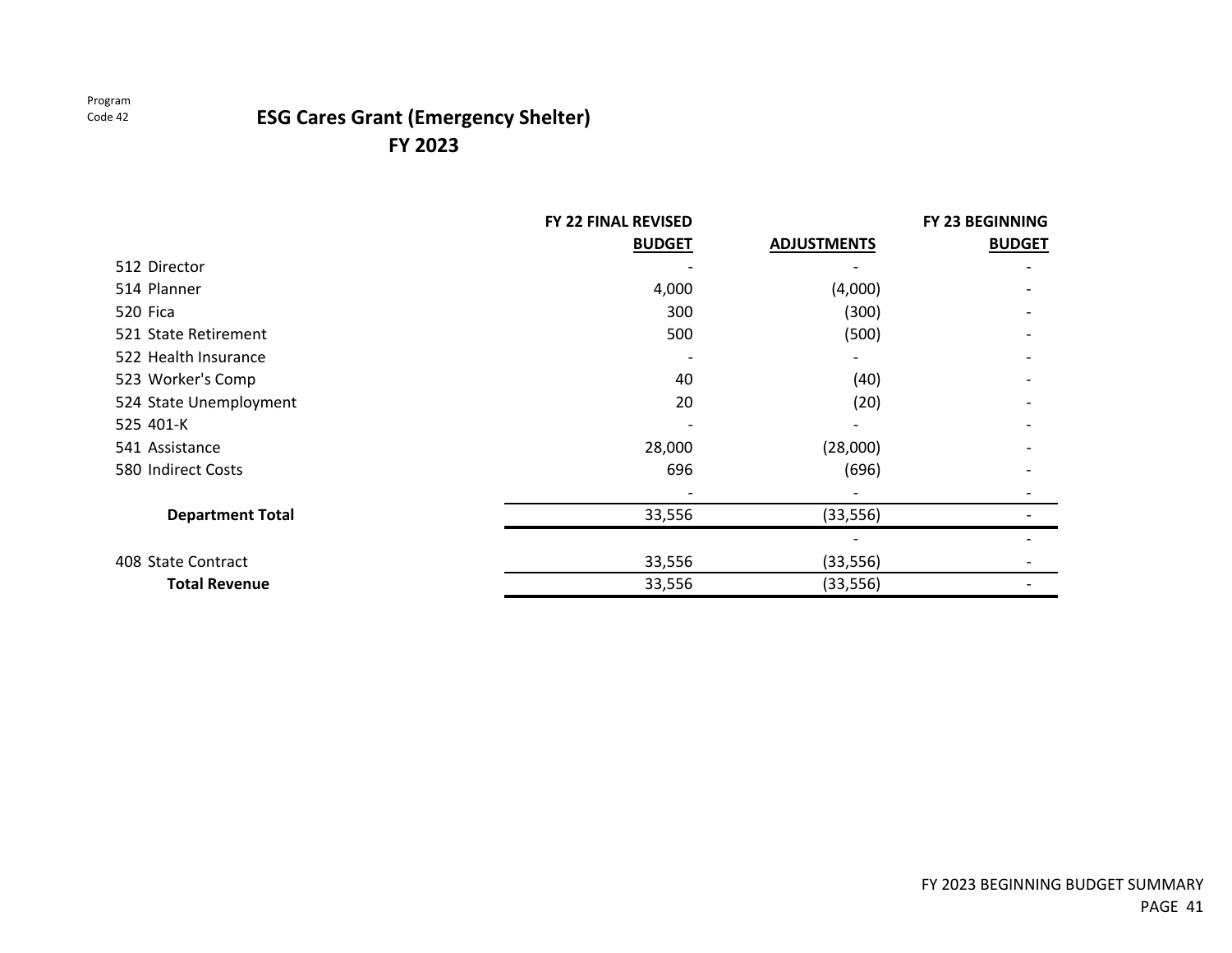### **ESG Cares Grant (Emergency Shelter) FY 2023**

|                         | FY 22 FINAL REVISED |                    | <b>FY 23 BEGINNING</b> |
|-------------------------|---------------------|--------------------|------------------------|
|                         | <b>BUDGET</b>       | <b>ADJUSTMENTS</b> | <b>BUDGET</b>          |
| 512 Director            |                     |                    |                        |
| 514 Planner             | 4,000               | (4,000)            |                        |
| 520 Fica                | 300                 | (300)              |                        |
| 521 State Retirement    | 500                 | (500)              |                        |
| 522 Health Insurance    |                     |                    |                        |
| 523 Worker's Comp       | 40                  | (40)               |                        |
| 524 State Unemployment  | 20                  | (20)               |                        |
| 525 401-K               |                     |                    |                        |
| 541 Assistance          | 28,000              | (28,000)           |                        |
| 580 Indirect Costs      | 696                 | (696)              |                        |
|                         |                     |                    |                        |
| <b>Department Total</b> | 33,556              | (33, 556)          |                        |
|                         |                     |                    |                        |
| 408 State Contract      | 33,556              | (33, 556)          |                        |
| <b>Total Revenue</b>    | 33,556              | (33, 556)          |                        |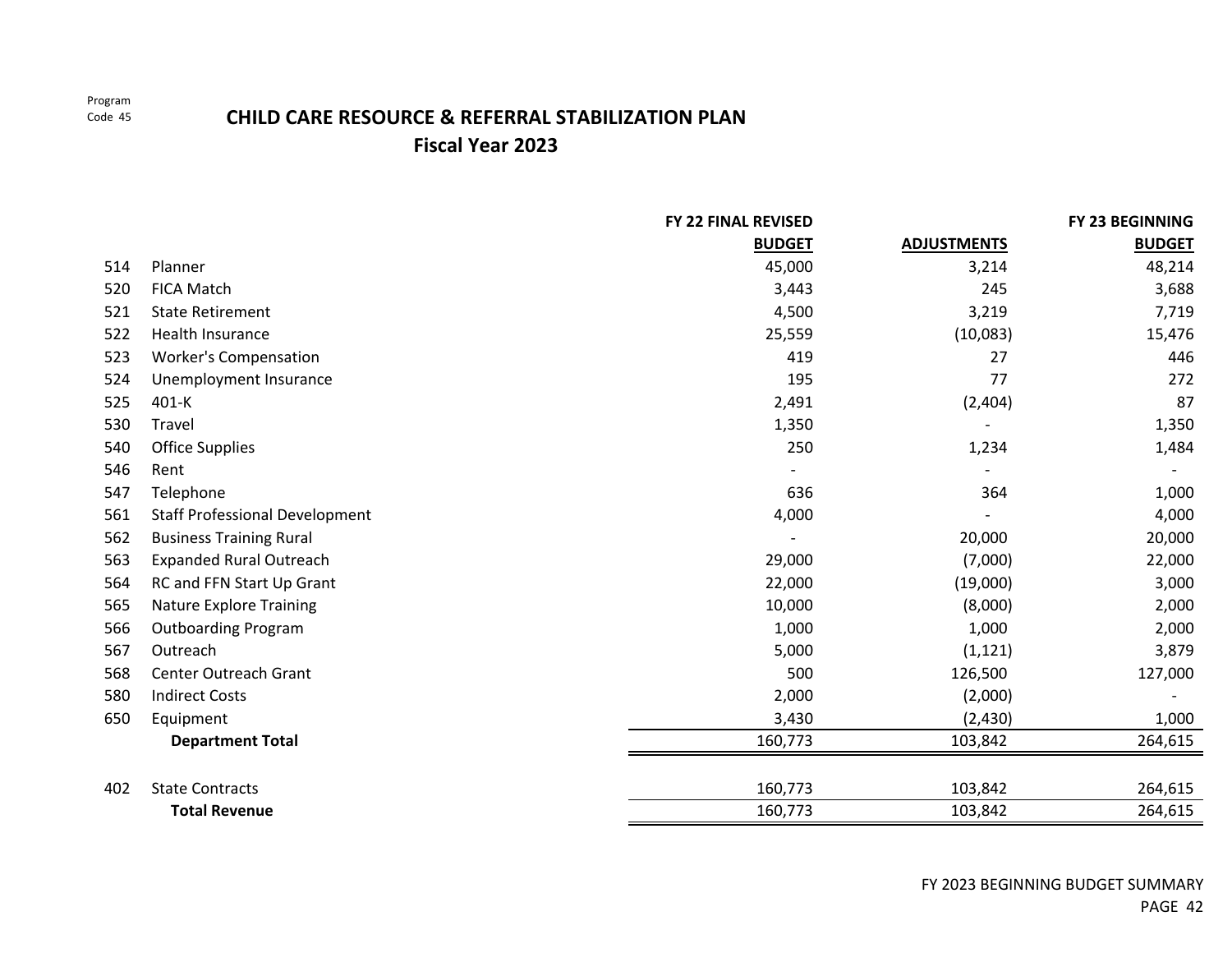### **CHILD CARE RESOURCE & REFERRAL STABILIZATION PLAN Fiscal Year 2023**

**FY 22 FINAL REVISED FY 23 BEGINNINGBUDGET ADJUSTMENTS BUDGET**514 Planner 45,000 3,214 48,214 520 FICA Match Match 3,443 245 3,688 521 State Retirement e Retirement 4,500 3,219 7,719 522 Health Insurance Insurance 25,559 (10,083) 15,476 523 Worker's Compensation 419 27 446 524 Unemployment Insurance 272 525 401‐K 2,491 (2,404) 87 530 Travel ‐ 1,350 1,350 540 Office Supplies Supplies 250 1,234 1,484 546 Rent ‐ ‐ ‐ 547 Telephone 636 364 1,000 561 Staff Professional Development 4,000 ‐ 4,000 562 Business Training Rural ‐ 20,000 20,000 563 Expanded Rural Outreach 29,000 (7,000) 22,000 564 and FFN Start Up Grant 22,000 (19,000) 3,000 565 Nature Explore Training 10,000 (8,000) 2,000 566 Outboarding Program 1,000 1,000 2,000 567 Outreach 5,000 (1,121) 3,879 568 Center Outreach Grant 500 126,500 127,000 580 Indirect Costs 2,000 ‐ (2,000) 650 Equipment 3,430 (2,430) 1,000 **Department Total** 264,615 402 State Contracts Contracts 160,773 103,842 264,615 **Total Revenue**160,773 103,842 264,615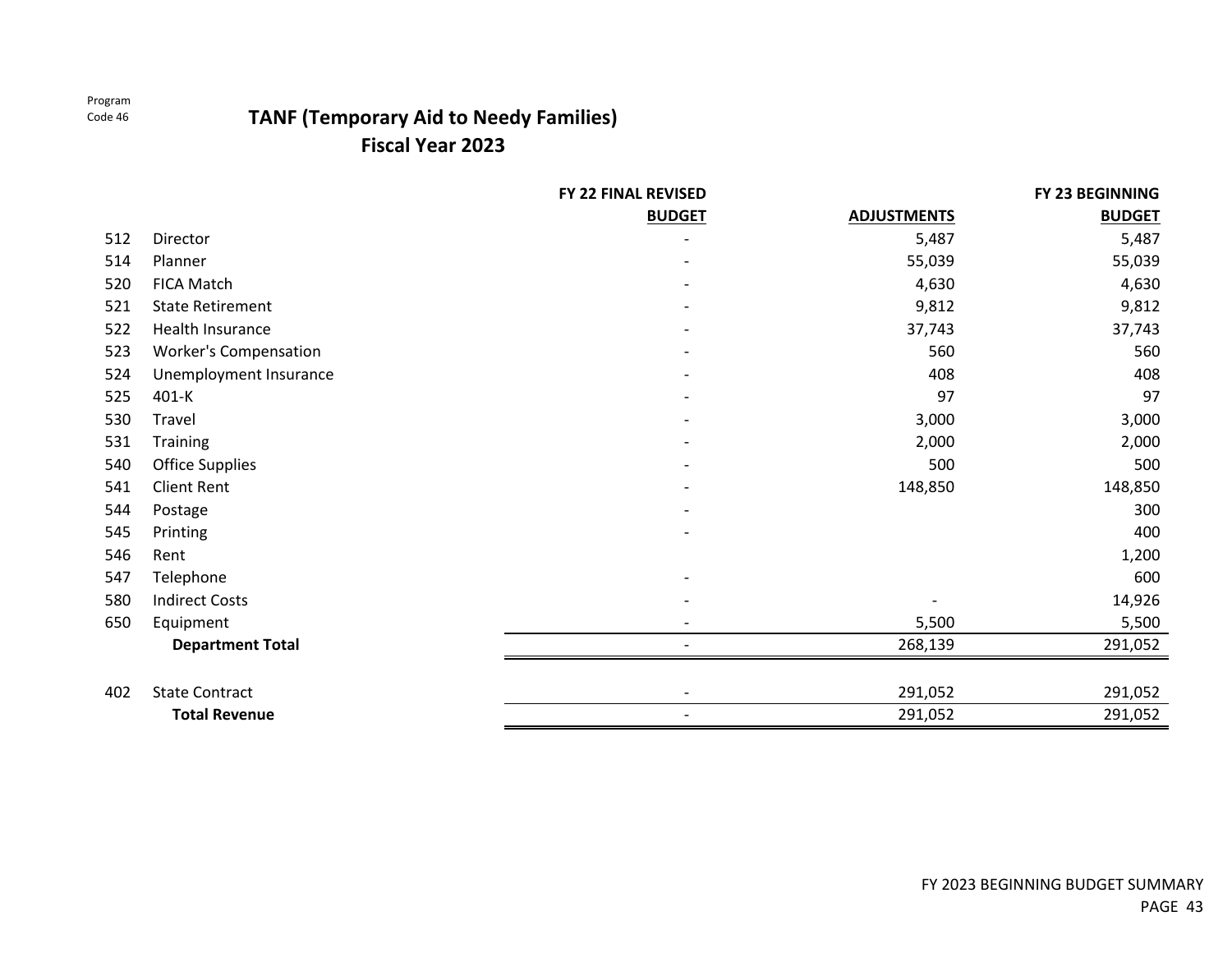### **TANF (Temporary Aid to Needy Families)**

|     |                              | FY 22 FINAL REVISED      |                    | FY 23 BEGINNING |
|-----|------------------------------|--------------------------|--------------------|-----------------|
|     |                              | <b>BUDGET</b>            | <b>ADJUSTMENTS</b> | <b>BUDGET</b>   |
| 512 | Director                     |                          | 5,487              | 5,487           |
| 514 | Planner                      |                          | 55,039             | 55,039          |
| 520 | <b>FICA Match</b>            |                          | 4,630              | 4,630           |
| 521 | <b>State Retirement</b>      |                          | 9,812              | 9,812           |
| 522 | Health Insurance             |                          | 37,743             | 37,743          |
| 523 | <b>Worker's Compensation</b> |                          | 560                | 560             |
| 524 | Unemployment Insurance       |                          | 408                | 408             |
| 525 | $401-K$                      |                          | 97                 | 97              |
| 530 | Travel                       |                          | 3,000              | 3,000           |
| 531 | Training                     |                          | 2,000              | 2,000           |
| 540 | <b>Office Supplies</b>       |                          | 500                | 500             |
| 541 | <b>Client Rent</b>           |                          | 148,850            | 148,850         |
| 544 | Postage                      |                          |                    | 300             |
| 545 | Printing                     |                          |                    | 400             |
| 546 | Rent                         |                          |                    | 1,200           |
| 547 | Telephone                    |                          |                    | 600             |
| 580 | <b>Indirect Costs</b>        |                          |                    | 14,926          |
| 650 | Equipment                    |                          | 5,500              | 5,500           |
|     | <b>Department Total</b>      |                          | 268,139            | 291,052         |
| 402 | <b>State Contract</b>        | $\overline{\phantom{0}}$ | 291,052            | 291,052         |
|     | <b>Total Revenue</b>         | $\qquad \qquad -$        | 291,052            | 291,052         |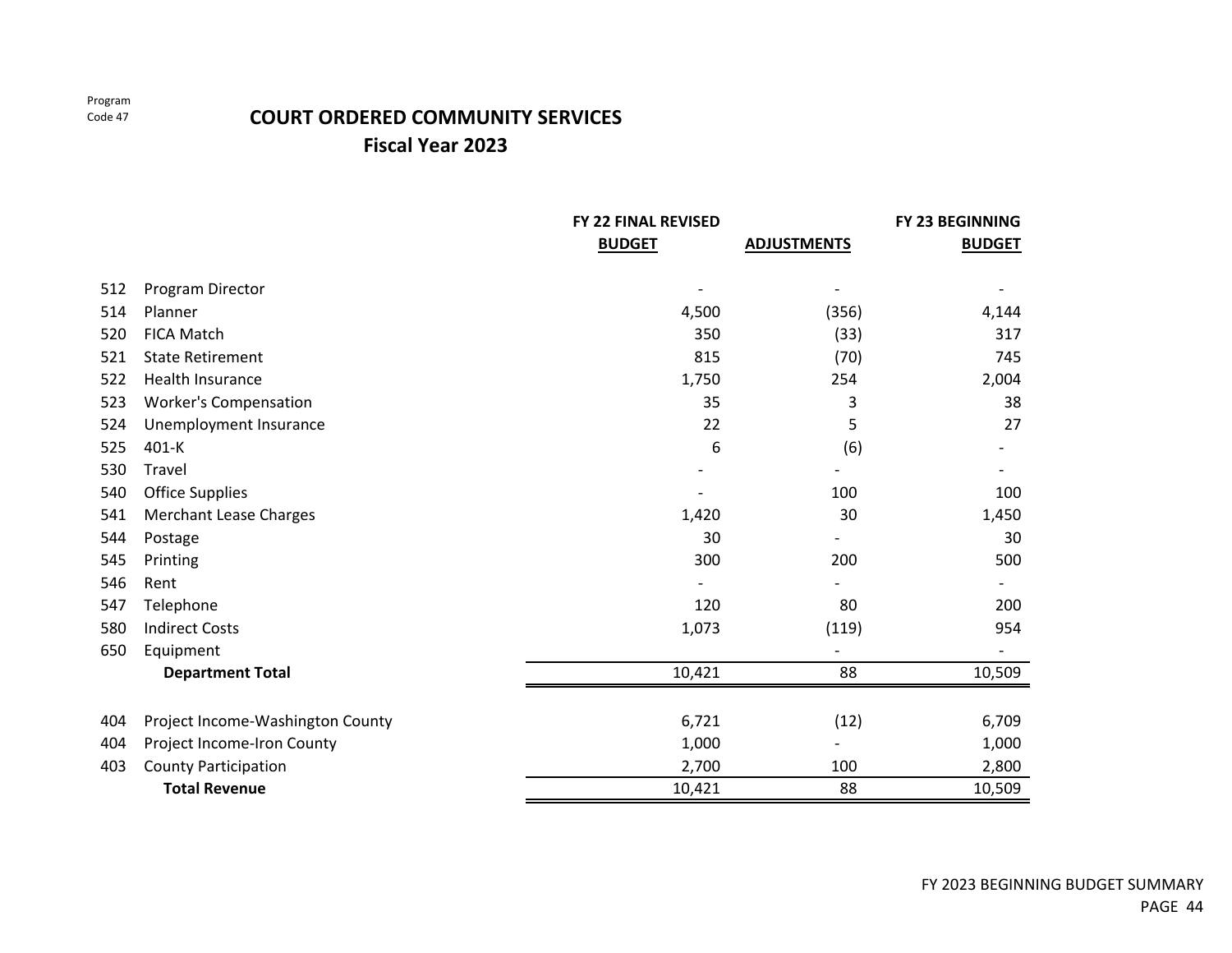### **COURT ORDERED COMMUNITY SERVICES Fiscal Year 2023**

|     |                                  | FY 22 FINAL REVISED |                    | FY 23 BEGINNING |
|-----|----------------------------------|---------------------|--------------------|-----------------|
|     |                                  | <b>BUDGET</b>       | <b>ADJUSTMENTS</b> | <b>BUDGET</b>   |
|     |                                  |                     |                    |                 |
| 512 | Program Director                 |                     |                    |                 |
| 514 | Planner                          | 4,500               | (356)              | 4,144           |
| 520 | <b>FICA Match</b>                | 350                 | (33)               | 317             |
| 521 | <b>State Retirement</b>          | 815                 | (70)               | 745             |
| 522 | Health Insurance                 | 1,750               | 254                | 2,004           |
| 523 | <b>Worker's Compensation</b>     | 35                  | 3                  | 38              |
| 524 | Unemployment Insurance           | 22                  | 5                  | 27              |
| 525 | 401-K                            | 6                   | (6)                |                 |
| 530 | Travel                           |                     |                    |                 |
| 540 | <b>Office Supplies</b>           |                     | 100                | 100             |
| 541 | <b>Merchant Lease Charges</b>    | 1,420               | 30                 | 1,450           |
| 544 | Postage                          | 30                  |                    | 30              |
| 545 | Printing                         | 300                 | 200                | 500             |
| 546 | Rent                             |                     |                    |                 |
| 547 | Telephone                        | 120                 | 80                 | 200             |
| 580 | <b>Indirect Costs</b>            | 1,073               | (119)              | 954             |
| 650 | Equipment                        |                     |                    |                 |
|     | <b>Department Total</b>          | 10,421              | 88                 | 10,509          |
|     |                                  |                     |                    |                 |
| 404 | Project Income-Washington County | 6,721               | (12)               | 6,709           |
| 404 | Project Income-Iron County       | 1,000               |                    | 1,000           |
| 403 | <b>County Participation</b>      | 2,700               | 100                | 2,800           |
|     | <b>Total Revenue</b>             | 10,421              | 88                 | 10,509          |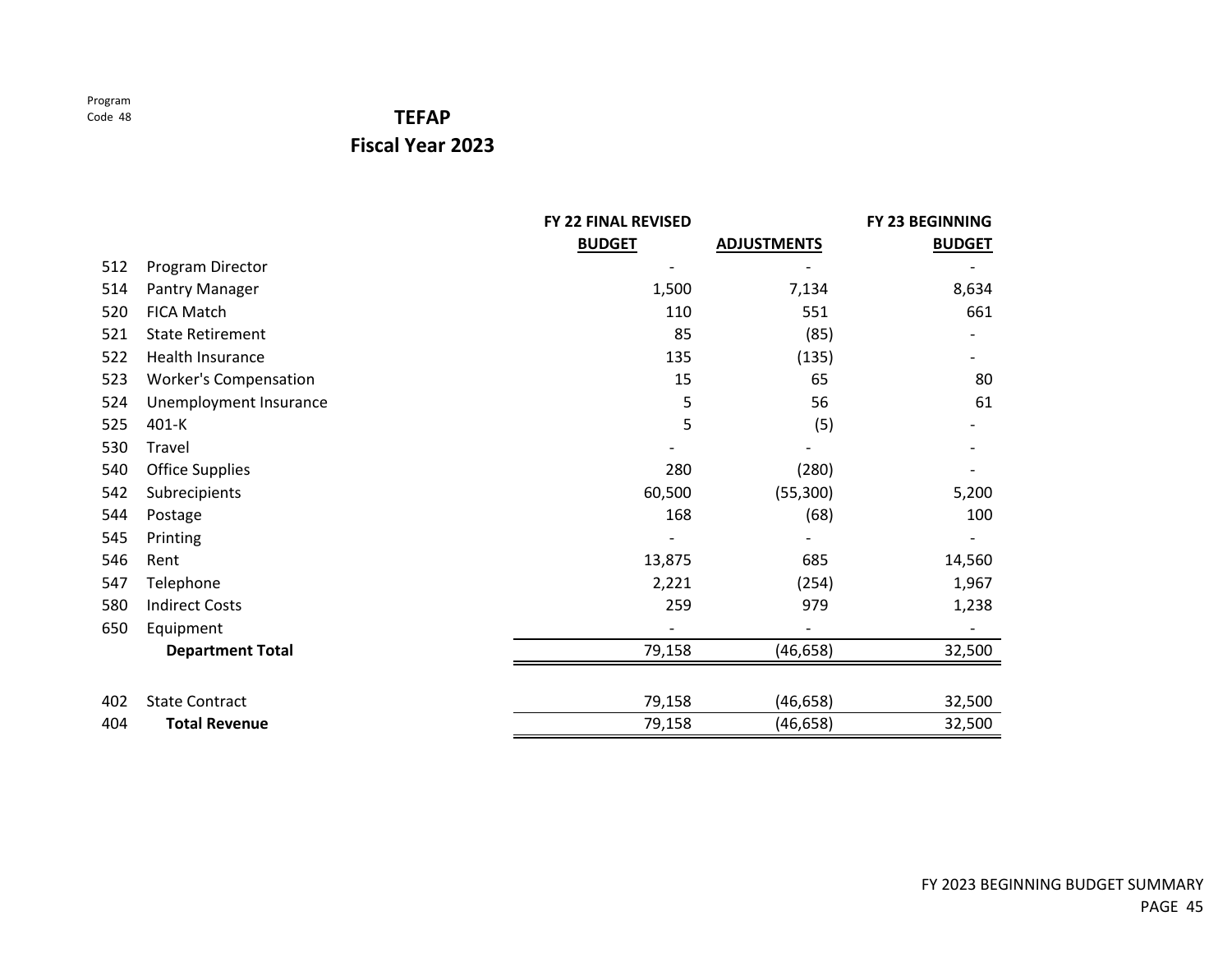#### **TEFAP**

|     |                              | FY 22 FINAL REVISED |                    | FY 23 BEGINNING |
|-----|------------------------------|---------------------|--------------------|-----------------|
|     |                              | <b>BUDGET</b>       | <b>ADJUSTMENTS</b> | <b>BUDGET</b>   |
| 512 | Program Director             |                     |                    |                 |
| 514 | Pantry Manager               | 1,500               | 7,134              | 8,634           |
| 520 | <b>FICA Match</b>            | 110                 | 551                | 661             |
| 521 | <b>State Retirement</b>      | 85                  | (85)               |                 |
| 522 | Health Insurance             | 135                 | (135)              |                 |
| 523 | <b>Worker's Compensation</b> | 15                  | 65                 | 80              |
| 524 | Unemployment Insurance       | 5                   | 56                 | 61              |
| 525 | 401-K                        | 5                   | (5)                |                 |
| 530 | Travel                       |                     |                    |                 |
| 540 | <b>Office Supplies</b>       | 280                 | (280)              |                 |
| 542 | Subrecipients                | 60,500              | (55, 300)          | 5,200           |
| 544 | Postage                      | 168                 | (68)               | 100             |
| 545 | Printing                     |                     |                    |                 |
| 546 | Rent                         | 13,875              | 685                | 14,560          |
| 547 | Telephone                    | 2,221               | (254)              | 1,967           |
| 580 | <b>Indirect Costs</b>        | 259                 | 979                | 1,238           |
| 650 | Equipment                    |                     |                    |                 |
|     | <b>Department Total</b>      | 79,158              | (46,658)           | 32,500          |
| 402 | <b>State Contract</b>        | 79,158              | (46, 658)          | 32,500          |
| 404 | <b>Total Revenue</b>         | 79,158              | (46, 658)          | 32,500          |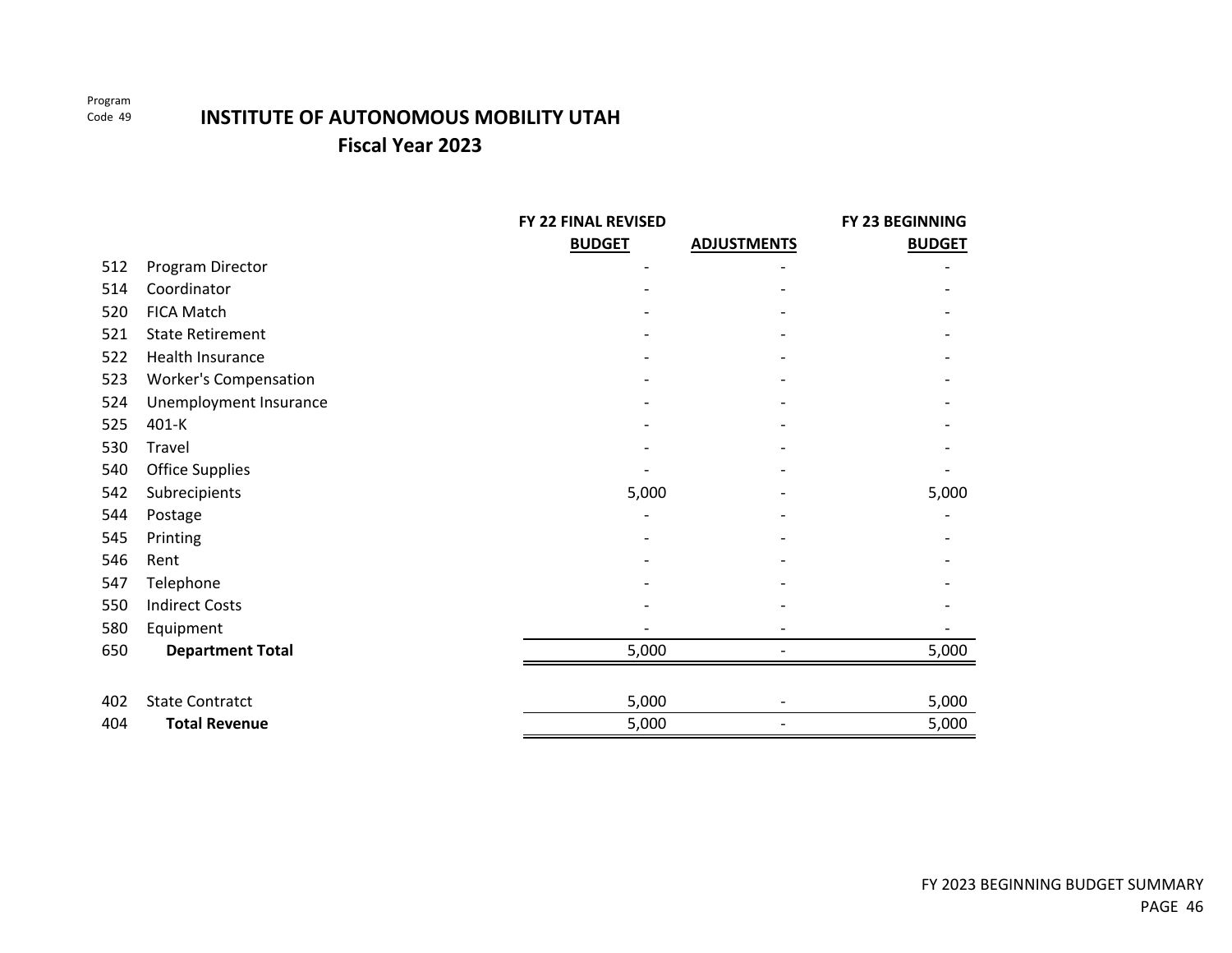### **INSTITUTE OF AUTONOMOUS MOBILITY UTAHFiscal Year 2023**

|     |                              | FY 22 FINAL REVISED |                    | FY 23 BEGINNING |
|-----|------------------------------|---------------------|--------------------|-----------------|
|     |                              | <b>BUDGET</b>       | <b>ADJUSTMENTS</b> | <b>BUDGET</b>   |
| 512 | Program Director             |                     |                    |                 |
| 514 | Coordinator                  |                     |                    |                 |
| 520 | <b>FICA Match</b>            |                     |                    |                 |
| 521 | <b>State Retirement</b>      |                     |                    |                 |
| 522 | Health Insurance             |                     |                    |                 |
| 523 | <b>Worker's Compensation</b> |                     |                    |                 |
| 524 | Unemployment Insurance       |                     |                    |                 |
| 525 | 401-K                        |                     |                    |                 |
| 530 | Travel                       |                     |                    |                 |
| 540 | <b>Office Supplies</b>       |                     |                    |                 |
| 542 | Subrecipients                | 5,000               |                    | 5,000           |
| 544 | Postage                      |                     |                    |                 |
| 545 | Printing                     |                     |                    |                 |
| 546 | Rent                         |                     |                    |                 |
| 547 | Telephone                    |                     |                    |                 |
| 550 | <b>Indirect Costs</b>        |                     |                    |                 |
| 580 | Equipment                    |                     |                    |                 |
| 650 | <b>Department Total</b>      | 5,000               |                    | 5,000           |
|     |                              |                     |                    |                 |
| 402 | <b>State Contratct</b>       | 5,000               |                    | 5,000           |
| 404 | <b>Total Revenue</b>         | 5,000               |                    | 5,000           |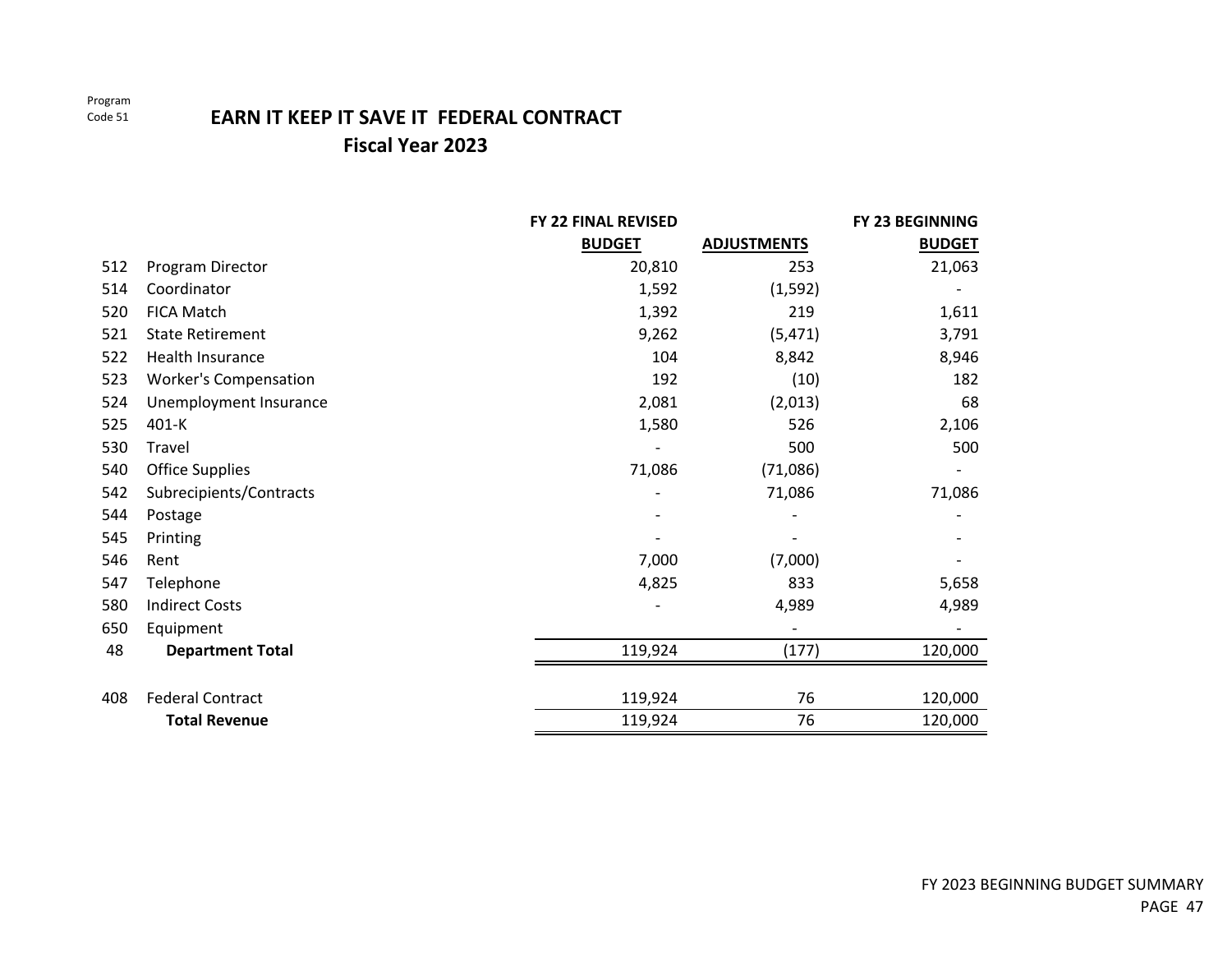### **EARN IT KEEP IT SAVE IT FEDERAL CONTRACT Fiscal Year 2023**

|     |                              | FY 22 FINAL REVISED |                    | FY 23 BEGINNING |
|-----|------------------------------|---------------------|--------------------|-----------------|
|     |                              | <b>BUDGET</b>       | <b>ADJUSTMENTS</b> | <b>BUDGET</b>   |
| 512 | Program Director             | 20,810              | 253                | 21,063          |
| 514 | Coordinator                  | 1,592               | (1, 592)           |                 |
| 520 | <b>FICA Match</b>            | 1,392               | 219                | 1,611           |
| 521 | <b>State Retirement</b>      | 9,262               | (5, 471)           | 3,791           |
| 522 | Health Insurance             | 104                 | 8,842              | 8,946           |
| 523 | <b>Worker's Compensation</b> | 192                 | (10)               | 182             |
| 524 | Unemployment Insurance       | 2,081               | (2,013)            | 68              |
| 525 | 401-K                        | 1,580               | 526                | 2,106           |
| 530 | Travel                       |                     | 500                | 500             |
| 540 | <b>Office Supplies</b>       | 71,086              | (71,086)           |                 |
| 542 | Subrecipients/Contracts      |                     | 71,086             | 71,086          |
| 544 | Postage                      |                     |                    |                 |
| 545 | Printing                     |                     |                    |                 |
| 546 | Rent                         | 7,000               | (7,000)            |                 |
| 547 | Telephone                    | 4,825               | 833                | 5,658           |
| 580 | <b>Indirect Costs</b>        |                     | 4,989              | 4,989           |
| 650 | Equipment                    |                     |                    |                 |
| 48  | <b>Department Total</b>      | 119,924             | (177)              | 120,000         |
| 408 | <b>Federal Contract</b>      | 119,924             | 76                 | 120,000         |
|     | <b>Total Revenue</b>         | 119,924             | 76                 | 120,000         |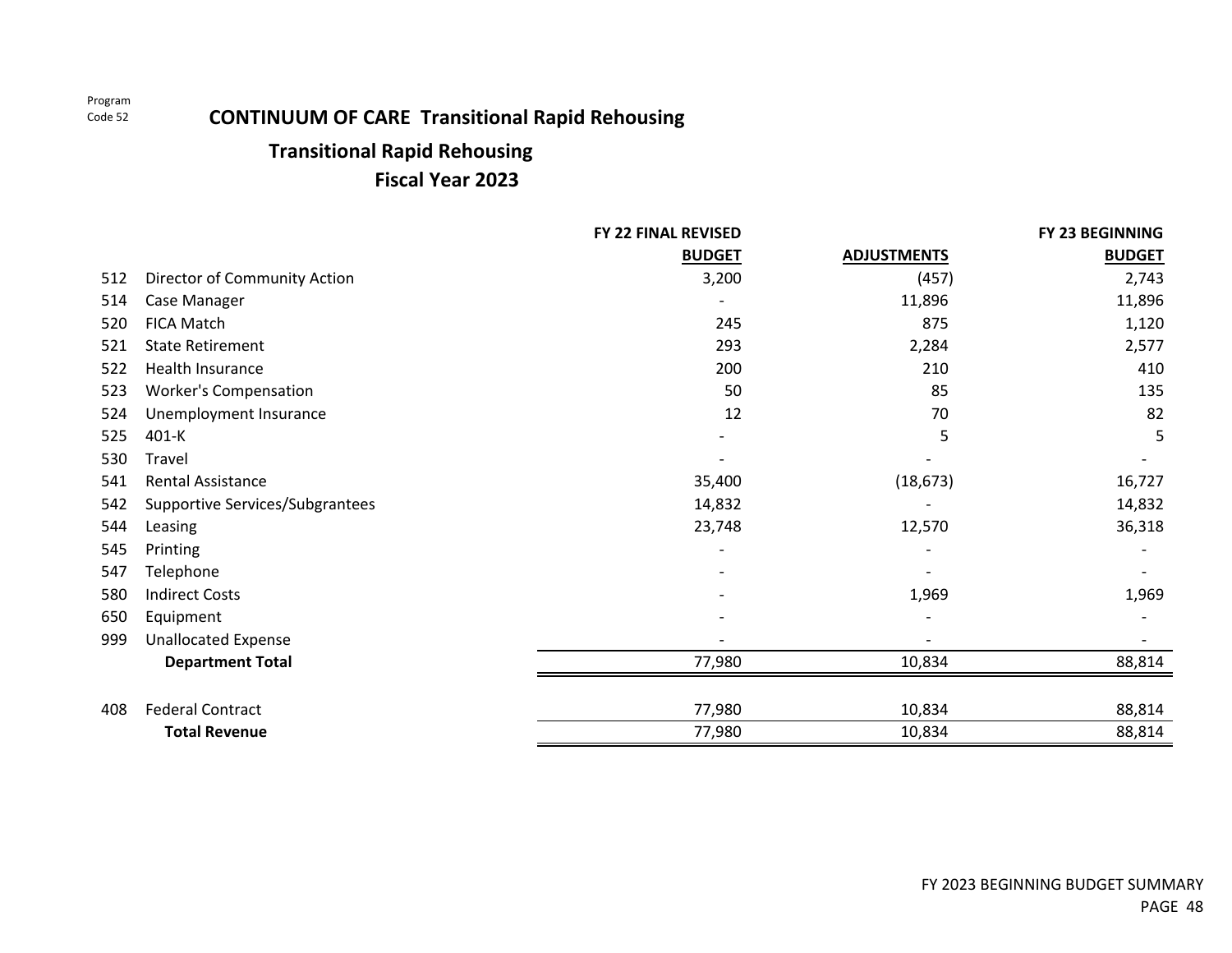### **CONTINUUM OF CARE Transitional Rapid Rehousing**

### **Transitional Rapid Rehousing Fiscal Year 2023**

|     |                                 | FY 22 FINAL REVISED |                    | FY 23 BEGINNING |
|-----|---------------------------------|---------------------|--------------------|-----------------|
|     |                                 | <b>BUDGET</b>       | <b>ADJUSTMENTS</b> | <b>BUDGET</b>   |
| 512 | Director of Community Action    | 3,200               | (457)              | 2,743           |
| 514 | Case Manager                    |                     | 11,896             | 11,896          |
| 520 | <b>FICA Match</b>               | 245                 | 875                | 1,120           |
| 521 | <b>State Retirement</b>         | 293                 | 2,284              | 2,577           |
| 522 | Health Insurance                | 200                 | 210                | 410             |
| 523 | <b>Worker's Compensation</b>    | 50                  | 85                 | 135             |
| 524 | Unemployment Insurance          | 12                  | 70                 | 82              |
| 525 | 401-K                           |                     | 5                  | 5               |
| 530 | Travel                          |                     |                    |                 |
| 541 | <b>Rental Assistance</b>        | 35,400              | (18, 673)          | 16,727          |
| 542 | Supportive Services/Subgrantees | 14,832              |                    | 14,832          |
| 544 | Leasing                         | 23,748              | 12,570             | 36,318          |
| 545 | Printing                        |                     |                    |                 |
| 547 | Telephone                       |                     |                    |                 |
| 580 | <b>Indirect Costs</b>           |                     | 1,969              | 1,969           |
| 650 | Equipment                       |                     |                    |                 |
| 999 | <b>Unallocated Expense</b>      |                     |                    |                 |
|     | <b>Department Total</b>         | 77,980              | 10,834             | 88,814          |
|     |                                 |                     |                    |                 |
| 408 | <b>Federal Contract</b>         | 77,980              | 10,834             | 88,814          |
|     | <b>Total Revenue</b>            | 77,980              | 10,834             | 88,814          |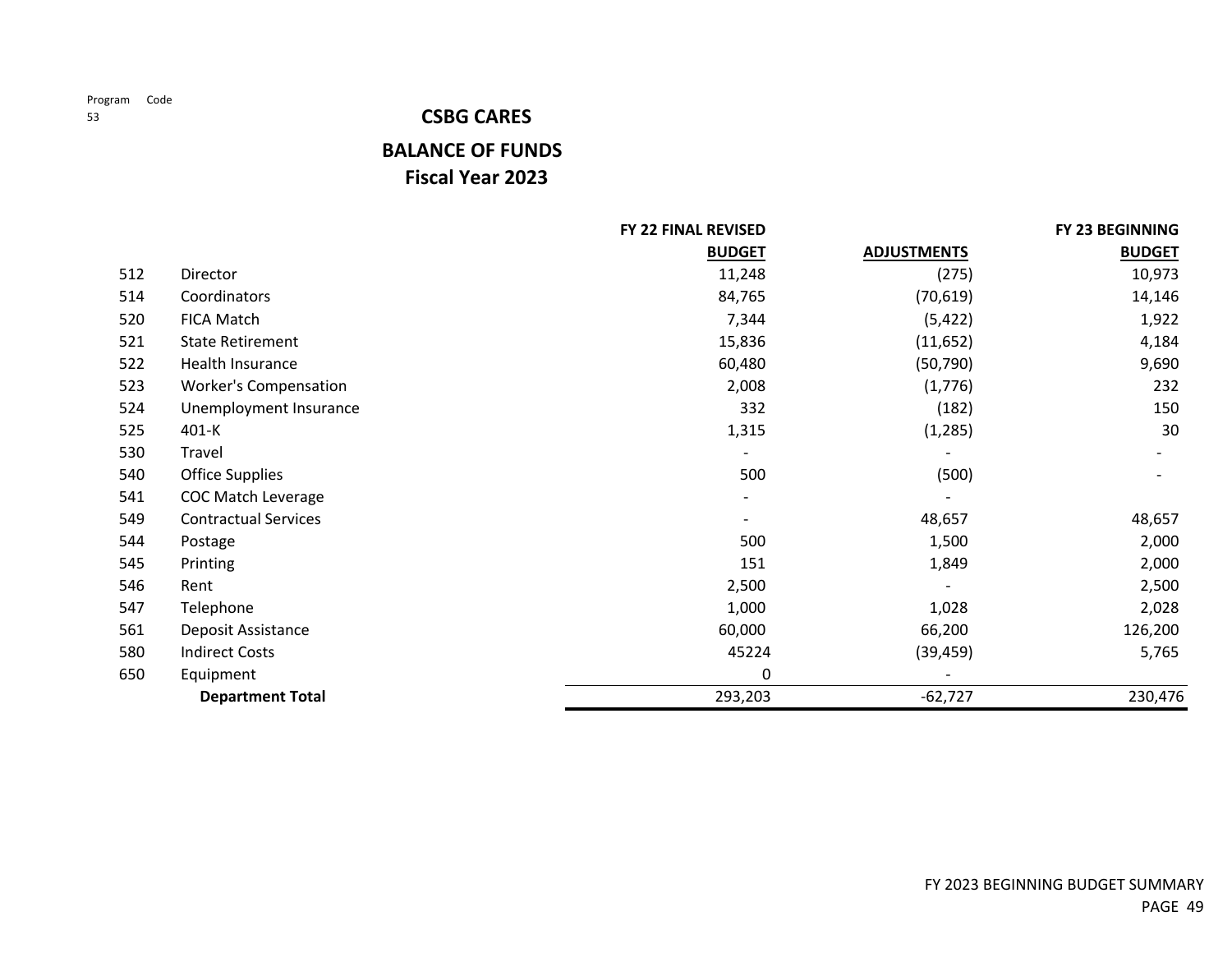## **BALANCE OF FUNDS CSBG CARES Fiscal Year 2023**

|     |                              | <b>FY 22 FINAL REVISED</b> |                    | FY 23 BEGINNING |
|-----|------------------------------|----------------------------|--------------------|-----------------|
|     |                              | <b>BUDGET</b>              | <b>ADJUSTMENTS</b> | <b>BUDGET</b>   |
| 512 | Director                     | 11,248                     | (275)              | 10,973          |
| 514 | Coordinators                 | 84,765                     | (70, 619)          | 14,146          |
| 520 | FICA Match                   | 7,344                      | (5, 422)           | 1,922           |
| 521 | <b>State Retirement</b>      | 15,836                     | (11, 652)          | 4,184           |
| 522 | Health Insurance             | 60,480                     | (50, 790)          | 9,690           |
| 523 | <b>Worker's Compensation</b> | 2,008                      | (1,776)            | 232             |
| 524 | Unemployment Insurance       | 332                        | (182)              | 150             |
| 525 | 401-K                        | 1,315                      | (1, 285)           | 30              |
| 530 | Travel                       |                            |                    |                 |
| 540 | <b>Office Supplies</b>       | 500                        | (500)              |                 |
| 541 | COC Match Leverage           | $\overline{\phantom{a}}$   | $\qquad \qquad -$  |                 |
| 549 | <b>Contractual Services</b>  |                            | 48,657             | 48,657          |
| 544 | Postage                      | 500                        | 1,500              | 2,000           |
| 545 | Printing                     | 151                        | 1,849              | 2,000           |
| 546 | Rent                         | 2,500                      |                    | 2,500           |
| 547 | Telephone                    | 1,000                      | 1,028              | 2,028           |
| 561 | Deposit Assistance           | 60,000                     | 66,200             | 126,200         |
| 580 | <b>Indirect Costs</b>        | 45224                      | (39, 459)          | 5,765           |
| 650 | Equipment                    | 0                          |                    |                 |
|     | <b>Department Total</b>      | 293,203                    | $-62,727$          | 230,476         |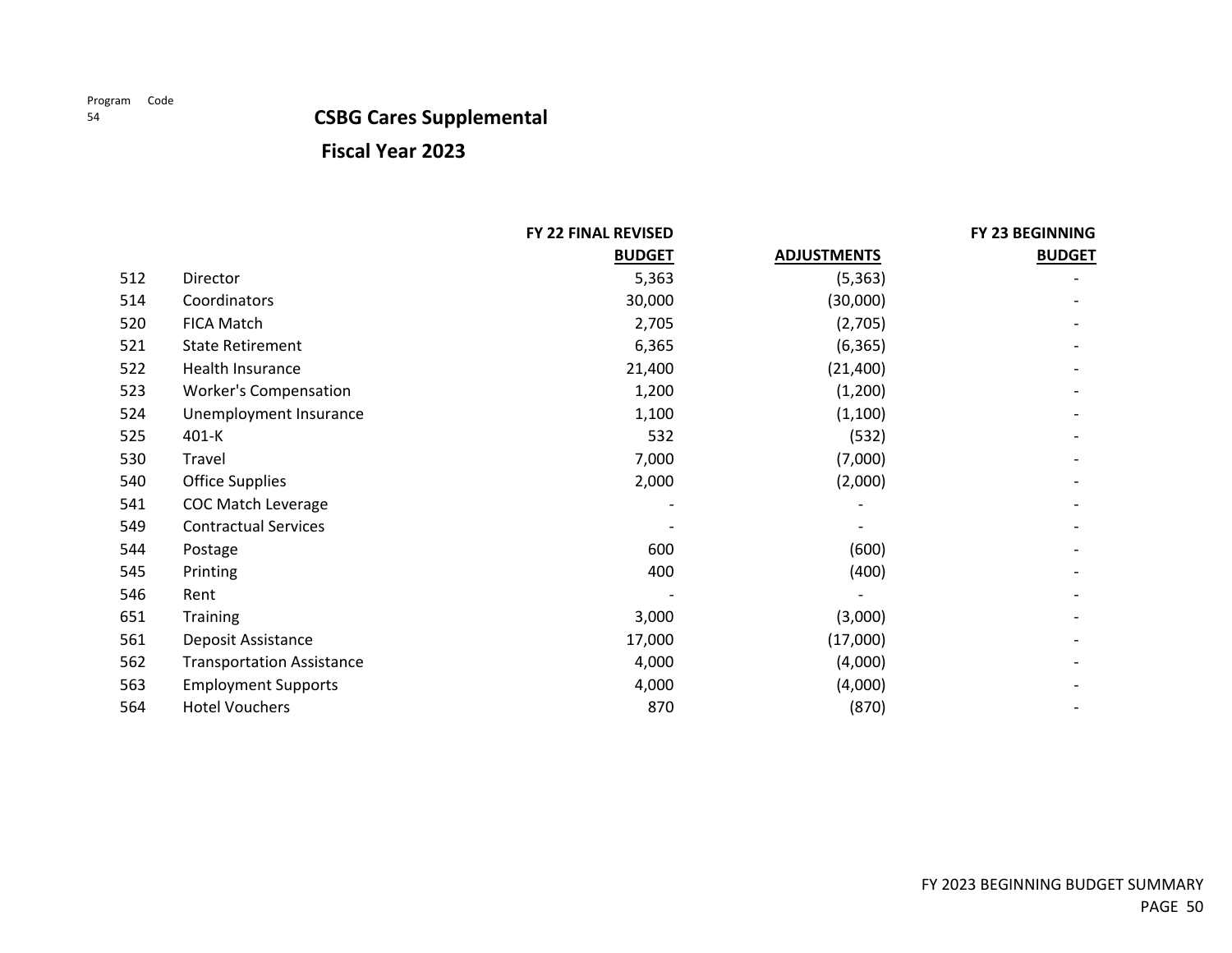### **CSBG Cares Supplemental**

|     | FY 22 FINAL REVISED              |               |                    | FY 23 BEGINNING |  |
|-----|----------------------------------|---------------|--------------------|-----------------|--|
|     |                                  | <b>BUDGET</b> | <b>ADJUSTMENTS</b> | <b>BUDGET</b>   |  |
| 512 | Director                         | 5,363         | (5, 363)           |                 |  |
| 514 | Coordinators                     | 30,000        | (30,000)           |                 |  |
| 520 | FICA Match                       | 2,705         | (2,705)            |                 |  |
| 521 | <b>State Retirement</b>          | 6,365         | (6, 365)           |                 |  |
| 522 | Health Insurance                 | 21,400        | (21, 400)          |                 |  |
| 523 | <b>Worker's Compensation</b>     | 1,200         | (1,200)            |                 |  |
| 524 | Unemployment Insurance           | 1,100         | (1, 100)           |                 |  |
| 525 | 401-K                            | 532           | (532)              |                 |  |
| 530 | Travel                           | 7,000         | (7,000)            |                 |  |
| 540 | <b>Office Supplies</b>           | 2,000         | (2,000)            |                 |  |
| 541 | <b>COC Match Leverage</b>        |               |                    |                 |  |
| 549 | <b>Contractual Services</b>      |               |                    |                 |  |
| 544 | Postage                          | 600           | (600)              |                 |  |
| 545 | Printing                         | 400           | (400)              |                 |  |
| 546 | Rent                             |               |                    |                 |  |
| 651 | <b>Training</b>                  | 3,000         | (3,000)            |                 |  |
| 561 | Deposit Assistance               | 17,000        | (17,000)           |                 |  |
| 562 | <b>Transportation Assistance</b> | 4,000         | (4,000)            |                 |  |
| 563 | <b>Employment Supports</b>       | 4,000         | (4,000)            |                 |  |
| 564 | <b>Hotel Vouchers</b>            | 870           | (870)              |                 |  |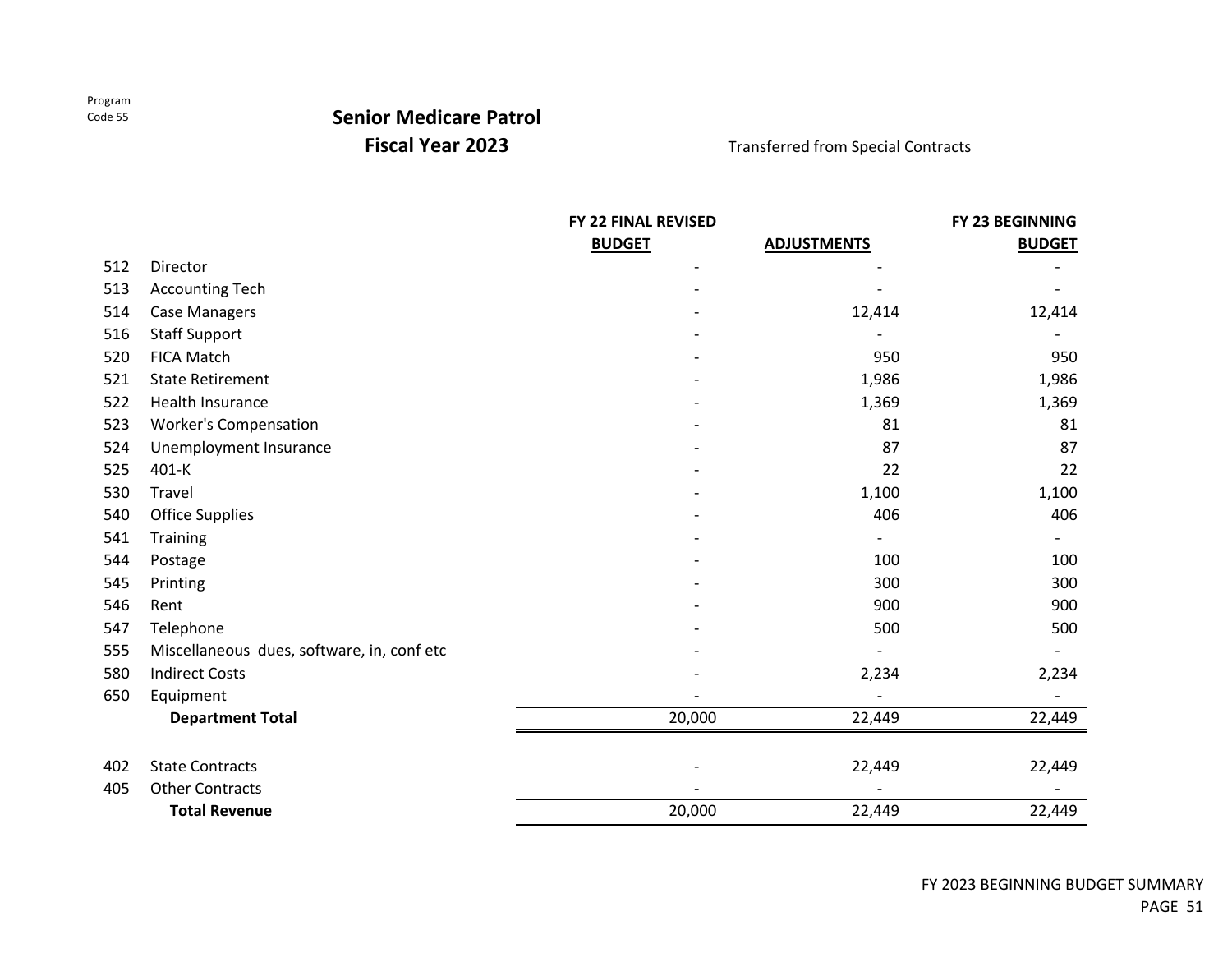# **Senior Medicare Patrol**

**Fiscal Year 2023**

Transferred from Special Contracts

|     |                                            | <b>FY 22 FINAL REVISED</b> |                    | <b>FY 23 BEGINNING</b> |
|-----|--------------------------------------------|----------------------------|--------------------|------------------------|
|     |                                            | <b>BUDGET</b>              | <b>ADJUSTMENTS</b> | <b>BUDGET</b>          |
| 512 | Director                                   |                            |                    |                        |
| 513 | <b>Accounting Tech</b>                     |                            |                    |                        |
| 514 | <b>Case Managers</b>                       |                            | 12,414             | 12,414                 |
| 516 | <b>Staff Support</b>                       |                            |                    |                        |
| 520 | <b>FICA Match</b>                          |                            | 950                | 950                    |
| 521 | <b>State Retirement</b>                    |                            | 1,986              | 1,986                  |
| 522 | Health Insurance                           |                            | 1,369              | 1,369                  |
| 523 | <b>Worker's Compensation</b>               |                            | 81                 | 81                     |
| 524 | Unemployment Insurance                     |                            | 87                 | 87                     |
| 525 | 401-K                                      |                            | 22                 | 22                     |
| 530 | Travel                                     |                            | 1,100              | 1,100                  |
| 540 | <b>Office Supplies</b>                     |                            | 406                | 406                    |
| 541 | Training                                   |                            |                    |                        |
| 544 | Postage                                    |                            | 100                | 100                    |
| 545 | Printing                                   |                            | 300                | 300                    |
| 546 | Rent                                       |                            | 900                | 900                    |
| 547 | Telephone                                  |                            | 500                | 500                    |
| 555 | Miscellaneous dues, software, in, conf etc |                            |                    |                        |
| 580 | <b>Indirect Costs</b>                      |                            | 2,234              | 2,234                  |
| 650 | Equipment                                  |                            |                    |                        |
|     | <b>Department Total</b>                    | 20,000                     | 22,449             | 22,449                 |
| 402 | <b>State Contracts</b>                     |                            | 22,449             | 22,449                 |
| 405 | <b>Other Contracts</b>                     |                            |                    |                        |
|     | <b>Total Revenue</b>                       | 20,000                     | 22,449             | 22,449                 |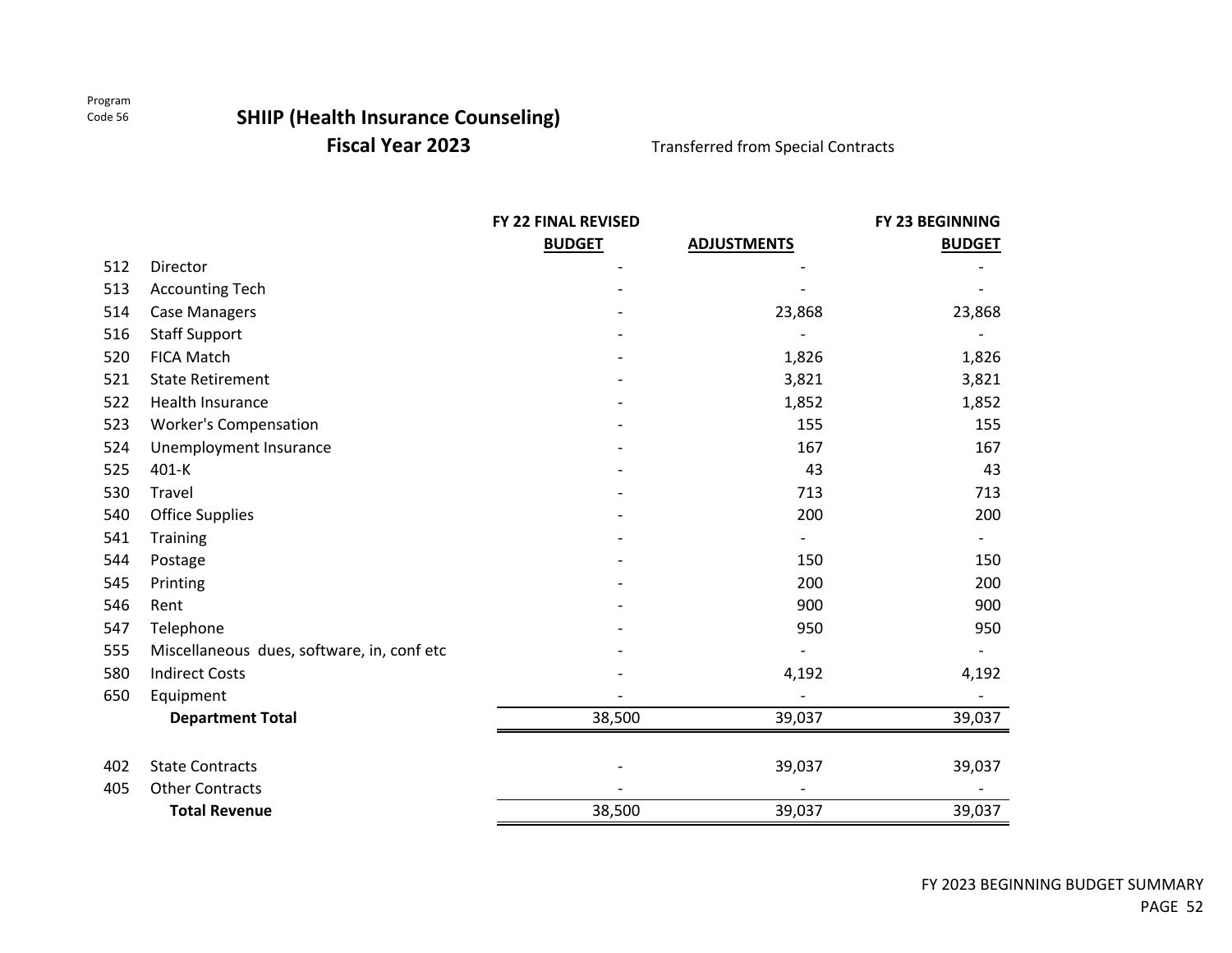### **SHIIP (Health Insurance Counseling)**

**Fiscal Year 2023**

Transferred from Special Contracts

|     |                                            | <b>FY 22 FINAL REVISED</b> |                    | <b>FY 23 BEGINNING</b> |
|-----|--------------------------------------------|----------------------------|--------------------|------------------------|
|     |                                            | <b>BUDGET</b>              | <b>ADJUSTMENTS</b> | <b>BUDGET</b>          |
| 512 | Director                                   |                            |                    |                        |
| 513 | <b>Accounting Tech</b>                     |                            |                    |                        |
| 514 | <b>Case Managers</b>                       |                            | 23,868             | 23,868                 |
| 516 | <b>Staff Support</b>                       |                            |                    |                        |
| 520 | <b>FICA Match</b>                          |                            | 1,826              | 1,826                  |
| 521 | <b>State Retirement</b>                    |                            | 3,821              | 3,821                  |
| 522 | Health Insurance                           |                            | 1,852              | 1,852                  |
| 523 | <b>Worker's Compensation</b>               |                            | 155                | 155                    |
| 524 | Unemployment Insurance                     |                            | 167                | 167                    |
| 525 | $401-K$                                    |                            | 43                 | 43                     |
| 530 | Travel                                     |                            | 713                | 713                    |
| 540 | <b>Office Supplies</b>                     |                            | 200                | 200                    |
| 541 | <b>Training</b>                            |                            |                    |                        |
| 544 | Postage                                    |                            | 150                | 150                    |
| 545 | Printing                                   |                            | 200                | 200                    |
| 546 | Rent                                       |                            | 900                | 900                    |
| 547 | Telephone                                  |                            | 950                | 950                    |
| 555 | Miscellaneous dues, software, in, conf etc |                            |                    |                        |
| 580 | <b>Indirect Costs</b>                      |                            | 4,192              | 4,192                  |
| 650 | Equipment                                  |                            |                    |                        |
|     | <b>Department Total</b>                    | 38,500                     | 39,037             | 39,037                 |
| 402 | <b>State Contracts</b>                     |                            | 39,037             | 39,037                 |
| 405 | <b>Other Contracts</b>                     |                            |                    |                        |
|     | <b>Total Revenue</b>                       | 38,500                     | 39,037             | 39,037                 |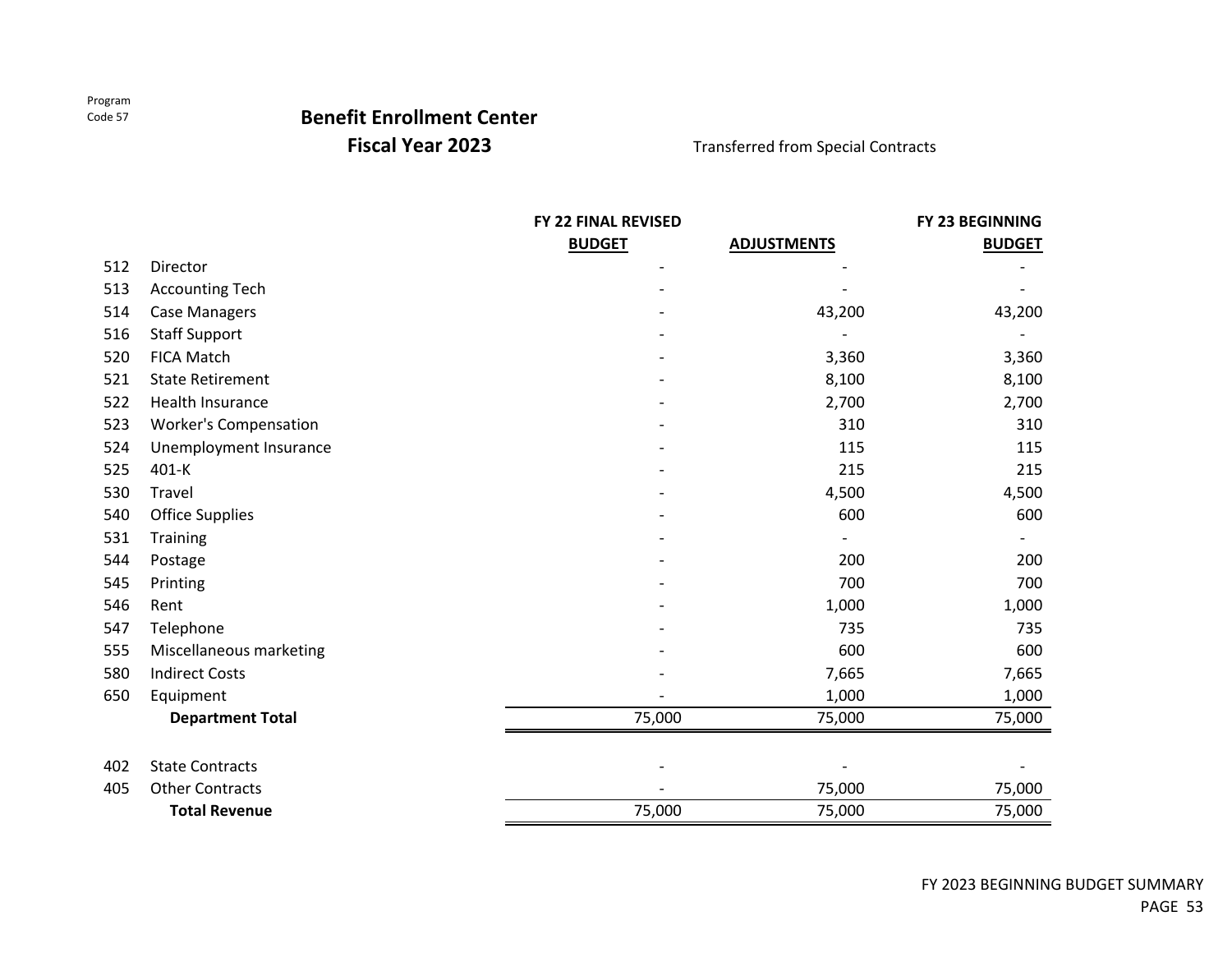## **Benefit Enrollment Center**

**Fiscal Year 2023**

Transferred from Special Contracts

|     |                              | <b>FY 22 FINAL REVISED</b> |                    | <b>FY 23 BEGINNING</b> |
|-----|------------------------------|----------------------------|--------------------|------------------------|
|     |                              | <b>BUDGET</b>              | <b>ADJUSTMENTS</b> | <b>BUDGET</b>          |
| 512 | Director                     |                            |                    |                        |
| 513 | <b>Accounting Tech</b>       |                            |                    |                        |
| 514 | <b>Case Managers</b>         |                            | 43,200             | 43,200                 |
| 516 | <b>Staff Support</b>         |                            |                    |                        |
| 520 | <b>FICA Match</b>            |                            | 3,360              | 3,360                  |
| 521 | <b>State Retirement</b>      |                            | 8,100              | 8,100                  |
| 522 | Health Insurance             |                            | 2,700              | 2,700                  |
| 523 | <b>Worker's Compensation</b> |                            | 310                | 310                    |
| 524 | Unemployment Insurance       |                            | 115                | 115                    |
| 525 | 401-K                        |                            | 215                | 215                    |
| 530 | Travel                       |                            | 4,500              | 4,500                  |
| 540 | <b>Office Supplies</b>       |                            | 600                | 600                    |
| 531 | <b>Training</b>              |                            |                    |                        |
| 544 | Postage                      |                            | 200                | 200                    |
| 545 | Printing                     |                            | 700                | 700                    |
| 546 | Rent                         |                            | 1,000              | 1,000                  |
| 547 | Telephone                    |                            | 735                | 735                    |
| 555 | Miscellaneous marketing      |                            | 600                | 600                    |
| 580 | <b>Indirect Costs</b>        |                            | 7,665              | 7,665                  |
| 650 | Equipment                    |                            | 1,000              | 1,000                  |
|     | <b>Department Total</b>      | 75,000                     | 75,000             | 75,000                 |
| 402 | <b>State Contracts</b>       |                            |                    |                        |
| 405 | <b>Other Contracts</b>       |                            | 75,000             | 75,000                 |
|     | <b>Total Revenue</b>         | 75,000                     | 75,000             | 75,000                 |